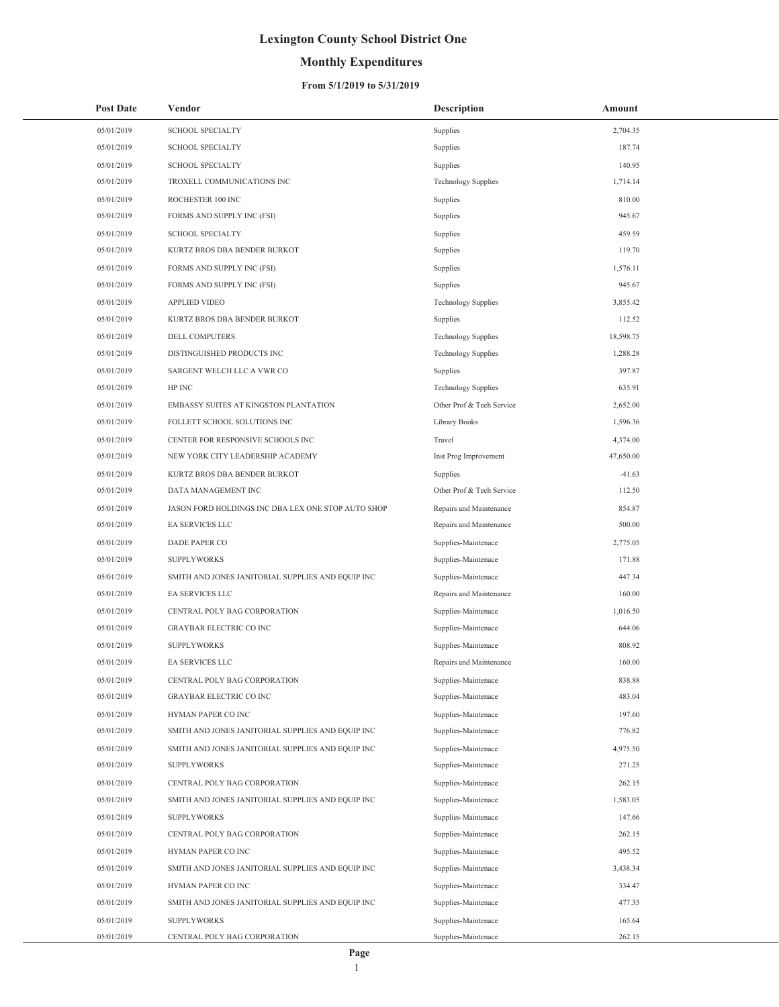## **Monthly Expenditures**

### **From 5/1/2019 to 5/31/2019**

| <b>Post Date</b> | Vendor                                             | <b>Description</b>         | Amount    |
|------------------|----------------------------------------------------|----------------------------|-----------|
| 05/01/2019       | <b>SCHOOL SPECIALTY</b>                            | Supplies                   | 2,704.35  |
| 05/01/2019       | <b>SCHOOL SPECIALTY</b>                            | Supplies                   | 187.74    |
| 05/01/2019       | <b>SCHOOL SPECIALTY</b>                            | Supplies                   | 140.95    |
| 05/01/2019       | TROXELL COMMUNICATIONS INC                         | <b>Technology Supplies</b> | 1,714.14  |
| 05/01/2019       | ROCHESTER 100 INC                                  | Supplies                   | 810.00    |
| 05/01/2019       | FORMS AND SUPPLY INC (FSI)                         | Supplies                   | 945.67    |
| 05/01/2019       | <b>SCHOOL SPECIALTY</b>                            | Supplies                   | 459.59    |
| 05/01/2019       | KURTZ BROS DBA BENDER BURKOT                       | Supplies                   | 119.70    |
| 05/01/2019       | FORMS AND SUPPLY INC (FSI)                         | Supplies                   | 1,576.11  |
| 05/01/2019       | FORMS AND SUPPLY INC (FSI)                         | Supplies                   | 945.67    |
| 05/01/2019       | APPLIED VIDEO                                      | <b>Technology Supplies</b> | 3,855.42  |
| 05/01/2019       | KURTZ BROS DBA BENDER BURKOT                       | Supplies                   | 112.52    |
| 05/01/2019       | DELL COMPUTERS                                     | <b>Technology Supplies</b> | 18,598.75 |
| 05/01/2019       | DISTINGUISHED PRODUCTS INC                         | <b>Technology Supplies</b> | 1,288.28  |
| 05/01/2019       | SARGENT WELCH LLC A VWR CO                         | Supplies                   | 397.87    |
| 05/01/2019       | HP INC                                             | <b>Technology Supplies</b> | 635.91    |
| 05/01/2019       | EMBASSY SUITES AT KINGSTON PLANTATION              | Other Prof & Tech Service  | 2,652.00  |
| 05/01/2019       | FOLLETT SCHOOL SOLUTIONS INC                       | Library Books              | 1,596.36  |
| 05/01/2019       | CENTER FOR RESPONSIVE SCHOOLS INC                  | Travel                     | 4,374.00  |
| 05/01/2019       | NEW YORK CITY LEADERSHIP ACADEMY                   | Inst Prog Improvement      | 47,650.00 |
| 05/01/2019       | KURTZ BROS DBA BENDER BURKOT                       | Supplies                   | $-41.63$  |
| 05/01/2019       | DATA MANAGEMENT INC                                | Other Prof & Tech Service  | 112.50    |
| 05/01/2019       | JASON FORD HOLDINGS INC DBA LEX ONE STOP AUTO SHOP | Repairs and Maintenance    | 854.87    |
| 05/01/2019       | EA SERVICES LLC                                    | Repairs and Maintenance    | 500.00    |
| 05/01/2019       | DADE PAPER CO                                      | Supplies-Maintenace        | 2,775.05  |
| 05/01/2019       | <b>SUPPLYWORKS</b>                                 | Supplies-Maintenace        | 171.88    |
| 05/01/2019       | SMITH AND JONES JANITORIAL SUPPLIES AND EQUIP INC  | Supplies-Maintenace        | 447.34    |
| 05/01/2019       | EA SERVICES LLC                                    | Repairs and Maintenance    | 160.00    |
| 05/01/2019       | CENTRAL POLY BAG CORPORATION                       | Supplies-Maintenace        | 1,016.50  |
| 05/01/2019       | <b>GRAYBAR ELECTRIC CO INC</b>                     | Supplies-Maintenace        | 644.06    |
| 05/01/2019       | <b>SUPPLYWORKS</b>                                 | Supplies-Maintenace        | 808.92    |
| 05/01/2019       | EA SERVICES LLC                                    | Repairs and Maintenance    | 160.00    |
| 05/01/2019       | CENTRAL POLY BAG CORPORATION                       | Supplies-Maintenace        | 838.88    |
| 05/01/2019       | GRAYBAR ELECTRIC CO INC                            | Supplies-Maintenace        | 483.04    |
| 05/01/2019       | HYMAN PAPER CO INC                                 | Supplies-Maintenace        | 197.60    |
| 05/01/2019       | SMITH AND JONES JANITORIAL SUPPLIES AND EQUIP INC  | Supplies-Maintenace        | 776.82    |
| 05/01/2019       | SMITH AND JONES JANITORIAL SUPPLIES AND EQUIP INC  | Supplies-Maintenace        | 4,975.50  |
| 05/01/2019       | <b>SUPPLYWORKS</b>                                 | Supplies-Maintenace        | 271.25    |
| 05/01/2019       | CENTRAL POLY BAG CORPORATION                       | Supplies-Maintenace        | 262.15    |
| 05/01/2019       | SMITH AND JONES JANITORIAL SUPPLIES AND EQUIP INC  | Supplies-Maintenace        | 1,583.05  |
| 05/01/2019       | <b>SUPPLYWORKS</b>                                 | Supplies-Maintenace        | 147.66    |
| 05/01/2019       | CENTRAL POLY BAG CORPORATION                       | Supplies-Maintenace        | 262.15    |
| 05/01/2019       | HYMAN PAPER CO INC                                 | Supplies-Maintenace        | 495.52    |
| 05/01/2019       | SMITH AND JONES JANITORIAL SUPPLIES AND EQUIP INC  | Supplies-Maintenace        | 3,438.34  |
| 05/01/2019       | HYMAN PAPER CO INC                                 | Supplies-Maintenace        | 334.47    |
| 05/01/2019       | SMITH AND JONES JANITORIAL SUPPLIES AND EQUIP INC  | Supplies-Maintenace        | 477.35    |
| 05/01/2019       | <b>SUPPLYWORKS</b>                                 | Supplies-Maintenace        | 165.64    |
| 05/01/2019       | CENTRAL POLY BAG CORPORATION                       | Supplies-Maintenace        | 262.15    |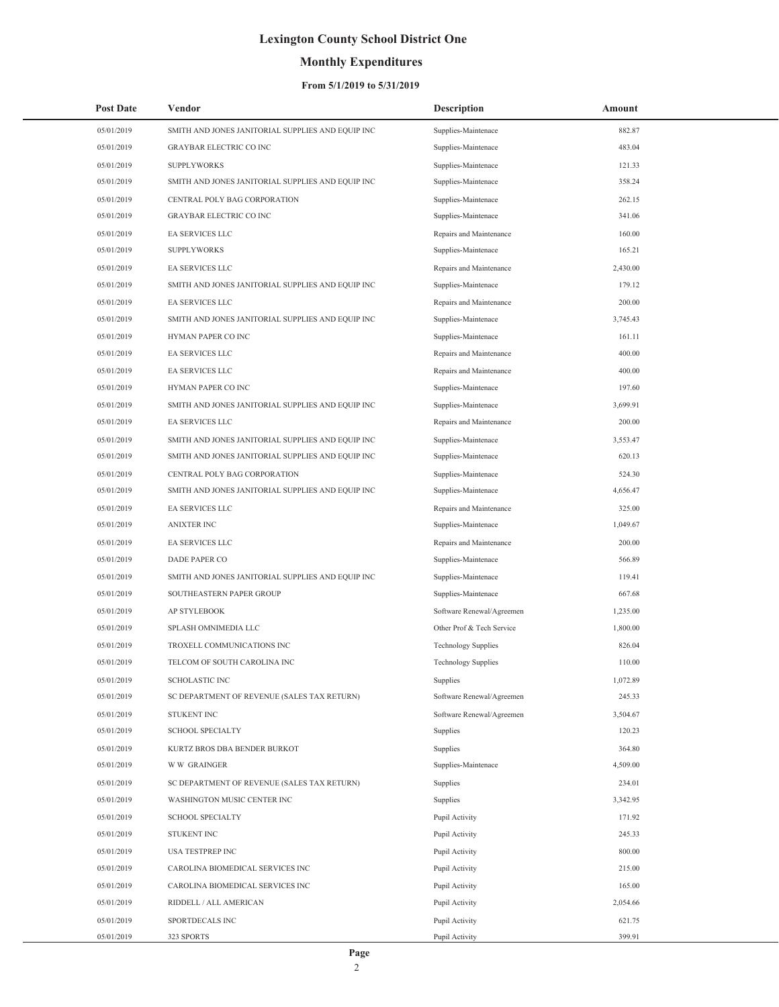## **Monthly Expenditures**

| <b>Post Date</b> | Vendor                                            | <b>Description</b>         | Amount   |
|------------------|---------------------------------------------------|----------------------------|----------|
| 05/01/2019       | SMITH AND JONES JANITORIAL SUPPLIES AND EQUIP INC | Supplies-Maintenace        | 882.87   |
| 05/01/2019       | <b>GRAYBAR ELECTRIC CO INC</b>                    | Supplies-Maintenace        | 483.04   |
| 05/01/2019       | <b>SUPPLYWORKS</b>                                | Supplies-Maintenace        | 121.33   |
| 05/01/2019       | SMITH AND JONES JANITORIAL SUPPLIES AND EQUIP INC | Supplies-Maintenace        | 358.24   |
| 05/01/2019       | CENTRAL POLY BAG CORPORATION                      | Supplies-Maintenace        | 262.15   |
| 05/01/2019       | <b>GRAYBAR ELECTRIC CO INC</b>                    | Supplies-Maintenace        | 341.06   |
| 05/01/2019       | EA SERVICES LLC                                   | Repairs and Maintenance    | 160.00   |
| 05/01/2019       | <b>SUPPLYWORKS</b>                                | Supplies-Maintenace        | 165.21   |
| 05/01/2019       | EA SERVICES LLC                                   | Repairs and Maintenance    | 2,430.00 |
| 05/01/2019       | SMITH AND JONES JANITORIAL SUPPLIES AND EQUIP INC | Supplies-Maintenace        | 179.12   |
| 05/01/2019       | EA SERVICES LLC                                   | Repairs and Maintenance    | 200.00   |
| 05/01/2019       | SMITH AND JONES JANITORIAL SUPPLIES AND EQUIP INC | Supplies-Maintenace        | 3,745.43 |
| 05/01/2019       | HYMAN PAPER CO INC                                | Supplies-Maintenace        | 161.11   |
| 05/01/2019       | EA SERVICES LLC                                   | Repairs and Maintenance    | 400.00   |
| 05/01/2019       | EA SERVICES LLC                                   | Repairs and Maintenance    | 400.00   |
| 05/01/2019       | HYMAN PAPER CO INC                                | Supplies-Maintenace        | 197.60   |
| 05/01/2019       | SMITH AND JONES JANITORIAL SUPPLIES AND EQUIP INC | Supplies-Maintenace        | 3,699.91 |
| 05/01/2019       | EA SERVICES LLC                                   | Repairs and Maintenance    | 200.00   |
| 05/01/2019       | SMITH AND JONES JANITORIAL SUPPLIES AND EQUIP INC | Supplies-Maintenace        | 3,553.47 |
| 05/01/2019       | SMITH AND JONES JANITORIAL SUPPLIES AND EQUIP INC | Supplies-Maintenace        | 620.13   |
| 05/01/2019       | CENTRAL POLY BAG CORPORATION                      | Supplies-Maintenace        | 524.30   |
| 05/01/2019       | SMITH AND JONES JANITORIAL SUPPLIES AND EQUIP INC | Supplies-Maintenace        | 4,656.47 |
| 05/01/2019       | EA SERVICES LLC                                   | Repairs and Maintenance    | 325.00   |
| 05/01/2019       | <b>ANIXTER INC</b>                                | Supplies-Maintenace        | 1,049.67 |
| 05/01/2019       | EA SERVICES LLC                                   | Repairs and Maintenance    | 200.00   |
| 05/01/2019       | DADE PAPER CO                                     | Supplies-Maintenace        | 566.89   |
| 05/01/2019       | SMITH AND JONES JANITORIAL SUPPLIES AND EQUIP INC | Supplies-Maintenace        | 119.41   |
| 05/01/2019       | SOUTHEASTERN PAPER GROUP                          | Supplies-Maintenace        | 667.68   |
| 05/01/2019       | AP STYLEBOOK                                      | Software Renewal/Agreemen  | 1,235.00 |
| 05/01/2019       | SPLASH OMNIMEDIA LLC                              | Other Prof & Tech Service  | 1,800.00 |
| 05/01/2019       | TROXELL COMMUNICATIONS INC                        | <b>Technology Supplies</b> | 826.04   |
| 05/01/2019       | TELCOM OF SOUTH CAROLINA INC                      | <b>Technology Supplies</b> | 110.00   |
| 05/01/2019       | <b>SCHOLASTIC INC</b>                             | Supplies                   | 1,072.89 |
| 05/01/2019       | SC DEPARTMENT OF REVENUE (SALES TAX RETURN)       | Software Renewal/Agreemen  | 245.33   |
| 05/01/2019       | STUKENT INC                                       | Software Renewal/Agreemen  | 3,504.67 |
| 05/01/2019       | <b>SCHOOL SPECIALTY</b>                           | Supplies                   | 120.23   |
| 05/01/2019       | KURTZ BROS DBA BENDER BURKOT                      | Supplies                   | 364.80   |
| 05/01/2019       | <b>WW GRAINGER</b>                                | Supplies-Maintenace        | 4,509.00 |
| 05/01/2019       | SC DEPARTMENT OF REVENUE (SALES TAX RETURN)       | Supplies                   | 234.01   |
| 05/01/2019       | WASHINGTON MUSIC CENTER INC                       | Supplies                   | 3,342.95 |
| 05/01/2019       | <b>SCHOOL SPECIALTY</b>                           | Pupil Activity             | 171.92   |
| 05/01/2019       | STUKENT INC                                       | Pupil Activity             | 245.33   |
| 05/01/2019       | USA TESTPREP INC                                  | Pupil Activity             | 800.00   |
| 05/01/2019       | CAROLINA BIOMEDICAL SERVICES INC                  | Pupil Activity             | 215.00   |
| 05/01/2019       | CAROLINA BIOMEDICAL SERVICES INC                  | Pupil Activity             | 165.00   |
| 05/01/2019       | RIDDELL / ALL AMERICAN                            | Pupil Activity             | 2,054.66 |
| 05/01/2019       | SPORTDECALS INC                                   | Pupil Activity             | 621.75   |
| 05/01/2019       | 323 SPORTS                                        | Pupil Activity             | 399.91   |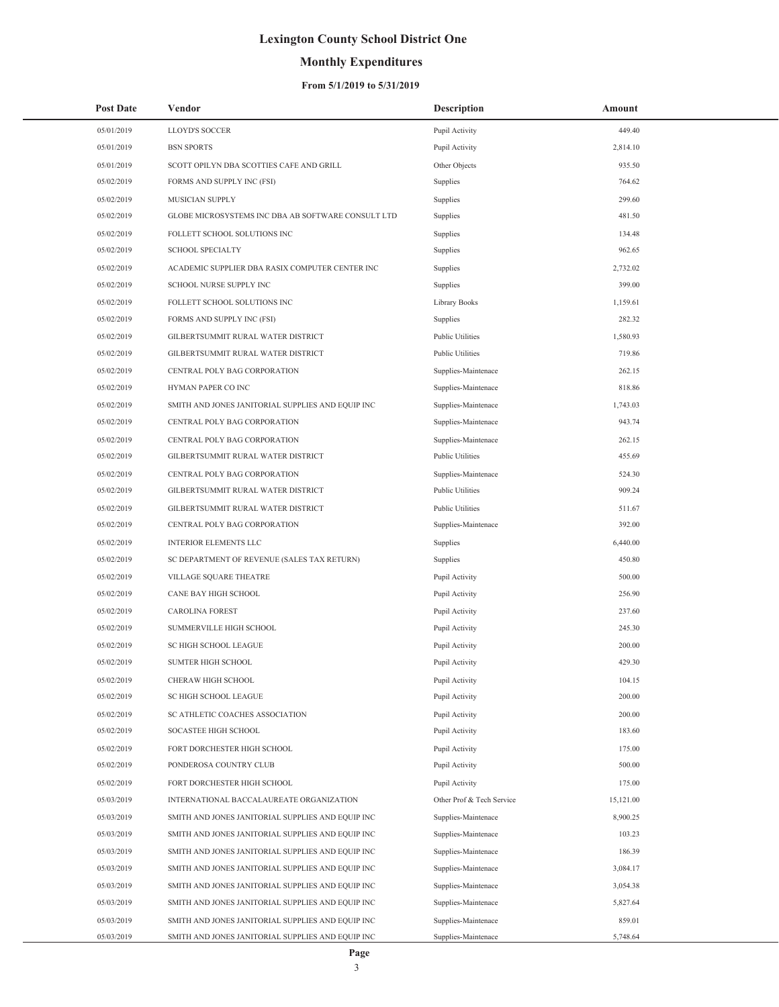## **Monthly Expenditures**

### **From 5/1/2019 to 5/31/2019**

| <b>Post Date</b> | Vendor                                             | <b>Description</b>        | Amount    |
|------------------|----------------------------------------------------|---------------------------|-----------|
| 05/01/2019       | <b>LLOYD'S SOCCER</b>                              | Pupil Activity            | 449.40    |
| 05/01/2019       | <b>BSN SPORTS</b>                                  | Pupil Activity            | 2,814.10  |
| 05/01/2019       | SCOTT OPILYN DBA SCOTTIES CAFE AND GRILL           | Other Objects             | 935.50    |
| 05/02/2019       | FORMS AND SUPPLY INC (FSI)                         | Supplies                  | 764.62    |
| 05/02/2019       | MUSICIAN SUPPLY                                    | Supplies                  | 299.60    |
| 05/02/2019       | GLOBE MICROSYSTEMS INC DBA AB SOFTWARE CONSULT LTD | Supplies                  | 481.50    |
| 05/02/2019       | FOLLETT SCHOOL SOLUTIONS INC                       | Supplies                  | 134.48    |
| 05/02/2019       | <b>SCHOOL SPECIALTY</b>                            | Supplies                  | 962.65    |
| 05/02/2019       | ACADEMIC SUPPLIER DBA RASIX COMPUTER CENTER INC    | Supplies                  | 2,732.02  |
| 05/02/2019       | SCHOOL NURSE SUPPLY INC                            | Supplies                  | 399.00    |
| 05/02/2019       | FOLLETT SCHOOL SOLUTIONS INC                       | Library Books             | 1,159.61  |
| 05/02/2019       | FORMS AND SUPPLY INC (FSI)                         | Supplies                  | 282.32    |
| 05/02/2019       | GILBERTSUMMIT RURAL WATER DISTRICT                 | Public Utilities          | 1,580.93  |
| 05/02/2019       | GILBERTSUMMIT RURAL WATER DISTRICT                 | <b>Public Utilities</b>   | 719.86    |
| 05/02/2019       | CENTRAL POLY BAG CORPORATION                       | Supplies-Maintenace       | 262.15    |
| 05/02/2019       | HYMAN PAPER CO INC                                 | Supplies-Maintenace       | 818.86    |
| 05/02/2019       | SMITH AND JONES JANITORIAL SUPPLIES AND EQUIP INC  | Supplies-Maintenace       | 1,743.03  |
| 05/02/2019       | CENTRAL POLY BAG CORPORATION                       | Supplies-Maintenace       | 943.74    |
| 05/02/2019       | CENTRAL POLY BAG CORPORATION                       | Supplies-Maintenace       | 262.15    |
| 05/02/2019       | GILBERTSUMMIT RURAL WATER DISTRICT                 | <b>Public Utilities</b>   | 455.69    |
| 05/02/2019       | CENTRAL POLY BAG CORPORATION                       | Supplies-Maintenace       | 524.30    |
| 05/02/2019       | GILBERTSUMMIT RURAL WATER DISTRICT                 | <b>Public Utilities</b>   | 909.24    |
| 05/02/2019       | GILBERTSUMMIT RURAL WATER DISTRICT                 | <b>Public Utilities</b>   | 511.67    |
| 05/02/2019       | CENTRAL POLY BAG CORPORATION                       | Supplies-Maintenace       | 392.00    |
| 05/02/2019       | <b>INTERIOR ELEMENTS LLC</b>                       | Supplies                  | 6,440.00  |
| 05/02/2019       | SC DEPARTMENT OF REVENUE (SALES TAX RETURN)        | Supplies                  | 450.80    |
| 05/02/2019       | VILLAGE SQUARE THEATRE                             | Pupil Activity            | 500.00    |
| 05/02/2019       | CANE BAY HIGH SCHOOL                               | Pupil Activity            | 256.90    |
| 05/02/2019       | <b>CAROLINA FOREST</b>                             | Pupil Activity            | 237.60    |
| 05/02/2019       | SUMMERVILLE HIGH SCHOOL                            | Pupil Activity            | 245.30    |
| 05/02/2019       | <b>SC HIGH SCHOOL LEAGUE</b>                       | Pupil Activity            | 200.00    |
| 05/02/2019       | <b>SUMTER HIGH SCHOOL</b>                          | Pupil Activity            | 429.30    |
| 05/02/2019       | CHERAW HIGH SCHOOL                                 | Pupil Activity            | 104.15    |
| 05/02/2019       | SC HIGH SCHOOL LEAGUE                              | Pupil Activity            | 200.00    |
| 05/02/2019       | SC ATHLETIC COACHES ASSOCIATION                    | Pupil Activity            | 200.00    |
| 05/02/2019       | SOCASTEE HIGH SCHOOL                               | Pupil Activity            | 183.60    |
| 05/02/2019       | FORT DORCHESTER HIGH SCHOOL                        | Pupil Activity            | 175.00    |
| 05/02/2019       | PONDEROSA COUNTRY CLUB                             | Pupil Activity            | 500.00    |
| 05/02/2019       | FORT DORCHESTER HIGH SCHOOL                        | Pupil Activity            | 175.00    |
| 05/03/2019       | INTERNATIONAL BACCALAUREATE ORGANIZATION           | Other Prof & Tech Service | 15,121.00 |
| 05/03/2019       | SMITH AND JONES JANITORIAL SUPPLIES AND EQUIP INC  | Supplies-Maintenace       | 8,900.25  |
| 05/03/2019       | SMITH AND JONES JANITORIAL SUPPLIES AND EQUIP INC  | Supplies-Maintenace       | 103.23    |
| 05/03/2019       | SMITH AND JONES JANITORIAL SUPPLIES AND EQUIP INC  | Supplies-Maintenace       | 186.39    |
| 05/03/2019       | SMITH AND JONES JANITORIAL SUPPLIES AND EQUIP INC  | Supplies-Maintenace       | 3,084.17  |
| 05/03/2019       | SMITH AND JONES JANITORIAL SUPPLIES AND EQUIP INC  | Supplies-Maintenace       | 3,054.38  |
| 05/03/2019       | SMITH AND JONES JANITORIAL SUPPLIES AND EQUIP INC  | Supplies-Maintenace       | 5,827.64  |
| 05/03/2019       | SMITH AND JONES JANITORIAL SUPPLIES AND EQUIP INC  | Supplies-Maintenace       | 859.01    |
| 05/03/2019       | SMITH AND JONES JANITORIAL SUPPLIES AND EQUIP INC  | Supplies-Maintenace       | 5,748.64  |

÷,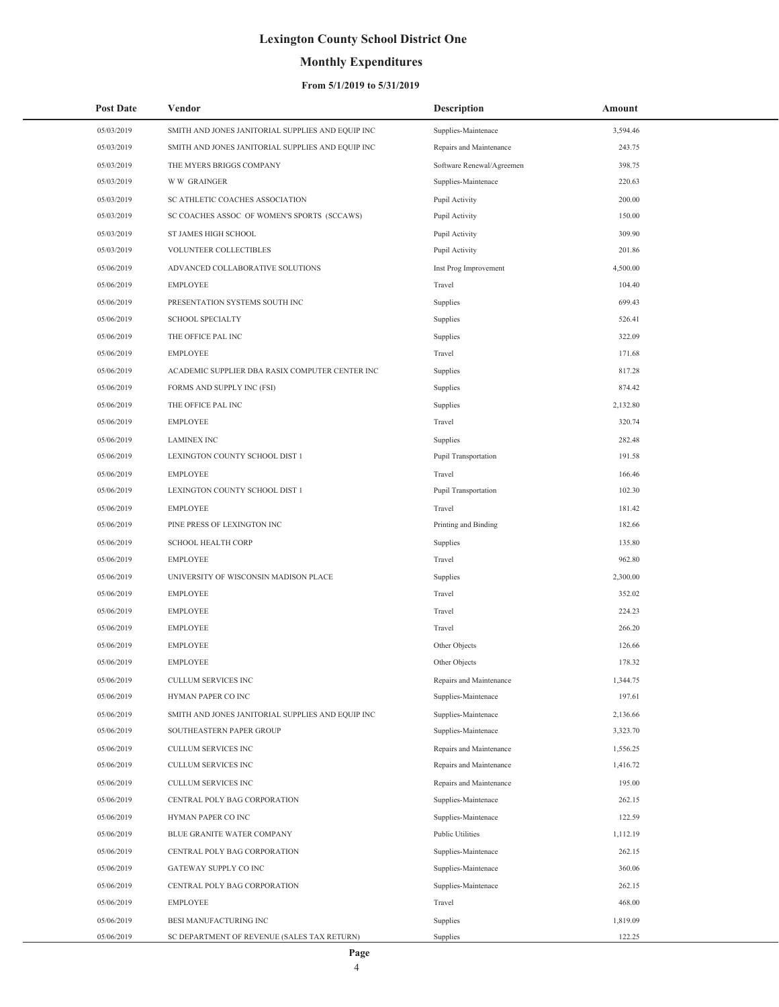## **Monthly Expenditures**

| <b>Post Date</b> | Vendor                                            | <b>Description</b>        | Amount   |
|------------------|---------------------------------------------------|---------------------------|----------|
| 05/03/2019       | SMITH AND JONES JANITORIAL SUPPLIES AND EQUIP INC | Supplies-Maintenace       | 3,594.46 |
| 05/03/2019       | SMITH AND JONES JANITORIAL SUPPLIES AND EQUIP INC | Repairs and Maintenance   | 243.75   |
| 05/03/2019       | THE MYERS BRIGGS COMPANY                          | Software Renewal/Agreemen | 398.75   |
| 05/03/2019       | <b>WW GRAINGER</b>                                | Supplies-Maintenace       | 220.63   |
| 05/03/2019       | SC ATHLETIC COACHES ASSOCIATION                   | Pupil Activity            | 200.00   |
| 05/03/2019       | SC COACHES ASSOC OF WOMEN'S SPORTS (SCCAWS)       | Pupil Activity            | 150.00   |
| 05/03/2019       | ST JAMES HIGH SCHOOL                              | Pupil Activity            | 309.90   |
| 05/03/2019       | VOLUNTEER COLLECTIBLES                            | Pupil Activity            | 201.86   |
| 05/06/2019       | ADVANCED COLLABORATIVE SOLUTIONS                  | Inst Prog Improvement     | 4,500.00 |
| 05/06/2019       | <b>EMPLOYEE</b>                                   | Travel                    | 104.40   |
| 05/06/2019       | PRESENTATION SYSTEMS SOUTH INC                    | Supplies                  | 699.43   |
| 05/06/2019       | <b>SCHOOL SPECIALTY</b>                           | Supplies                  | 526.41   |
| 05/06/2019       | THE OFFICE PAL INC                                | Supplies                  | 322.09   |
| 05/06/2019       | <b>EMPLOYEE</b>                                   | Travel                    | 171.68   |
| 05/06/2019       | ACADEMIC SUPPLIER DBA RASIX COMPUTER CENTER INC   | Supplies                  | 817.28   |
| 05/06/2019       | FORMS AND SUPPLY INC (FSI)                        | Supplies                  | 874.42   |
| 05/06/2019       | THE OFFICE PAL INC                                | Supplies                  | 2,132.80 |
| 05/06/2019       | <b>EMPLOYEE</b>                                   | Travel                    | 320.74   |
| 05/06/2019       | <b>LAMINEX INC</b>                                | Supplies                  | 282.48   |
| 05/06/2019       | LEXINGTON COUNTY SCHOOL DIST 1                    | Pupil Transportation      | 191.58   |
| 05/06/2019       | <b>EMPLOYEE</b>                                   | Travel                    | 166.46   |
| 05/06/2019       | LEXINGTON COUNTY SCHOOL DIST 1                    | Pupil Transportation      | 102.30   |
| 05/06/2019       | <b>EMPLOYEE</b>                                   | Travel                    | 181.42   |
| 05/06/2019       | PINE PRESS OF LEXINGTON INC                       | Printing and Binding      | 182.66   |
| 05/06/2019       | SCHOOL HEALTH CORP                                | Supplies                  | 135.80   |
| 05/06/2019       | <b>EMPLOYEE</b>                                   | Travel                    | 962.80   |
| 05/06/2019       | UNIVERSITY OF WISCONSIN MADISON PLACE             | Supplies                  | 2,300.00 |
| 05/06/2019       | <b>EMPLOYEE</b>                                   | Travel                    | 352.02   |
| 05/06/2019       | <b>EMPLOYEE</b>                                   | Travel                    | 224.23   |
| 05/06/2019       | <b>EMPLOYEE</b>                                   | Travel                    | 266.20   |
| 05/06/2019       | <b>EMPLOYEE</b>                                   | Other Objects             | 126.66   |
| 05/06/2019       | <b>EMPLOYEE</b>                                   | Other Objects             | 178.32   |
| 05/06/2019       | CULLUM SERVICES INC                               | Repairs and Maintenance   | 1,344.75 |
| 05/06/2019       | HYMAN PAPER CO INC                                | Supplies-Maintenace       | 197.61   |
| 05/06/2019       | SMITH AND JONES JANITORIAL SUPPLIES AND EQUIP INC | Supplies-Maintenace       | 2,136.66 |
| 05/06/2019       | SOUTHEASTERN PAPER GROUP                          | Supplies-Maintenace       | 3,323.70 |
| 05/06/2019       | <b>CULLUM SERVICES INC</b>                        | Repairs and Maintenance   | 1,556.25 |
| 05/06/2019       | CULLUM SERVICES INC                               | Repairs and Maintenance   | 1,416.72 |
| 05/06/2019       | CULLUM SERVICES INC                               | Repairs and Maintenance   | 195.00   |
| 05/06/2019       | CENTRAL POLY BAG CORPORATION                      | Supplies-Maintenace       | 262.15   |
| 05/06/2019       | HYMAN PAPER CO INC                                | Supplies-Maintenace       | 122.59   |
| 05/06/2019       | BLUE GRANITE WATER COMPANY                        | Public Utilities          | 1,112.19 |
| 05/06/2019       | CENTRAL POLY BAG CORPORATION                      | Supplies-Maintenace       | 262.15   |
| 05/06/2019       | GATEWAY SUPPLY CO INC                             | Supplies-Maintenace       | 360.06   |
| 05/06/2019       | CENTRAL POLY BAG CORPORATION                      | Supplies-Maintenace       | 262.15   |
| 05/06/2019       | <b>EMPLOYEE</b>                                   | Travel                    | 468.00   |
| 05/06/2019       | BESI MANUFACTURING INC                            | Supplies                  | 1,819.09 |
| 05/06/2019       | SC DEPARTMENT OF REVENUE (SALES TAX RETURN)       | Supplies                  | 122.25   |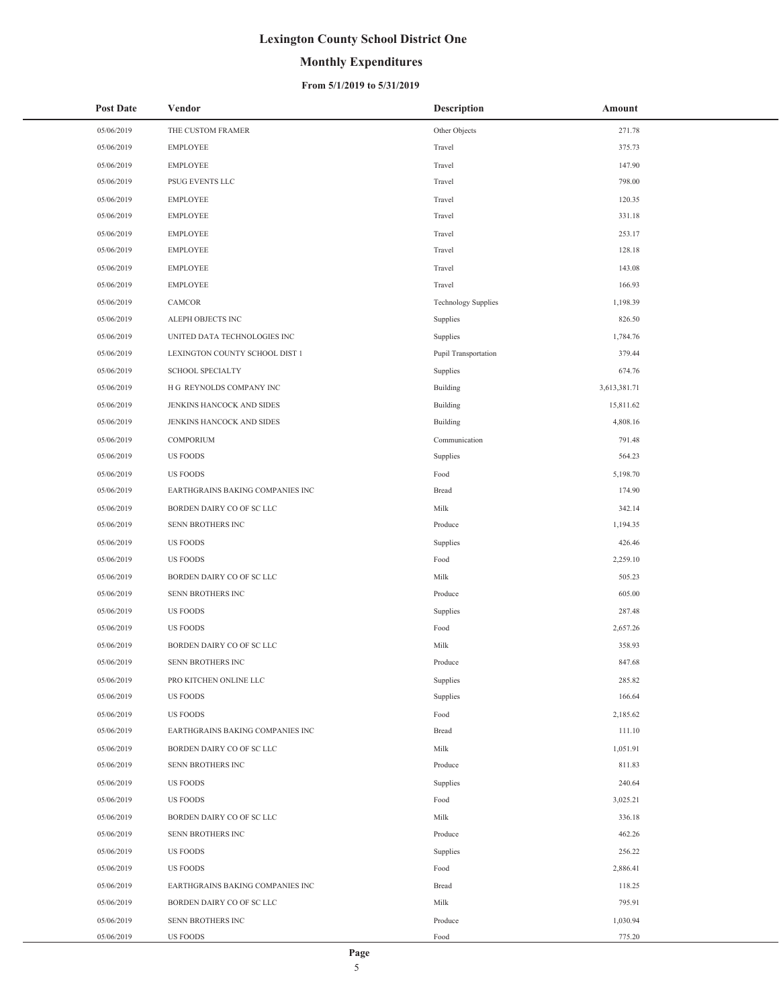## **Monthly Expenditures**

### **From 5/1/2019 to 5/31/2019**

| <b>Post Date</b> | Vendor                           | <b>Description</b>         | Amount       |
|------------------|----------------------------------|----------------------------|--------------|
| 05/06/2019       | THE CUSTOM FRAMER                | Other Objects              | 271.78       |
| 05/06/2019       | <b>EMPLOYEE</b>                  | Travel                     | 375.73       |
| 05/06/2019       | <b>EMPLOYEE</b>                  | Travel                     | 147.90       |
| 05/06/2019       | PSUG EVENTS LLC                  | Travel                     | 798.00       |
| 05/06/2019       | <b>EMPLOYEE</b>                  | Travel                     | 120.35       |
| 05/06/2019       | <b>EMPLOYEE</b>                  | Travel                     | 331.18       |
| 05/06/2019       | <b>EMPLOYEE</b>                  | Travel                     | 253.17       |
| 05/06/2019       | <b>EMPLOYEE</b>                  | Travel                     | 128.18       |
| 05/06/2019       | <b>EMPLOYEE</b>                  | Travel                     | 143.08       |
| 05/06/2019       | <b>EMPLOYEE</b>                  | Travel                     | 166.93       |
| 05/06/2019       | CAMCOR                           | <b>Technology Supplies</b> | 1,198.39     |
| 05/06/2019       | ALEPH OBJECTS INC                | Supplies                   | 826.50       |
| 05/06/2019       | UNITED DATA TECHNOLOGIES INC     | Supplies                   | 1,784.76     |
| 05/06/2019       | LEXINGTON COUNTY SCHOOL DIST 1   | Pupil Transportation       | 379.44       |
| 05/06/2019       | <b>SCHOOL SPECIALTY</b>          | Supplies                   | 674.76       |
| 05/06/2019       | H G REYNOLDS COMPANY INC         | <b>Building</b>            | 3,613,381.71 |
| 05/06/2019       | JENKINS HANCOCK AND SIDES        | <b>Building</b>            | 15,811.62    |
| 05/06/2019       | JENKINS HANCOCK AND SIDES        | <b>Building</b>            | 4,808.16     |
| 05/06/2019       | COMPORIUM                        | Communication              | 791.48       |
| 05/06/2019       | <b>US FOODS</b>                  | Supplies                   | 564.23       |
| 05/06/2019       | <b>US FOODS</b>                  | Food                       | 5,198.70     |
| 05/06/2019       | EARTHGRAINS BAKING COMPANIES INC | Bread                      | 174.90       |
| 05/06/2019       | BORDEN DAIRY CO OF SC LLC        | Milk                       | 342.14       |
| 05/06/2019       | SENN BROTHERS INC                | Produce                    | 1,194.35     |
| 05/06/2019       | <b>US FOODS</b>                  | Supplies                   | 426.46       |
| 05/06/2019       | US FOODS                         | Food                       | 2,259.10     |
| 05/06/2019       | BORDEN DAIRY CO OF SC LLC        | Milk                       | 505.23       |
| 05/06/2019       | SENN BROTHERS INC                | Produce                    | 605.00       |
| 05/06/2019       | <b>US FOODS</b>                  | Supplies                   | 287.48       |
| 05/06/2019       | <b>US FOODS</b>                  | Food                       | 2,657.26     |
| 05/06/2019       | BORDEN DAIRY CO OF SC LLC        | Milk                       | 358.93       |
| 05/06/2019       | SENN BROTHERS INC                | Produce                    | 847.68       |
| 05/06/2019       | PRO KITCHEN ONLINE LLC           | Supplies                   | 285.82       |
| 05/06/2019       | <b>US FOODS</b>                  | Supplies                   | 166.64       |
| 05/06/2019       | <b>US FOODS</b>                  | Food                       | 2,185.62     |
| 05/06/2019       | EARTHGRAINS BAKING COMPANIES INC | <b>Bread</b>               | 111.10       |
| 05/06/2019       | BORDEN DAIRY CO OF SC LLC        | Milk                       | 1,051.91     |
| 05/06/2019       | SENN BROTHERS INC                | Produce                    | 811.83       |
| 05/06/2019       | <b>US FOODS</b>                  | Supplies                   | 240.64       |
| 05/06/2019       | <b>US FOODS</b>                  | Food                       | 3,025.21     |
| 05/06/2019       | BORDEN DAIRY CO OF SC LLC        | Milk                       | 336.18       |
| 05/06/2019       | SENN BROTHERS INC                | Produce                    | 462.26       |
| 05/06/2019       | <b>US FOODS</b>                  | Supplies                   | 256.22       |
| 05/06/2019       | <b>US FOODS</b>                  | Food                       | 2,886.41     |
| 05/06/2019       | EARTHGRAINS BAKING COMPANIES INC | Bread                      | 118.25       |
| 05/06/2019       | BORDEN DAIRY CO OF SC LLC        | Milk                       | 795.91       |
| 05/06/2019       | SENN BROTHERS INC                | Produce                    | 1,030.94     |
| 05/06/2019       | <b>US FOODS</b>                  | $\operatorname*{Food}$     | 775.20       |

÷,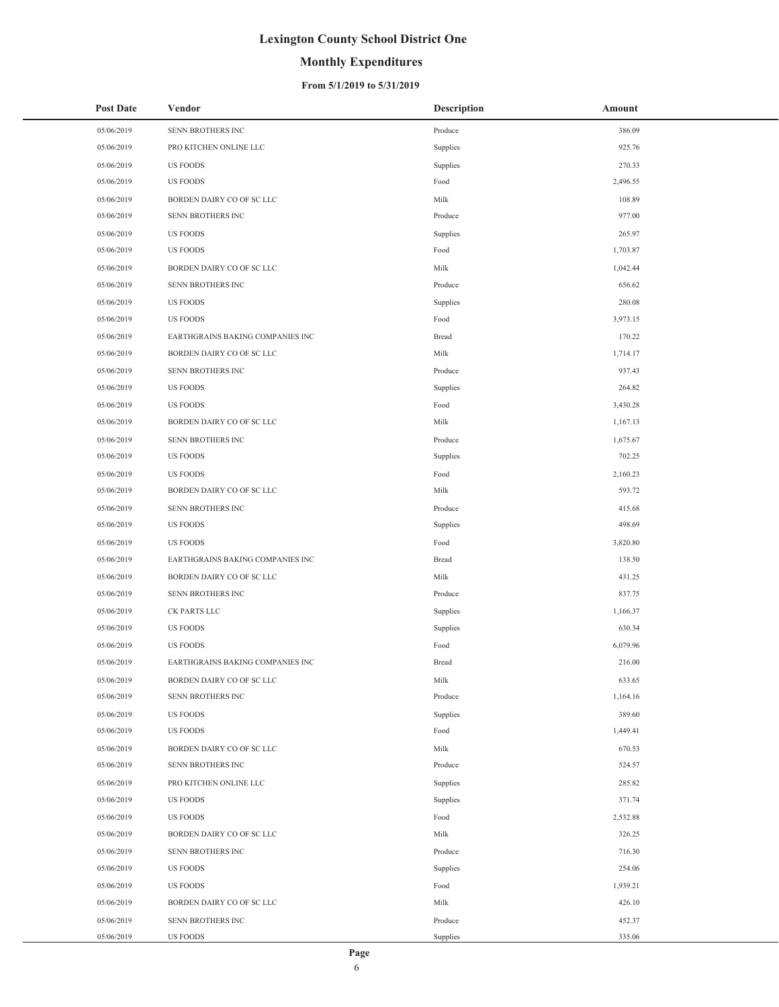## **Monthly Expenditures**

### **From 5/1/2019 to 5/31/2019**

| <b>Post Date</b> | Vendor                           | <b>Description</b> | Amount   |
|------------------|----------------------------------|--------------------|----------|
| 05/06/2019       | SENN BROTHERS INC                | Produce            | 386.09   |
| 05/06/2019       | PRO KITCHEN ONLINE LLC           | Supplies           | 925.76   |
| 05/06/2019       | <b>US FOODS</b>                  | Supplies           | 270.33   |
| 05/06/2019       | US FOODS                         | Food               | 2,496.55 |
| 05/06/2019       | BORDEN DAIRY CO OF SC LLC        | Milk               | 108.89   |
| 05/06/2019       | SENN BROTHERS INC                | Produce            | 977.00   |
| 05/06/2019       | US FOODS                         | Supplies           | 265.97   |
| 05/06/2019       | US FOODS                         | Food               | 1,703.87 |
| 05/06/2019       | BORDEN DAIRY CO OF SC LLC        | Milk               | 1,042.44 |
| 05/06/2019       | SENN BROTHERS INC                | Produce            | 656.62   |
| 05/06/2019       | US FOODS                         | Supplies           | 280.08   |
| 05/06/2019       | US FOODS                         | Food               | 3,973.15 |
| 05/06/2019       | EARTHGRAINS BAKING COMPANIES INC | <b>Bread</b>       | 170.22   |
| 05/06/2019       | BORDEN DAIRY CO OF SC LLC        | Milk               | 1,714.17 |
| 05/06/2019       | SENN BROTHERS INC                | Produce            | 937.43   |
| 05/06/2019       | US FOODS                         | Supplies           | 264.82   |
| 05/06/2019       | <b>US FOODS</b>                  | Food               | 3,430.28 |
| 05/06/2019       | BORDEN DAIRY CO OF SC LLC        | Milk               | 1,167.13 |
| 05/06/2019       | SENN BROTHERS INC                | Produce            | 1,675.67 |
| 05/06/2019       | US FOODS                         | Supplies           | 702.25   |
| 05/06/2019       | US FOODS                         | Food               | 2,160.23 |
| 05/06/2019       | BORDEN DAIRY CO OF SC LLC        | Milk               | 593.72   |
| 05/06/2019       | SENN BROTHERS INC                | Produce            | 415.68   |
| 05/06/2019       | US FOODS                         | Supplies           | 498.69   |
| 05/06/2019       | US FOODS                         | Food               | 3,820.80 |
| 05/06/2019       | EARTHGRAINS BAKING COMPANIES INC | <b>Bread</b>       | 138.50   |
| 05/06/2019       | BORDEN DAIRY CO OF SC LLC        | Milk               | 431.25   |
| 05/06/2019       | SENN BROTHERS INC                | Produce            | 837.75   |
| 05/06/2019       | CK PARTS LLC                     | Supplies           | 1,166.37 |
| 05/06/2019       | US FOODS                         | Supplies           | 630.34   |
| 05/06/2019       | US FOODS                         | Food               | 6,079.96 |
| 05/06/2019       | EARTHGRAINS BAKING COMPANIES INC | <b>Bread</b>       | 216.00   |
| 05/06/2019       | BORDEN DAIRY CO OF SC LLC        | Milk               | 633.65   |
| 05/06/2019       | SENN BROTHERS INC                | Produce            | 1,164.16 |
| 05/06/2019       | US FOODS                         | Supplies           | 389.60   |
| 05/06/2019       | US FOODS                         | Food               | 1,449.41 |
| 05/06/2019       | BORDEN DAIRY CO OF SC LLC        | Milk               | 670.53   |
| 05/06/2019       | SENN BROTHERS INC                | Produce            | 524.57   |
| 05/06/2019       | PRO KITCHEN ONLINE LLC           | Supplies           | 285.82   |
| 05/06/2019       | US FOODS                         | Supplies           | 371.74   |
| 05/06/2019       | <b>US FOODS</b>                  | Food               | 2,532.88 |
| 05/06/2019       | BORDEN DAIRY CO OF SC LLC        | Milk               | 326.25   |
| 05/06/2019       | SENN BROTHERS INC                | Produce            | 716.30   |
| 05/06/2019       | US FOODS                         | Supplies           | 254.06   |
| 05/06/2019       | US FOODS                         | Food               | 1,939.21 |
| 05/06/2019       | BORDEN DAIRY CO OF SC LLC        | Milk               | 426.10   |
| 05/06/2019       | SENN BROTHERS INC                | Produce            | 452.37   |
| 05/06/2019       | US FOODS                         | Supplies           | 335.06   |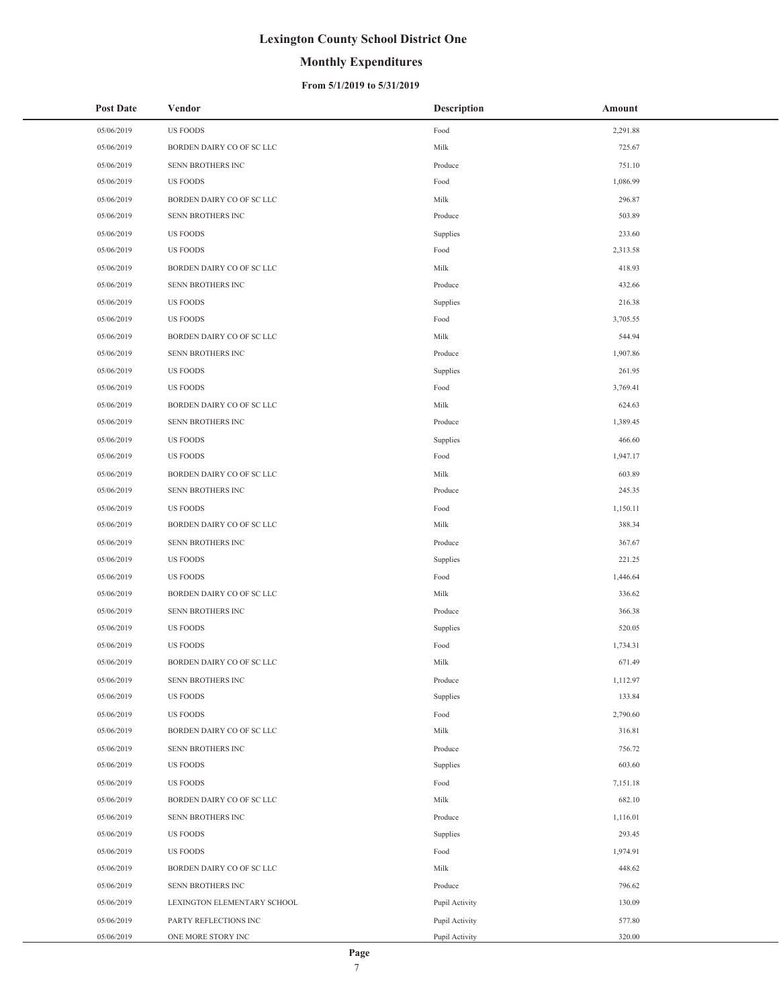## **Monthly Expenditures**

#### **From 5/1/2019 to 5/31/2019**

| <b>Post Date</b> | Vendor                      | <b>Description</b> | Amount   |
|------------------|-----------------------------|--------------------|----------|
| 05/06/2019       | <b>US FOODS</b>             | Food               | 2,291.88 |
| 05/06/2019       | BORDEN DAIRY CO OF SC LLC   | Milk               | 725.67   |
| 05/06/2019       | SENN BROTHERS INC           | Produce            | 751.10   |
| 05/06/2019       | US FOODS                    | Food               | 1,086.99 |
| 05/06/2019       | BORDEN DAIRY CO OF SC LLC   | Milk               | 296.87   |
| 05/06/2019       | SENN BROTHERS INC           | Produce            | 503.89   |
| 05/06/2019       | <b>US FOODS</b>             | Supplies           | 233.60   |
| 05/06/2019       | US FOODS                    | Food               | 2,313.58 |
| 05/06/2019       | BORDEN DAIRY CO OF SC LLC   | Milk               | 418.93   |
| 05/06/2019       | SENN BROTHERS INC           | Produce            | 432.66   |
| 05/06/2019       | US FOODS                    | Supplies           | 216.38   |
| 05/06/2019       | US FOODS                    | Food               | 3,705.55 |
| 05/06/2019       | BORDEN DAIRY CO OF SC LLC   | Milk               | 544.94   |
| 05/06/2019       | SENN BROTHERS INC           | Produce            | 1,907.86 |
| 05/06/2019       | US FOODS                    | Supplies           | 261.95   |
| 05/06/2019       | US FOODS                    | Food               | 3,769.41 |
| 05/06/2019       | BORDEN DAIRY CO OF SC LLC   | Milk               | 624.63   |
| 05/06/2019       | SENN BROTHERS INC           | Produce            | 1,389.45 |
| 05/06/2019       | US FOODS                    | Supplies           | 466.60   |
| 05/06/2019       | US FOODS                    | Food               | 1,947.17 |
| 05/06/2019       | BORDEN DAIRY CO OF SC LLC   | Milk               | 603.89   |
| 05/06/2019       | SENN BROTHERS INC           | Produce            | 245.35   |
| 05/06/2019       | US FOODS                    | Food               | 1,150.11 |
| 05/06/2019       | BORDEN DAIRY CO OF SC LLC   | Milk               | 388.34   |
| 05/06/2019       | SENN BROTHERS INC           | Produce            | 367.67   |
| 05/06/2019       | US FOODS                    | Supplies           | 221.25   |
| 05/06/2019       | US FOODS                    | Food               | 1,446.64 |
| 05/06/2019       | BORDEN DAIRY CO OF SC LLC   | Milk               | 336.62   |
| 05/06/2019       | SENN BROTHERS INC           | Produce            | 366.38   |
| 05/06/2019       | US FOODS                    | Supplies           | 520.05   |
| 05/06/2019       | US FOODS                    | Food               | 1,734.31 |
| 05/06/2019       | BORDEN DAIRY CO OF SC LLC   | Milk               | 671.49   |
| 05/06/2019       | SENN BROTHERS INC           | Produce            | 1,112.97 |
| 05/06/2019       | <b>US FOODS</b>             | Supplies           | 133.84   |
| 05/06/2019       | <b>US FOODS</b>             | Food               | 2,790.60 |
| 05/06/2019       | BORDEN DAIRY CO OF SC LLC   | Milk               | 316.81   |
| 05/06/2019       | SENN BROTHERS INC           | Produce            | 756.72   |
| 05/06/2019       | <b>US FOODS</b>             | Supplies           | 603.60   |
| 05/06/2019       | <b>US FOODS</b>             | Food               | 7,151.18 |
| 05/06/2019       | BORDEN DAIRY CO OF SC LLC   | Milk               | 682.10   |
| 05/06/2019       | SENN BROTHERS INC           | Produce            | 1,116.01 |
| 05/06/2019       | <b>US FOODS</b>             | Supplies           | 293.45   |
| 05/06/2019       | US FOODS                    | Food               | 1,974.91 |
| 05/06/2019       | BORDEN DAIRY CO OF SC LLC   | Milk               | 448.62   |
| 05/06/2019       | SENN BROTHERS INC           | Produce            | 796.62   |
| 05/06/2019       | LEXINGTON ELEMENTARY SCHOOL | Pupil Activity     | 130.09   |
| 05/06/2019       | PARTY REFLECTIONS INC       | Pupil Activity     | 577.80   |
| 05/06/2019       | ONE MORE STORY INC          | Pupil Activity     | 320.00   |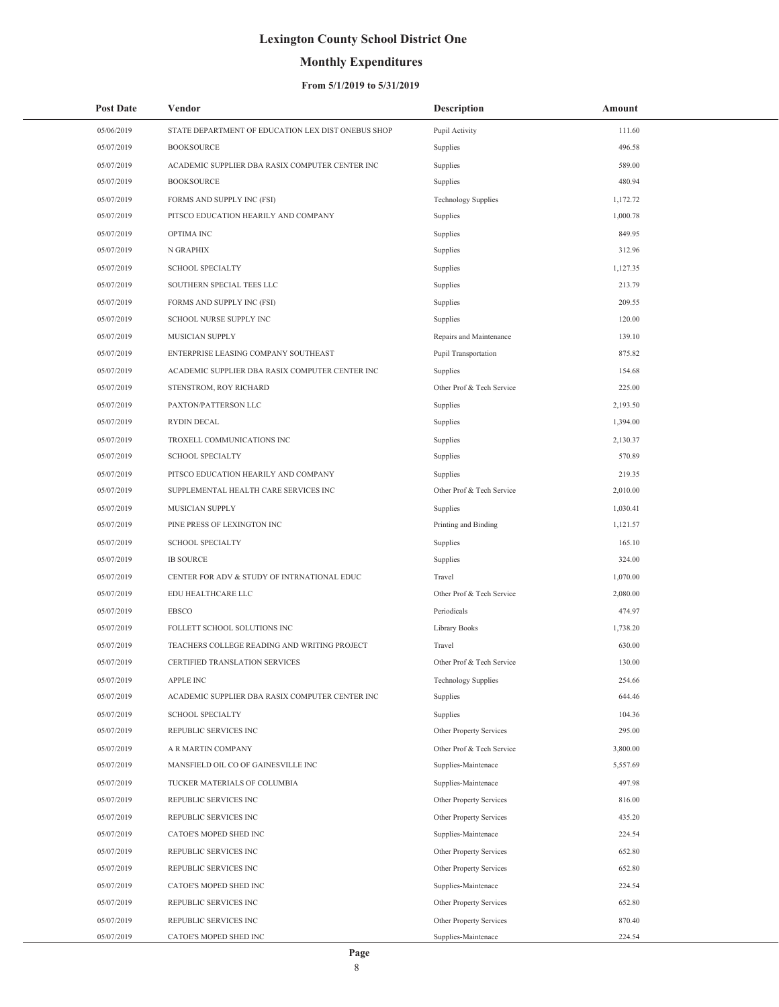## **Monthly Expenditures**

| <b>Post Date</b> | Vendor                                             | <b>Description</b>         | Amount   |
|------------------|----------------------------------------------------|----------------------------|----------|
| 05/06/2019       | STATE DEPARTMENT OF EDUCATION LEX DIST ONEBUS SHOP | Pupil Activity             | 111.60   |
| 05/07/2019       | <b>BOOKSOURCE</b>                                  | Supplies                   | 496.58   |
| 05/07/2019       | ACADEMIC SUPPLIER DBA RASIX COMPUTER CENTER INC    | Supplies                   | 589.00   |
| 05/07/2019       | <b>BOOKSOURCE</b>                                  | Supplies                   | 480.94   |
| 05/07/2019       | FORMS AND SUPPLY INC (FSI)                         | <b>Technology Supplies</b> | 1,172.72 |
| 05/07/2019       | PITSCO EDUCATION HEARILY AND COMPANY               | Supplies                   | 1,000.78 |
| 05/07/2019       | OPTIMA INC                                         | Supplies                   | 849.95   |
| 05/07/2019       | N GRAPHIX                                          | Supplies                   | 312.96   |
| 05/07/2019       | <b>SCHOOL SPECIALTY</b>                            | Supplies                   | 1,127.35 |
| 05/07/2019       | SOUTHERN SPECIAL TEES LLC                          | Supplies                   | 213.79   |
| 05/07/2019       | FORMS AND SUPPLY INC (FSI)                         | Supplies                   | 209.55   |
| 05/07/2019       | SCHOOL NURSE SUPPLY INC                            | Supplies                   | 120.00   |
| 05/07/2019       | MUSICIAN SUPPLY                                    | Repairs and Maintenance    | 139.10   |
| 05/07/2019       | ENTERPRISE LEASING COMPANY SOUTHEAST               | Pupil Transportation       | 875.82   |
| 05/07/2019       | ACADEMIC SUPPLIER DBA RASIX COMPUTER CENTER INC    | Supplies                   | 154.68   |
| 05/07/2019       | STENSTROM, ROY RICHARD                             | Other Prof & Tech Service  | 225.00   |
| 05/07/2019       | PAXTON/PATTERSON LLC                               | Supplies                   | 2,193.50 |
| 05/07/2019       | <b>RYDIN DECAL</b>                                 | Supplies                   | 1,394.00 |
| 05/07/2019       | TROXELL COMMUNICATIONS INC                         | Supplies                   | 2,130.37 |
| 05/07/2019       | <b>SCHOOL SPECIALTY</b>                            | Supplies                   | 570.89   |
| 05/07/2019       | PITSCO EDUCATION HEARILY AND COMPANY               | Supplies                   | 219.35   |
| 05/07/2019       | SUPPLEMENTAL HEALTH CARE SERVICES INC              | Other Prof & Tech Service  | 2,010.00 |
| 05/07/2019       | MUSICIAN SUPPLY                                    | Supplies                   | 1,030.41 |
| 05/07/2019       | PINE PRESS OF LEXINGTON INC                        | Printing and Binding       | 1,121.57 |
| 05/07/2019       | <b>SCHOOL SPECIALTY</b>                            | Supplies                   | 165.10   |
| 05/07/2019       | <b>IB SOURCE</b>                                   | Supplies                   | 324.00   |
| 05/07/2019       | CENTER FOR ADV & STUDY OF INTRNATIONAL EDUC        | Travel                     | 1,070.00 |
| 05/07/2019       | EDU HEALTHCARE LLC                                 | Other Prof & Tech Service  | 2,080.00 |
| 05/07/2019       | EBSCO                                              | Periodicals                | 474.97   |
| 05/07/2019       | FOLLETT SCHOOL SOLUTIONS INC                       | Library Books              | 1,738.20 |
| 05/07/2019       | TEACHERS COLLEGE READING AND WRITING PROJECT       | Travel                     | 630.00   |
| 05/07/2019       | CERTIFIED TRANSLATION SERVICES                     | Other Prof & Tech Service  | 130.00   |
| 05/07/2019       | APPLE INC                                          | <b>Technology Supplies</b> | 254.66   |
| 05/07/2019       | ACADEMIC SUPPLIER DBA RASIX COMPUTER CENTER INC    | Supplies                   | 644.46   |
| 05/07/2019       | <b>SCHOOL SPECIALTY</b>                            | Supplies                   | 104.36   |
| 05/07/2019       | REPUBLIC SERVICES INC                              | Other Property Services    | 295.00   |
| 05/07/2019       | A R MARTIN COMPANY                                 | Other Prof & Tech Service  | 3,800.00 |
| 05/07/2019       | MANSFIELD OIL CO OF GAINESVILLE INC                | Supplies-Maintenace        | 5,557.69 |
| 05/07/2019       | TUCKER MATERIALS OF COLUMBIA                       | Supplies-Maintenace        | 497.98   |
| 05/07/2019       | REPUBLIC SERVICES INC                              | Other Property Services    | 816.00   |
| 05/07/2019       | REPUBLIC SERVICES INC                              | Other Property Services    | 435.20   |
| 05/07/2019       | CATOE'S MOPED SHED INC                             | Supplies-Maintenace        | 224.54   |
| 05/07/2019       | REPUBLIC SERVICES INC                              | Other Property Services    | 652.80   |
| 05/07/2019       | REPUBLIC SERVICES INC                              | Other Property Services    | 652.80   |
| 05/07/2019       | CATOE'S MOPED SHED INC                             | Supplies-Maintenace        | 224.54   |
| 05/07/2019       | REPUBLIC SERVICES INC                              | Other Property Services    | 652.80   |
| 05/07/2019       | REPUBLIC SERVICES INC                              | Other Property Services    | 870.40   |
| 05/07/2019       | CATOE'S MOPED SHED INC                             | Supplies-Maintenace        | 224.54   |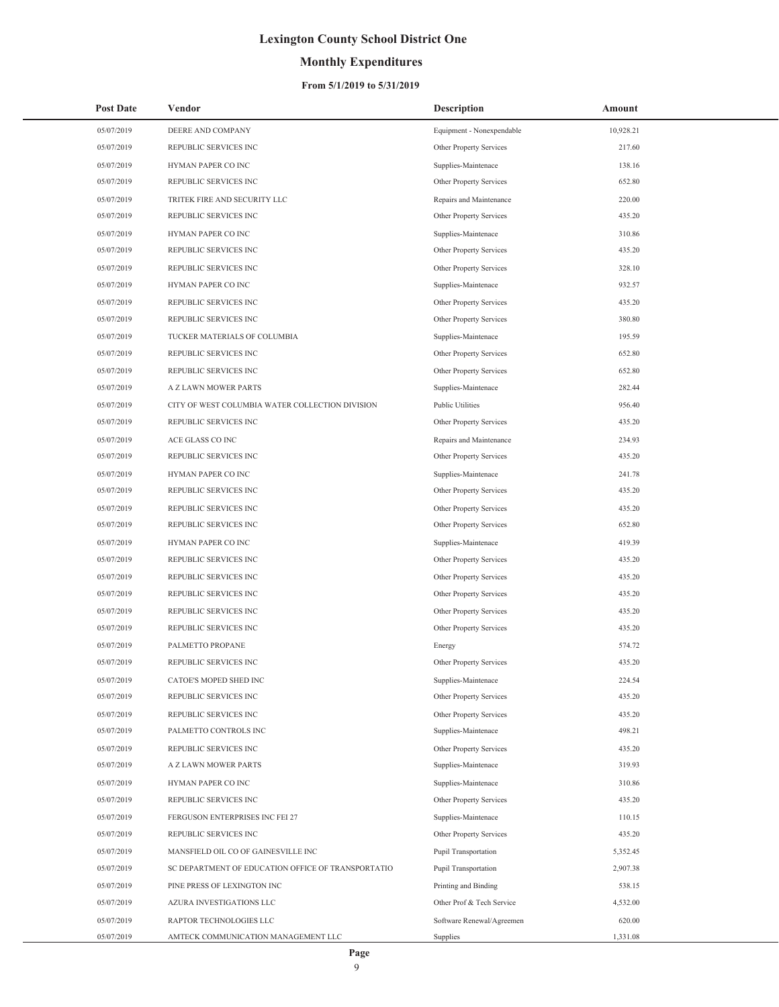## **Monthly Expenditures**

| <b>Post Date</b> | Vendor                                             | <b>Description</b>        | Amount    |
|------------------|----------------------------------------------------|---------------------------|-----------|
| 05/07/2019       | DEERE AND COMPANY                                  | Equipment - Nonexpendable | 10,928.21 |
| 05/07/2019       | REPUBLIC SERVICES INC                              | Other Property Services   | 217.60    |
| 05/07/2019       | HYMAN PAPER CO INC                                 | Supplies-Maintenace       | 138.16    |
| 05/07/2019       | REPUBLIC SERVICES INC                              | Other Property Services   | 652.80    |
| 05/07/2019       | TRITEK FIRE AND SECURITY LLC                       | Repairs and Maintenance   | 220.00    |
| 05/07/2019       | REPUBLIC SERVICES INC                              | Other Property Services   | 435.20    |
| 05/07/2019       | HYMAN PAPER CO INC                                 | Supplies-Maintenace       | 310.86    |
| 05/07/2019       | REPUBLIC SERVICES INC                              | Other Property Services   | 435.20    |
| 05/07/2019       | REPUBLIC SERVICES INC                              | Other Property Services   | 328.10    |
| 05/07/2019       | HYMAN PAPER CO INC                                 | Supplies-Maintenace       | 932.57    |
| 05/07/2019       | REPUBLIC SERVICES INC                              | Other Property Services   | 435.20    |
| 05/07/2019       | REPUBLIC SERVICES INC                              | Other Property Services   | 380.80    |
| 05/07/2019       | TUCKER MATERIALS OF COLUMBIA                       | Supplies-Maintenace       | 195.59    |
| 05/07/2019       | REPUBLIC SERVICES INC                              | Other Property Services   | 652.80    |
| 05/07/2019       | REPUBLIC SERVICES INC                              | Other Property Services   | 652.80    |
| 05/07/2019       | A Z LAWN MOWER PARTS                               | Supplies-Maintenace       | 282.44    |
| 05/07/2019       | CITY OF WEST COLUMBIA WATER COLLECTION DIVISION    | <b>Public Utilities</b>   | 956.40    |
| 05/07/2019       | REPUBLIC SERVICES INC                              | Other Property Services   | 435.20    |
| 05/07/2019       | ACE GLASS CO INC                                   | Repairs and Maintenance   | 234.93    |
| 05/07/2019       | REPUBLIC SERVICES INC                              | Other Property Services   | 435.20    |
| 05/07/2019       | HYMAN PAPER CO INC                                 | Supplies-Maintenace       | 241.78    |
| 05/07/2019       | REPUBLIC SERVICES INC                              | Other Property Services   | 435.20    |
| 05/07/2019       | REPUBLIC SERVICES INC                              | Other Property Services   | 435.20    |
| 05/07/2019       | REPUBLIC SERVICES INC                              | Other Property Services   | 652.80    |
| 05/07/2019       | HYMAN PAPER CO INC                                 | Supplies-Maintenace       | 419.39    |
| 05/07/2019       | REPUBLIC SERVICES INC                              | Other Property Services   | 435.20    |
| 05/07/2019       | REPUBLIC SERVICES INC                              | Other Property Services   | 435.20    |
| 05/07/2019       | REPUBLIC SERVICES INC                              | Other Property Services   | 435.20    |
| 05/07/2019       | REPUBLIC SERVICES INC                              | Other Property Services   | 435.20    |
| 05/07/2019       | REPUBLIC SERVICES INC                              | Other Property Services   | 435.20    |
| 05/07/2019       | PALMETTO PROPANE                                   | Energy                    | 574.72    |
| 05/07/2019       | REPUBLIC SERVICES INC                              | Other Property Services   | 435.20    |
| 05/07/2019       | CATOE'S MOPED SHED INC                             | Supplies-Maintenace       | 224.54    |
| 05/07/2019       | REPUBLIC SERVICES INC                              | Other Property Services   | 435.20    |
| 05/07/2019       | REPUBLIC SERVICES INC                              | Other Property Services   | 435.20    |
| 05/07/2019       | PALMETTO CONTROLS INC                              | Supplies-Maintenace       | 498.21    |
| 05/07/2019       | REPUBLIC SERVICES INC                              | Other Property Services   | 435.20    |
| 05/07/2019       | A Z LAWN MOWER PARTS                               | Supplies-Maintenace       | 319.93    |
| 05/07/2019       | HYMAN PAPER CO INC                                 | Supplies-Maintenace       | 310.86    |
| 05/07/2019       | REPUBLIC SERVICES INC                              | Other Property Services   | 435.20    |
| 05/07/2019       | FERGUSON ENTERPRISES INC FEI 27                    | Supplies-Maintenace       | 110.15    |
| 05/07/2019       | REPUBLIC SERVICES INC                              | Other Property Services   | 435.20    |
| 05/07/2019       | MANSFIELD OIL CO OF GAINESVILLE INC                | Pupil Transportation      | 5,352.45  |
| 05/07/2019       | SC DEPARTMENT OF EDUCATION OFFICE OF TRANSPORTATIO | Pupil Transportation      | 2,907.38  |
| 05/07/2019       | PINE PRESS OF LEXINGTON INC                        | Printing and Binding      | 538.15    |
| 05/07/2019       | AZURA INVESTIGATIONS LLC                           | Other Prof & Tech Service | 4,532.00  |
| 05/07/2019       | RAPTOR TECHNOLOGIES LLC                            | Software Renewal/Agreemen | 620.00    |
| 05/07/2019       | AMTECK COMMUNICATION MANAGEMENT LLC                | Supplies                  | 1,331.08  |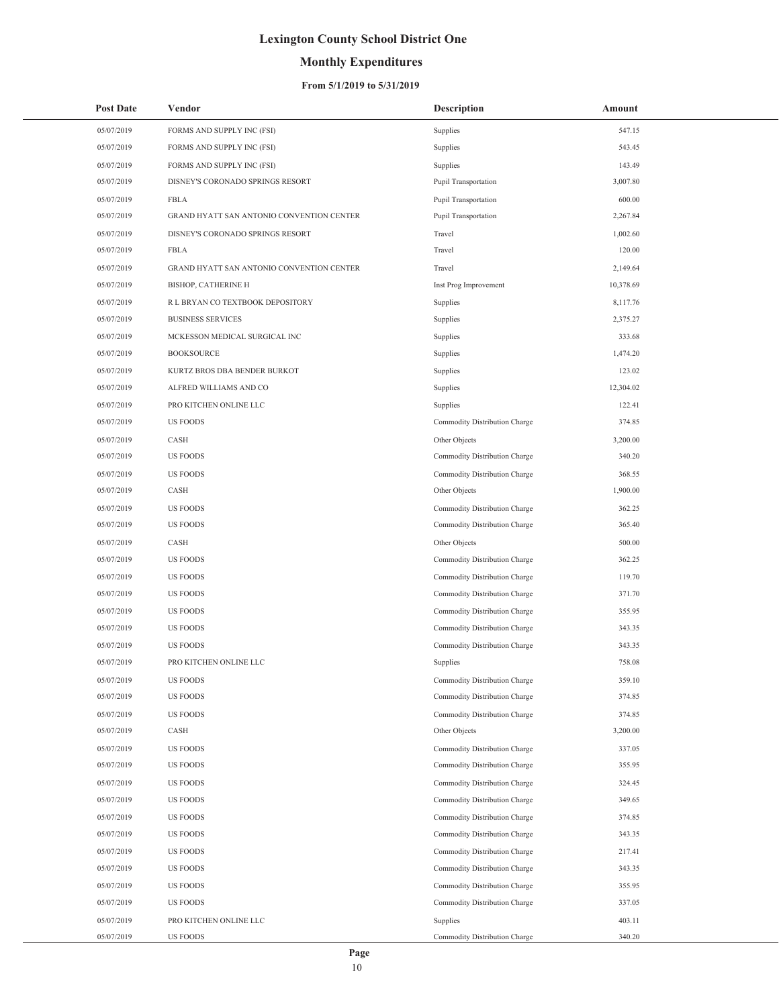## **Monthly Expenditures**

| <b>Post Date</b> | Vendor                                    | <b>Description</b>            | Amount    |
|------------------|-------------------------------------------|-------------------------------|-----------|
| 05/07/2019       | FORMS AND SUPPLY INC (FSI)                | Supplies                      | 547.15    |
| 05/07/2019       | FORMS AND SUPPLY INC (FSI)                | Supplies                      | 543.45    |
| 05/07/2019       | FORMS AND SUPPLY INC (FSI)                | Supplies                      | 143.49    |
| 05/07/2019       | DISNEY'S CORONADO SPRINGS RESORT          | Pupil Transportation          | 3,007.80  |
| 05/07/2019       | <b>FBLA</b>                               | Pupil Transportation          | 600.00    |
| 05/07/2019       | GRAND HYATT SAN ANTONIO CONVENTION CENTER | Pupil Transportation          | 2,267.84  |
| 05/07/2019       | DISNEY'S CORONADO SPRINGS RESORT          | Travel                        | 1,002.60  |
| 05/07/2019       | FBLA                                      | Travel                        | 120.00    |
| 05/07/2019       | GRAND HYATT SAN ANTONIO CONVENTION CENTER | Travel                        | 2,149.64  |
| 05/07/2019       | <b>BISHOP, CATHERINE H</b>                | Inst Prog Improvement         | 10,378.69 |
| 05/07/2019       | R L BRYAN CO TEXTBOOK DEPOSITORY          | Supplies                      | 8,117.76  |
| 05/07/2019       | <b>BUSINESS SERVICES</b>                  | Supplies                      | 2,375.27  |
| 05/07/2019       | MCKESSON MEDICAL SURGICAL INC             | Supplies                      | 333.68    |
| 05/07/2019       | <b>BOOKSOURCE</b>                         | Supplies                      | 1,474.20  |
| 05/07/2019       | KURTZ BROS DBA BENDER BURKOT              | Supplies                      | 123.02    |
| 05/07/2019       | ALFRED WILLIAMS AND CO                    | Supplies                      | 12,304.02 |
| 05/07/2019       | PRO KITCHEN ONLINE LLC                    | Supplies                      | 122.41    |
| 05/07/2019       | <b>US FOODS</b>                           | Commodity Distribution Charge | 374.85    |
| 05/07/2019       | CASH                                      | Other Objects                 | 3,200.00  |
| 05/07/2019       | <b>US FOODS</b>                           | Commodity Distribution Charge | 340.20    |
| 05/07/2019       | <b>US FOODS</b>                           | Commodity Distribution Charge | 368.55    |
| 05/07/2019       | CASH                                      | Other Objects                 | 1,900.00  |
| 05/07/2019       | <b>US FOODS</b>                           | Commodity Distribution Charge | 362.25    |
| 05/07/2019       | <b>US FOODS</b>                           | Commodity Distribution Charge | 365.40    |
| 05/07/2019       | CASH                                      | Other Objects                 | 500.00    |
| 05/07/2019       | <b>US FOODS</b>                           | Commodity Distribution Charge | 362.25    |
| 05/07/2019       | <b>US FOODS</b>                           | Commodity Distribution Charge | 119.70    |
| 05/07/2019       | <b>US FOODS</b>                           | Commodity Distribution Charge | 371.70    |
| 05/07/2019       | <b>US FOODS</b>                           | Commodity Distribution Charge | 355.95    |
| 05/07/2019       | <b>US FOODS</b>                           | Commodity Distribution Charge | 343.35    |
| 05/07/2019       | US FOODS                                  | Commodity Distribution Charge | 343.35    |
| 05/07/2019       | PRO KITCHEN ONLINE LLC                    | Supplies                      | 758.08    |
| 05/07/2019       | <b>US FOODS</b>                           | Commodity Distribution Charge | 359.10    |
| 05/07/2019       | <b>US FOODS</b>                           | Commodity Distribution Charge | 374.85    |
| 05/07/2019       | <b>US FOODS</b>                           | Commodity Distribution Charge | 374.85    |
| 05/07/2019       | CASH                                      | Other Objects                 | 3,200.00  |
| 05/07/2019       | <b>US FOODS</b>                           | Commodity Distribution Charge | 337.05    |
| 05/07/2019       | <b>US FOODS</b>                           | Commodity Distribution Charge | 355.95    |
| 05/07/2019       | <b>US FOODS</b>                           | Commodity Distribution Charge | 324.45    |
| 05/07/2019       | <b>US FOODS</b>                           | Commodity Distribution Charge | 349.65    |
| 05/07/2019       | <b>US FOODS</b>                           | Commodity Distribution Charge | 374.85    |
| 05/07/2019       | <b>US FOODS</b>                           | Commodity Distribution Charge | 343.35    |
| 05/07/2019       | <b>US FOODS</b>                           | Commodity Distribution Charge | 217.41    |
| 05/07/2019       | <b>US FOODS</b>                           | Commodity Distribution Charge | 343.35    |
| 05/07/2019       | <b>US FOODS</b>                           | Commodity Distribution Charge | 355.95    |
| 05/07/2019       | <b>US FOODS</b>                           | Commodity Distribution Charge | 337.05    |
| 05/07/2019       | PRO KITCHEN ONLINE LLC                    | Supplies                      | 403.11    |
| 05/07/2019       | US FOODS                                  | Commodity Distribution Charge | 340.20    |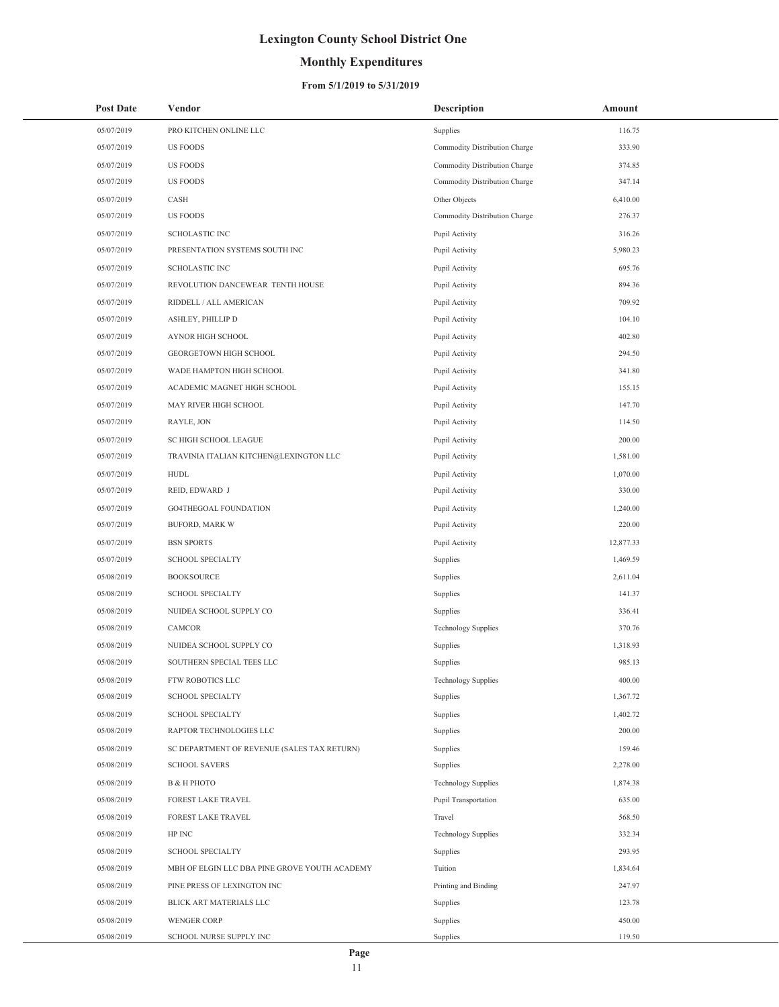## **Monthly Expenditures**

| <b>Post Date</b> | Vendor                                        | Description                   | Amount    |
|------------------|-----------------------------------------------|-------------------------------|-----------|
| 05/07/2019       | PRO KITCHEN ONLINE LLC                        | Supplies                      | 116.75    |
| 05/07/2019       | <b>US FOODS</b>                               | Commodity Distribution Charge | 333.90    |
| 05/07/2019       | <b>US FOODS</b>                               | Commodity Distribution Charge | 374.85    |
| 05/07/2019       | <b>US FOODS</b>                               | Commodity Distribution Charge | 347.14    |
| 05/07/2019       | CASH                                          | Other Objects                 | 6,410.00  |
| 05/07/2019       | <b>US FOODS</b>                               | Commodity Distribution Charge | 276.37    |
| 05/07/2019       | <b>SCHOLASTIC INC</b>                         | Pupil Activity                | 316.26    |
| 05/07/2019       | PRESENTATION SYSTEMS SOUTH INC                | Pupil Activity                | 5,980.23  |
| 05/07/2019       | <b>SCHOLASTIC INC</b>                         | Pupil Activity                | 695.76    |
| 05/07/2019       | REVOLUTION DANCEWEAR TENTH HOUSE              | Pupil Activity                | 894.36    |
| 05/07/2019       | RIDDELL / ALL AMERICAN                        | Pupil Activity                | 709.92    |
| 05/07/2019       | ASHLEY, PHILLIP D                             | Pupil Activity                | 104.10    |
| 05/07/2019       | AYNOR HIGH SCHOOL                             | Pupil Activity                | 402.80    |
| 05/07/2019       | GEORGETOWN HIGH SCHOOL                        | Pupil Activity                | 294.50    |
| 05/07/2019       | WADE HAMPTON HIGH SCHOOL                      | Pupil Activity                | 341.80    |
| 05/07/2019       | ACADEMIC MAGNET HIGH SCHOOL                   | Pupil Activity                | 155.15    |
| 05/07/2019       | MAY RIVER HIGH SCHOOL                         | Pupil Activity                | 147.70    |
| 05/07/2019       | RAYLE, JON                                    | Pupil Activity                | 114.50    |
| 05/07/2019       | SC HIGH SCHOOL LEAGUE                         | Pupil Activity                | 200.00    |
| 05/07/2019       | TRAVINIA ITALIAN KITCHEN@LEXINGTON LLC        | Pupil Activity                | 1,581.00  |
| 05/07/2019       | HUDL                                          | Pupil Activity                | 1,070.00  |
| 05/07/2019       | REID, EDWARD J                                | Pupil Activity                | 330.00    |
| 05/07/2019       | GO4THEGOAL FOUNDATION                         | Pupil Activity                | 1,240.00  |
| 05/07/2019       | <b>BUFORD, MARK W</b>                         | Pupil Activity                | 220.00    |
| 05/07/2019       | <b>BSN SPORTS</b>                             | Pupil Activity                | 12,877.33 |
| 05/07/2019       | <b>SCHOOL SPECIALTY</b>                       | Supplies                      | 1,469.59  |
| 05/08/2019       | <b>BOOKSOURCE</b>                             | Supplies                      | 2,611.04  |
| 05/08/2019       | <b>SCHOOL SPECIALTY</b>                       | Supplies                      | 141.37    |
| 05/08/2019       | NUIDEA SCHOOL SUPPLY CO                       | Supplies                      | 336.41    |
| 05/08/2019       | CAMCOR                                        | <b>Technology Supplies</b>    | 370.76    |
| 05/08/2019       | NUIDEA SCHOOL SUPPLY CO                       | Supplies                      | 1,318.93  |
| 05/08/2019       | SOUTHERN SPECIAL TEES LLC                     | Supplies                      | 985.13    |
| 05/08/2019       | FTW ROBOTICS LLC                              | <b>Technology Supplies</b>    | 400.00    |
| 05/08/2019       | <b>SCHOOL SPECIALTY</b>                       | Supplies                      | 1,367.72  |
| 05/08/2019       | <b>SCHOOL SPECIALTY</b>                       | Supplies                      | 1,402.72  |
| 05/08/2019       | RAPTOR TECHNOLOGIES LLC                       | Supplies                      | 200.00    |
| 05/08/2019       | SC DEPARTMENT OF REVENUE (SALES TAX RETURN)   | Supplies                      | 159.46    |
| 05/08/2019       | <b>SCHOOL SAVERS</b>                          | Supplies                      | 2,278.00  |
| 05/08/2019       | В & Н РНОТО                                   | <b>Technology Supplies</b>    | 1,874.38  |
| 05/08/2019       | FOREST LAKE TRAVEL                            | Pupil Transportation          | 635.00    |
| 05/08/2019       | FOREST LAKE TRAVEL                            | Travel                        | 568.50    |
| 05/08/2019       | HP INC                                        | <b>Technology Supplies</b>    | 332.34    |
| 05/08/2019       | <b>SCHOOL SPECIALTY</b>                       | Supplies                      | 293.95    |
| 05/08/2019       | MBH OF ELGIN LLC DBA PINE GROVE YOUTH ACADEMY | Tuition                       | 1,834.64  |
| 05/08/2019       | PINE PRESS OF LEXINGTON INC                   | Printing and Binding          | 247.97    |
| 05/08/2019       | BLICK ART MATERIALS LLC                       | Supplies                      | 123.78    |
| 05/08/2019       | WENGER CORP                                   | Supplies                      | 450.00    |
| 05/08/2019       | SCHOOL NURSE SUPPLY INC                       | Supplies                      | 119.50    |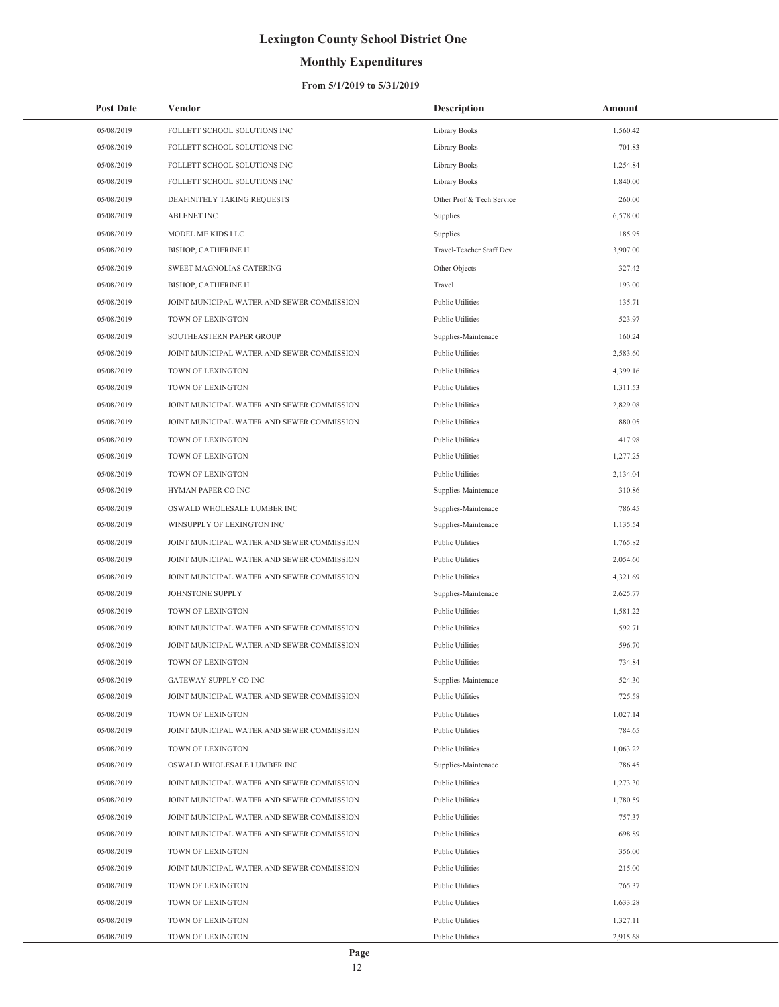## **Monthly Expenditures**

| <b>Post Date</b> | Vendor                                     | <b>Description</b>        | Amount   |
|------------------|--------------------------------------------|---------------------------|----------|
| 05/08/2019       | FOLLETT SCHOOL SOLUTIONS INC               | <b>Library Books</b>      | 1,560.42 |
| 05/08/2019       | FOLLETT SCHOOL SOLUTIONS INC               | Library Books             | 701.83   |
| 05/08/2019       | FOLLETT SCHOOL SOLUTIONS INC               | Library Books             | 1,254.84 |
| 05/08/2019       | FOLLETT SCHOOL SOLUTIONS INC               | Library Books             | 1,840.00 |
| 05/08/2019       | DEAFINITELY TAKING REQUESTS                | Other Prof & Tech Service | 260.00   |
| 05/08/2019       | <b>ABLENET INC</b>                         | Supplies                  | 6,578.00 |
| 05/08/2019       | MODEL ME KIDS LLC                          | Supplies                  | 185.95   |
| 05/08/2019       | <b>BISHOP, CATHERINE H</b>                 | Travel-Teacher Staff Dev  | 3,907.00 |
| 05/08/2019       | SWEET MAGNOLIAS CATERING                   | Other Objects             | 327.42   |
| 05/08/2019       | <b>BISHOP, CATHERINE H</b>                 | Travel                    | 193.00   |
| 05/08/2019       | JOINT MUNICIPAL WATER AND SEWER COMMISSION | <b>Public Utilities</b>   | 135.71   |
| 05/08/2019       | TOWN OF LEXINGTON                          | <b>Public Utilities</b>   | 523.97   |
| 05/08/2019       | SOUTHEASTERN PAPER GROUP                   | Supplies-Maintenace       | 160.24   |
| 05/08/2019       | JOINT MUNICIPAL WATER AND SEWER COMMISSION | <b>Public Utilities</b>   | 2,583.60 |
| 05/08/2019       | TOWN OF LEXINGTON                          | <b>Public Utilities</b>   | 4,399.16 |
| 05/08/2019       | TOWN OF LEXINGTON                          | <b>Public Utilities</b>   | 1.311.53 |
| 05/08/2019       | JOINT MUNICIPAL WATER AND SEWER COMMISSION | <b>Public Utilities</b>   | 2,829.08 |
| 05/08/2019       | JOINT MUNICIPAL WATER AND SEWER COMMISSION | <b>Public Utilities</b>   | 880.05   |
| 05/08/2019       | TOWN OF LEXINGTON                          | <b>Public Utilities</b>   | 417.98   |
| 05/08/2019       | TOWN OF LEXINGTON                          | <b>Public Utilities</b>   | 1,277.25 |
| 05/08/2019       | TOWN OF LEXINGTON                          | <b>Public Utilities</b>   | 2,134.04 |
| 05/08/2019       | HYMAN PAPER CO INC                         | Supplies-Maintenace       | 310.86   |
| 05/08/2019       | OSWALD WHOLESALE LUMBER INC                | Supplies-Maintenace       | 786.45   |
| 05/08/2019       | WINSUPPLY OF LEXINGTON INC                 | Supplies-Maintenace       | 1,135.54 |
| 05/08/2019       | JOINT MUNICIPAL WATER AND SEWER COMMISSION | <b>Public Utilities</b>   | 1,765.82 |
| 05/08/2019       | JOINT MUNICIPAL WATER AND SEWER COMMISSION | <b>Public Utilities</b>   | 2,054.60 |
| 05/08/2019       | JOINT MUNICIPAL WATER AND SEWER COMMISSION | <b>Public Utilities</b>   | 4,321.69 |
| 05/08/2019       | JOHNSTONE SUPPLY                           | Supplies-Maintenace       | 2,625.77 |
| 05/08/2019       | TOWN OF LEXINGTON                          | <b>Public Utilities</b>   | 1.581.22 |
| 05/08/2019       | JOINT MUNICIPAL WATER AND SEWER COMMISSION | <b>Public Utilities</b>   | 592.71   |
| 05/08/2019       | JOINT MUNICIPAL WATER AND SEWER COMMISSION | <b>Public Utilities</b>   | 596.70   |
| 05/08/2019       | TOWN OF LEXINGTON                          | <b>Public Utilities</b>   | 734.84   |
| 05/08/2019       | GATEWAY SUPPLY CO INC                      | Supplies-Maintenace       | 524.30   |
| 05/08/2019       | JOINT MUNICIPAL WATER AND SEWER COMMISSION | Public Utilities          | 725.58   |
| 05/08/2019       | TOWN OF LEXINGTON                          | <b>Public Utilities</b>   | 1,027.14 |
| 05/08/2019       | JOINT MUNICIPAL WATER AND SEWER COMMISSION | <b>Public Utilities</b>   | 784.65   |
| 05/08/2019       | <b>TOWN OF LEXINGTON</b>                   | <b>Public Utilities</b>   | 1,063.22 |
| 05/08/2019       | OSWALD WHOLESALE LUMBER INC                | Supplies-Maintenace       | 786.45   |
| 05/08/2019       | JOINT MUNICIPAL WATER AND SEWER COMMISSION | <b>Public Utilities</b>   | 1,273.30 |
| 05/08/2019       | JOINT MUNICIPAL WATER AND SEWER COMMISSION | <b>Public Utilities</b>   | 1,780.59 |
| 05/08/2019       | JOINT MUNICIPAL WATER AND SEWER COMMISSION | <b>Public Utilities</b>   | 757.37   |
| 05/08/2019       | JOINT MUNICIPAL WATER AND SEWER COMMISSION | <b>Public Utilities</b>   | 698.89   |
| 05/08/2019       | TOWN OF LEXINGTON                          | Public Utilities          | 356.00   |
| 05/08/2019       | JOINT MUNICIPAL WATER AND SEWER COMMISSION | <b>Public Utilities</b>   | 215.00   |
| 05/08/2019       | TOWN OF LEXINGTON                          | <b>Public Utilities</b>   | 765.37   |
| 05/08/2019       | TOWN OF LEXINGTON                          | <b>Public Utilities</b>   | 1,633.28 |
| 05/08/2019       | TOWN OF LEXINGTON                          | Public Utilities          | 1,327.11 |
| 05/08/2019       | TOWN OF LEXINGTON                          | Public Utilities          | 2,915.68 |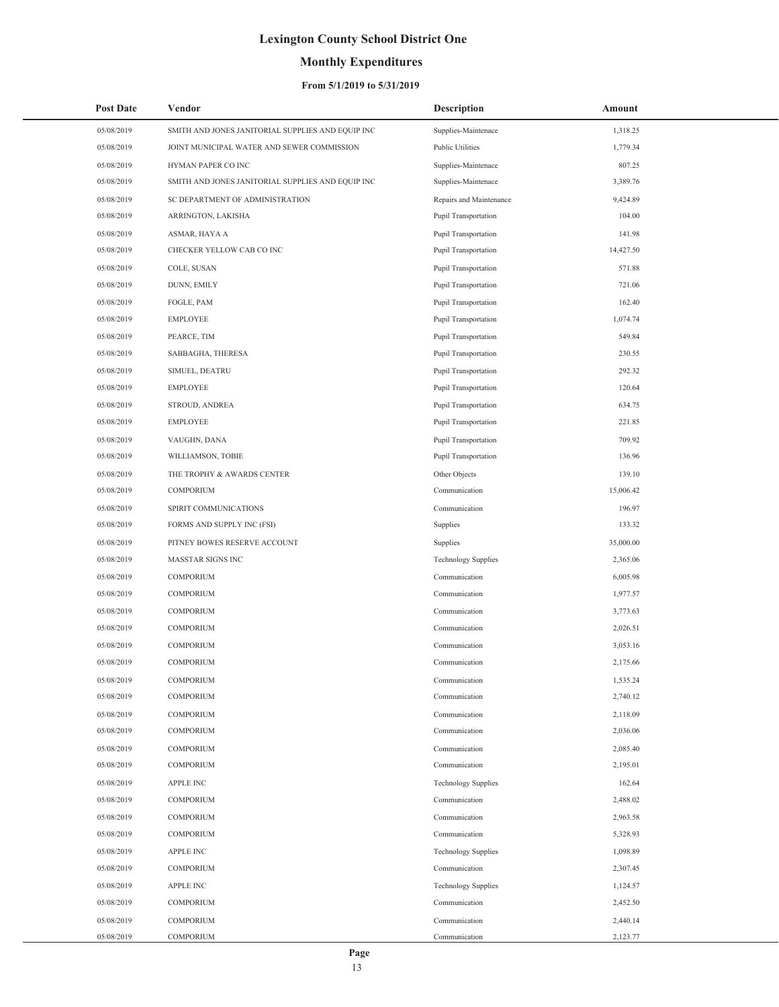## **Monthly Expenditures**

### **From 5/1/2019 to 5/31/2019**

| <b>Post Date</b> | Vendor                                            | <b>Description</b>         | Amount    |
|------------------|---------------------------------------------------|----------------------------|-----------|
| 05/08/2019       | SMITH AND JONES JANITORIAL SUPPLIES AND EQUIP INC | Supplies-Maintenace        | 1,318.25  |
| 05/08/2019       | JOINT MUNICIPAL WATER AND SEWER COMMISSION        | Public Utilities           | 1,779.34  |
| 05/08/2019       | HYMAN PAPER CO INC                                | Supplies-Maintenace        | 807.25    |
| 05/08/2019       | SMITH AND JONES JANITORIAL SUPPLIES AND EQUIP INC | Supplies-Maintenace        | 3,389.76  |
| 05/08/2019       | SC DEPARTMENT OF ADMINISTRATION                   | Repairs and Maintenance    | 9,424.89  |
| 05/08/2019       | ARRINGTON, LAKISHA                                | Pupil Transportation       | 104.00    |
| 05/08/2019       | ASMAR, HAYA A                                     | Pupil Transportation       | 141.98    |
| 05/08/2019       | CHECKER YELLOW CAB CO INC                         | Pupil Transportation       | 14,427.50 |
| 05/08/2019       | COLE, SUSAN                                       | Pupil Transportation       | 571.88    |
| 05/08/2019       | DUNN, EMILY                                       | Pupil Transportation       | 721.06    |
| 05/08/2019       | FOGLE, PAM                                        | Pupil Transportation       | 162.40    |
| 05/08/2019       | <b>EMPLOYEE</b>                                   | Pupil Transportation       | 1,074.74  |
| 05/08/2019       | PEARCE, TIM                                       | Pupil Transportation       | 549.84    |
| 05/08/2019       | SABBAGHA, THERESA                                 | Pupil Transportation       | 230.55    |
| 05/08/2019       | SIMUEL, DEATRU                                    | Pupil Transportation       | 292.32    |
| 05/08/2019       | <b>EMPLOYEE</b>                                   | Pupil Transportation       | 120.64    |
| 05/08/2019       | STROUD, ANDREA                                    | Pupil Transportation       | 634.75    |
| 05/08/2019       | <b>EMPLOYEE</b>                                   | Pupil Transportation       | 221.85    |
| 05/08/2019       | VAUGHN, DANA                                      | Pupil Transportation       | 709.92    |
| 05/08/2019       | WILLIAMSON, TOBIE                                 | Pupil Transportation       | 136.96    |
| 05/08/2019       | THE TROPHY & AWARDS CENTER                        | Other Objects              | 139.10    |
| 05/08/2019       | COMPORIUM                                         | Communication              | 15,006.42 |
| 05/08/2019       | SPIRIT COMMUNICATIONS                             | Communication              | 196.97    |
| 05/08/2019       | FORMS AND SUPPLY INC (FSI)                        | Supplies                   | 133.32    |
| 05/08/2019       | PITNEY BOWES RESERVE ACCOUNT                      | Supplies                   | 35,000.00 |
| 05/08/2019       | MASSTAR SIGNS INC                                 | <b>Technology Supplies</b> | 2,365.06  |
| 05/08/2019       | COMPORIUM                                         | Communication              | 6,005.98  |
| 05/08/2019       | COMPORIUM                                         | Communication              | 1,977.57  |
| 05/08/2019       | COMPORIUM                                         | Communication              | 3,773.63  |
| 05/08/2019       | COMPORIUM                                         | Communication              | 2,026.51  |
| 05/08/2019       | COMPORIUM                                         | Communication              | 3,053.16  |
| 05/08/2019       | <b>COMPORIUM</b>                                  | Communication              | 2,175.66  |
| 05/08/2019       | COMPORIUM                                         | Communication              | 1,535.24  |
| 05/08/2019       | COMPORIUM                                         | Communication              | 2,740.12  |
| 05/08/2019       | COMPORIUM                                         | Communication              | 2,118.09  |
| 05/08/2019       | COMPORIUM                                         | Communication              | 2,036.06  |
| 05/08/2019       | COMPORIUM                                         | Communication              | 2,085.40  |
| 05/08/2019       | COMPORIUM                                         | Communication              | 2,195.01  |
| 05/08/2019       | APPLE INC                                         | <b>Technology Supplies</b> | 162.64    |
| 05/08/2019       | COMPORIUM                                         | Communication              | 2,488.02  |
| 05/08/2019       | COMPORIUM                                         | Communication              | 2,963.58  |
| 05/08/2019       | COMPORIUM                                         | Communication              | 5,328.93  |
| 05/08/2019       | APPLE INC                                         | <b>Technology Supplies</b> | 1,098.89  |
| 05/08/2019       | COMPORIUM                                         | Communication              | 2,307.45  |
| 05/08/2019       | <b>APPLE INC</b>                                  | <b>Technology Supplies</b> | 1,124.57  |
| 05/08/2019       | COMPORIUM                                         | Communication              | 2,452.50  |
| 05/08/2019       | COMPORIUM                                         | Communication              | 2,440.14  |
| 05/08/2019       | COMPORIUM                                         | Communication              | 2,123.77  |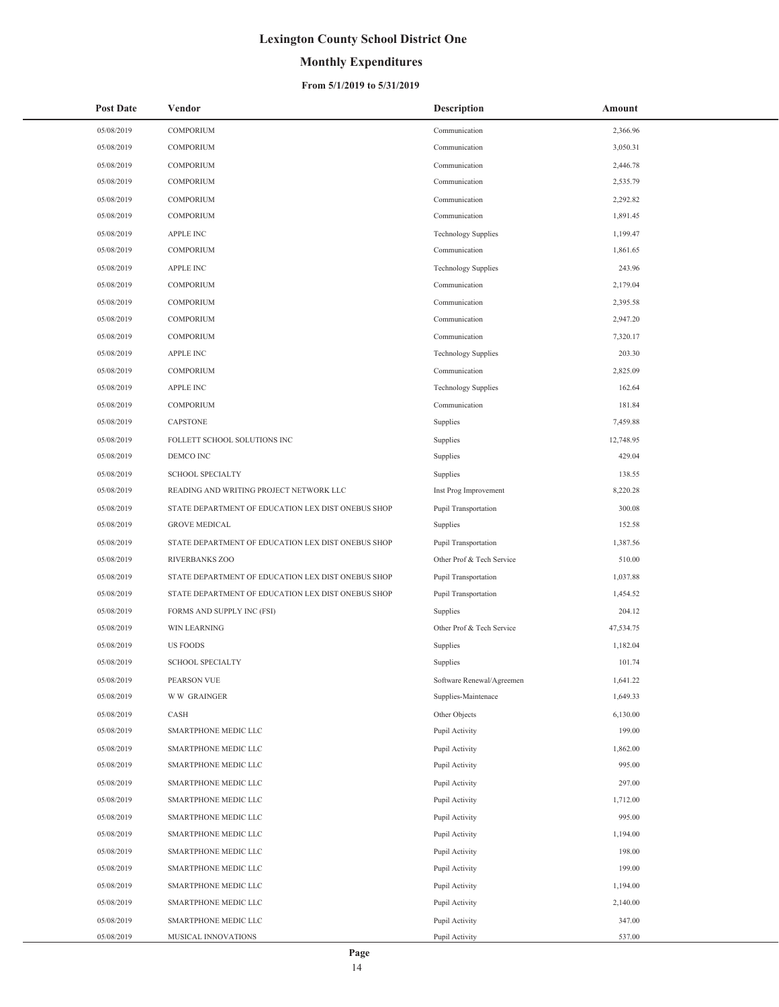## **Monthly Expenditures**

### **From 5/1/2019 to 5/31/2019**

| <b>Post Date</b> | Vendor                                             | <b>Description</b>         | Amount    |
|------------------|----------------------------------------------------|----------------------------|-----------|
| 05/08/2019       | COMPORIUM                                          | Communication              | 2,366.96  |
| 05/08/2019       | <b>COMPORIUM</b>                                   | Communication              | 3,050.31  |
| 05/08/2019       | COMPORIUM                                          | Communication              | 2,446.78  |
| 05/08/2019       | <b>COMPORIUM</b>                                   | Communication              | 2,535.79  |
| 05/08/2019       | COMPORIUM                                          | Communication              | 2,292.82  |
| 05/08/2019       | COMPORIUM                                          | Communication              | 1,891.45  |
| 05/08/2019       | <b>APPLE INC</b>                                   | <b>Technology Supplies</b> | 1,199.47  |
| 05/08/2019       | COMPORIUM                                          | Communication              | 1,861.65  |
| 05/08/2019       | <b>APPLE INC</b>                                   | <b>Technology Supplies</b> | 243.96    |
| 05/08/2019       | COMPORIUM                                          | Communication              | 2,179.04  |
| 05/08/2019       | COMPORIUM                                          | Communication              | 2,395.58  |
| 05/08/2019       | COMPORIUM                                          | Communication              | 2,947.20  |
| 05/08/2019       | COMPORIUM                                          | Communication              | 7,320.17  |
| 05/08/2019       | <b>APPLE INC</b>                                   | <b>Technology Supplies</b> | 203.30    |
| 05/08/2019       | COMPORIUM                                          | Communication              | 2,825.09  |
| 05/08/2019       | <b>APPLE INC</b>                                   | <b>Technology Supplies</b> | 162.64    |
| 05/08/2019       | COMPORIUM                                          | Communication              | 181.84    |
| 05/08/2019       | CAPSTONE                                           | Supplies                   | 7,459.88  |
| 05/08/2019       | FOLLETT SCHOOL SOLUTIONS INC                       | Supplies                   | 12,748.95 |
| 05/08/2019       | DEMCO INC                                          | Supplies                   | 429.04    |
| 05/08/2019       | <b>SCHOOL SPECIALTY</b>                            | Supplies                   | 138.55    |
| 05/08/2019       | READING AND WRITING PROJECT NETWORK LLC            | Inst Prog Improvement      | 8,220.28  |
| 05/08/2019       | STATE DEPARTMENT OF EDUCATION LEX DIST ONEBUS SHOP | Pupil Transportation       | 300.08    |
| 05/08/2019       | <b>GROVE MEDICAL</b>                               | Supplies                   | 152.58    |
| 05/08/2019       | STATE DEPARTMENT OF EDUCATION LEX DIST ONEBUS SHOP | Pupil Transportation       | 1,387.56  |
| 05/08/2019       | RIVERBANKS ZOO                                     | Other Prof & Tech Service  | 510.00    |
| 05/08/2019       | STATE DEPARTMENT OF EDUCATION LEX DIST ONEBUS SHOP | Pupil Transportation       | 1,037.88  |
| 05/08/2019       | STATE DEPARTMENT OF EDUCATION LEX DIST ONEBUS SHOP | Pupil Transportation       | 1,454.52  |
| 05/08/2019       | FORMS AND SUPPLY INC (FSI)                         | Supplies                   | 204.12    |
| 05/08/2019       | WIN LEARNING                                       | Other Prof & Tech Service  | 47,534.75 |
| 05/08/2019       | <b>US FOODS</b>                                    | Supplies                   | 1,182.04  |
| 05/08/2019       | <b>SCHOOL SPECIALTY</b>                            | Supplies                   | 101.74    |
| 05/08/2019       | PEARSON VUE                                        | Software Renewal/Agreemen  | 1,641.22  |
| 05/08/2019       | <b>WW GRAINGER</b>                                 | Supplies-Maintenace        | 1,649.33  |
| 05/08/2019       | CASH                                               | Other Objects              | 6,130.00  |
| 05/08/2019       | SMARTPHONE MEDIC LLC                               | Pupil Activity             | 199.00    |
| 05/08/2019       | SMARTPHONE MEDIC LLC                               | Pupil Activity             | 1,862.00  |
| 05/08/2019       | SMARTPHONE MEDIC LLC                               | Pupil Activity             | 995.00    |
| 05/08/2019       | SMARTPHONE MEDIC LLC                               | Pupil Activity             | 297.00    |
| 05/08/2019       | SMARTPHONE MEDIC LLC                               | Pupil Activity             | 1,712.00  |
| 05/08/2019       | SMARTPHONE MEDIC LLC                               | Pupil Activity             | 995.00    |
| 05/08/2019       | SMARTPHONE MEDIC LLC                               | Pupil Activity             | 1,194.00  |
| 05/08/2019       | SMARTPHONE MEDIC LLC                               | Pupil Activity             | 198.00    |
| 05/08/2019       | SMARTPHONE MEDIC LLC                               | Pupil Activity             | 199.00    |
| 05/08/2019       | SMARTPHONE MEDIC LLC                               | Pupil Activity             | 1,194.00  |
| 05/08/2019       | SMARTPHONE MEDIC LLC                               | Pupil Activity             | 2,140.00  |
| 05/08/2019       | SMARTPHONE MEDIC LLC                               | Pupil Activity             | 347.00    |
| 05/08/2019       | MUSICAL INNOVATIONS                                | Pupil Activity             | 537.00    |

÷,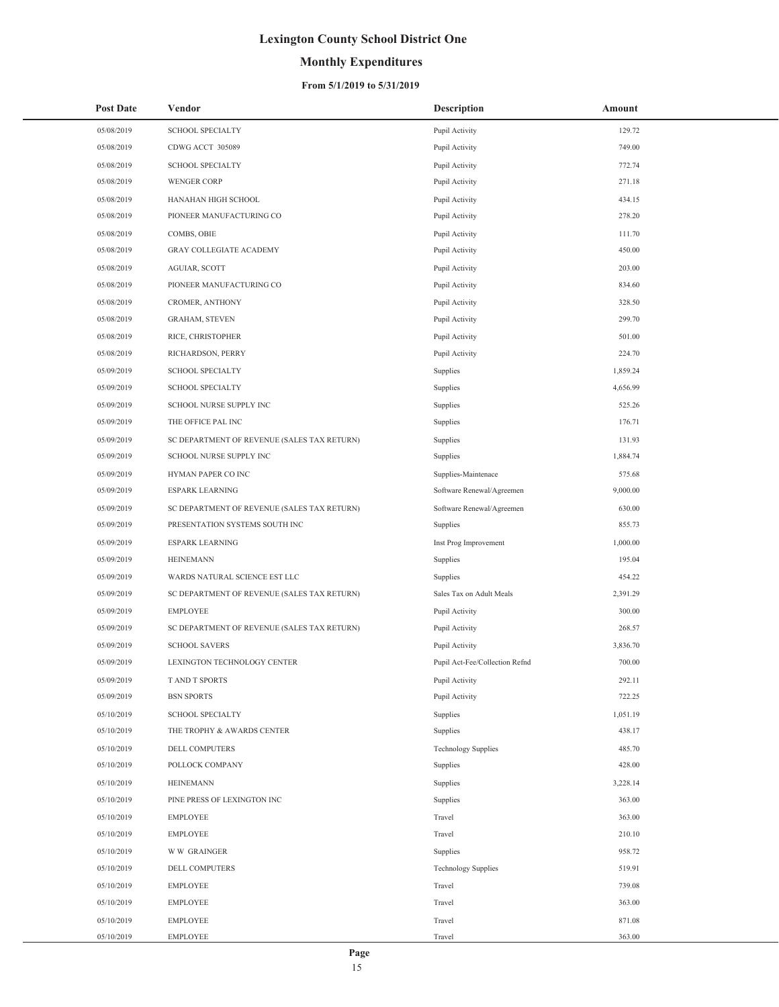## **Monthly Expenditures**

### **From 5/1/2019 to 5/31/2019**

| <b>Post Date</b> | Vendor                                      | <b>Description</b>             | Amount   |
|------------------|---------------------------------------------|--------------------------------|----------|
| 05/08/2019       | <b>SCHOOL SPECIALTY</b>                     | Pupil Activity                 | 129.72   |
| 05/08/2019       | CDWG ACCT 305089                            | Pupil Activity                 | 749.00   |
| 05/08/2019       | <b>SCHOOL SPECIALTY</b>                     | Pupil Activity                 | 772.74   |
| 05/08/2019       | <b>WENGER CORP</b>                          | Pupil Activity                 | 271.18   |
| 05/08/2019       | HANAHAN HIGH SCHOOL                         | Pupil Activity                 | 434.15   |
| 05/08/2019       | PIONEER MANUFACTURING CO                    | Pupil Activity                 | 278.20   |
| 05/08/2019       | COMBS, OBIE                                 | Pupil Activity                 | 111.70   |
| 05/08/2019       | <b>GRAY COLLEGIATE ACADEMY</b>              | Pupil Activity                 | 450.00   |
| 05/08/2019       | AGUIAR, SCOTT                               | Pupil Activity                 | 203.00   |
| 05/08/2019       | PIONEER MANUFACTURING CO                    | Pupil Activity                 | 834.60   |
| 05/08/2019       | CROMER, ANTHONY                             | Pupil Activity                 | 328.50   |
| 05/08/2019       | <b>GRAHAM, STEVEN</b>                       | Pupil Activity                 | 299.70   |
| 05/08/2019       | RICE, CHRISTOPHER                           | Pupil Activity                 | 501.00   |
| 05/08/2019       | RICHARDSON, PERRY                           | Pupil Activity                 | 224.70   |
| 05/09/2019       | <b>SCHOOL SPECIALTY</b>                     | Supplies                       | 1,859.24 |
| 05/09/2019       | <b>SCHOOL SPECIALTY</b>                     | Supplies                       | 4,656.99 |
| 05/09/2019       | SCHOOL NURSE SUPPLY INC                     | Supplies                       | 525.26   |
| 05/09/2019       | THE OFFICE PAL INC                          | Supplies                       | 176.71   |
| 05/09/2019       | SC DEPARTMENT OF REVENUE (SALES TAX RETURN) | Supplies                       | 131.93   |
| 05/09/2019       | SCHOOL NURSE SUPPLY INC                     | Supplies                       | 1,884.74 |
| 05/09/2019       | HYMAN PAPER CO INC                          | Supplies-Maintenace            | 575.68   |
| 05/09/2019       | <b>ESPARK LEARNING</b>                      | Software Renewal/Agreemen      | 9,000.00 |
| 05/09/2019       | SC DEPARTMENT OF REVENUE (SALES TAX RETURN) | Software Renewal/Agreemen      | 630.00   |
| 05/09/2019       | PRESENTATION SYSTEMS SOUTH INC              | Supplies                       | 855.73   |
| 05/09/2019       | <b>ESPARK LEARNING</b>                      | Inst Prog Improvement          | 1,000.00 |
| 05/09/2019       | <b>HEINEMANN</b>                            | Supplies                       | 195.04   |
| 05/09/2019       | WARDS NATURAL SCIENCE EST LLC               | Supplies                       | 454.22   |
| 05/09/2019       | SC DEPARTMENT OF REVENUE (SALES TAX RETURN) | Sales Tax on Adult Meals       | 2,391.29 |
| 05/09/2019       | <b>EMPLOYEE</b>                             | Pupil Activity                 | 300.00   |
| 05/09/2019       | SC DEPARTMENT OF REVENUE (SALES TAX RETURN) | Pupil Activity                 | 268.57   |
| 05/09/2019       | <b>SCHOOL SAVERS</b>                        | Pupil Activity                 | 3,836.70 |
| 05/09/2019       | LEXINGTON TECHNOLOGY CENTER                 | Pupil Act-Fee/Collection Refnd | 700.00   |
| 05/09/2019       | T AND T SPORTS                              | Pupil Activity                 | 292.11   |
| 05/09/2019       | <b>BSN SPORTS</b>                           | Pupil Activity                 | 722.25   |
| 05/10/2019       | <b>SCHOOL SPECIALTY</b>                     | Supplies                       | 1,051.19 |
| 05/10/2019       | THE TROPHY & AWARDS CENTER                  | Supplies                       | 438.17   |
| 05/10/2019       | <b>DELL COMPUTERS</b>                       | <b>Technology Supplies</b>     | 485.70   |
| 05/10/2019       | POLLOCK COMPANY                             | Supplies                       | 428.00   |
| 05/10/2019       | <b>HEINEMANN</b>                            | Supplies                       | 3,228.14 |
| 05/10/2019       | PINE PRESS OF LEXINGTON INC                 | Supplies                       | 363.00   |
| 05/10/2019       | <b>EMPLOYEE</b>                             | Travel                         | 363.00   |
| 05/10/2019       | <b>EMPLOYEE</b>                             | Travel                         | 210.10   |
| 05/10/2019       | <b>WW GRAINGER</b>                          | Supplies                       | 958.72   |
| 05/10/2019       | DELL COMPUTERS                              | <b>Technology Supplies</b>     | 519.91   |
| 05/10/2019       | <b>EMPLOYEE</b>                             | Travel                         | 739.08   |
| 05/10/2019       | <b>EMPLOYEE</b>                             | Travel                         | 363.00   |
| 05/10/2019       | <b>EMPLOYEE</b>                             | Travel                         | 871.08   |
| 05/10/2019       | <b>EMPLOYEE</b>                             | Travel                         | 363.00   |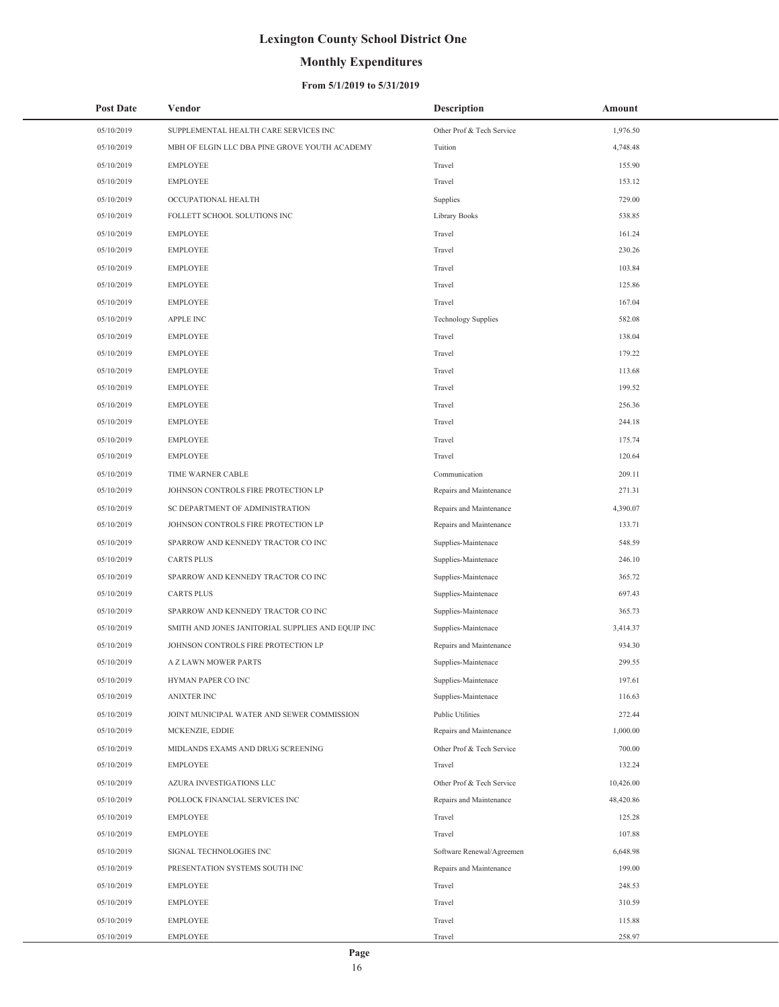## **Monthly Expenditures**

### **From 5/1/2019 to 5/31/2019**

| <b>Post Date</b> | Vendor                                            | <b>Description</b>         | Amount    |  |
|------------------|---------------------------------------------------|----------------------------|-----------|--|
| 05/10/2019       | SUPPLEMENTAL HEALTH CARE SERVICES INC             | Other Prof & Tech Service  | 1,976.50  |  |
| 05/10/2019       | MBH OF ELGIN LLC DBA PINE GROVE YOUTH ACADEMY     | Tuition                    | 4,748.48  |  |
| 05/10/2019       | <b>EMPLOYEE</b>                                   | Travel                     | 155.90    |  |
| 05/10/2019       | <b>EMPLOYEE</b>                                   | Travel                     | 153.12    |  |
| 05/10/2019       | OCCUPATIONAL HEALTH                               | Supplies                   | 729.00    |  |
| 05/10/2019       | FOLLETT SCHOOL SOLUTIONS INC                      | Library Books              | 538.85    |  |
| 05/10/2019       | <b>EMPLOYEE</b>                                   | Travel                     | 161.24    |  |
| 05/10/2019       | <b>EMPLOYEE</b>                                   | Travel                     | 230.26    |  |
| 05/10/2019       | <b>EMPLOYEE</b>                                   | Travel                     | 103.84    |  |
| 05/10/2019       | <b>EMPLOYEE</b>                                   | Travel                     | 125.86    |  |
| 05/10/2019       | <b>EMPLOYEE</b>                                   | Travel                     | 167.04    |  |
| 05/10/2019       | <b>APPLE INC</b>                                  | <b>Technology Supplies</b> | 582.08    |  |
| 05/10/2019       | <b>EMPLOYEE</b>                                   | Travel                     | 138.04    |  |
| 05/10/2019       | <b>EMPLOYEE</b>                                   | Travel                     | 179.22    |  |
| 05/10/2019       | <b>EMPLOYEE</b>                                   | Travel                     | 113.68    |  |
| 05/10/2019       | <b>EMPLOYEE</b>                                   | Travel                     | 199.52    |  |
| 05/10/2019       | <b>EMPLOYEE</b>                                   | Travel                     | 256.36    |  |
| 05/10/2019       | <b>EMPLOYEE</b>                                   | Travel                     | 244.18    |  |
| 05/10/2019       | <b>EMPLOYEE</b>                                   | Travel                     | 175.74    |  |
| 05/10/2019       | <b>EMPLOYEE</b>                                   | Travel                     | 120.64    |  |
| 05/10/2019       | TIME WARNER CABLE                                 | Communication              | 209.11    |  |
| 05/10/2019       | JOHNSON CONTROLS FIRE PROTECTION LP               | Repairs and Maintenance    | 271.31    |  |
| 05/10/2019       | SC DEPARTMENT OF ADMINISTRATION                   | Repairs and Maintenance    | 4,390.07  |  |
| 05/10/2019       | JOHNSON CONTROLS FIRE PROTECTION LP               | Repairs and Maintenance    | 133.71    |  |
| 05/10/2019       | SPARROW AND KENNEDY TRACTOR CO INC                | Supplies-Maintenace        | 548.59    |  |
| 05/10/2019       | <b>CARTS PLUS</b>                                 | Supplies-Maintenace        | 246.10    |  |
| 05/10/2019       | SPARROW AND KENNEDY TRACTOR CO INC                | Supplies-Maintenace        | 365.72    |  |
| 05/10/2019       | <b>CARTS PLUS</b>                                 | Supplies-Maintenace        | 697.43    |  |
| 05/10/2019       | SPARROW AND KENNEDY TRACTOR CO INC                | Supplies-Maintenace        | 365.73    |  |
| 05/10/2019       | SMITH AND JONES JANITORIAL SUPPLIES AND EQUIP INC | Supplies-Maintenace        | 3,414.37  |  |
| 05/10/2019       | JOHNSON CONTROLS FIRE PROTECTION LP               | Repairs and Maintenance    | 934.30    |  |
| 05/10/2019       | A Z LAWN MOWER PARTS                              | Supplies-Maintenace        | 299.55    |  |
| 05/10/2019       | HYMAN PAPER CO INC                                | Supplies-Maintenace        | 197.61    |  |
| 05/10/2019       | <b>ANIXTER INC</b>                                | Supplies-Maintenace        | 116.63    |  |
| 05/10/2019       | JOINT MUNICIPAL WATER AND SEWER COMMISSION        | <b>Public Utilities</b>    | 272.44    |  |
| 05/10/2019       | MCKENZIE, EDDIE                                   | Repairs and Maintenance    | 1,000.00  |  |
| 05/10/2019       | MIDLANDS EXAMS AND DRUG SCREENING                 | Other Prof & Tech Service  | 700.00    |  |
| 05/10/2019       | <b>EMPLOYEE</b>                                   | Travel                     | 132.24    |  |
| 05/10/2019       | AZURA INVESTIGATIONS LLC                          | Other Prof & Tech Service  | 10,426.00 |  |
| 05/10/2019       | POLLOCK FINANCIAL SERVICES INC                    | Repairs and Maintenance    | 48,420.86 |  |
| 05/10/2019       | <b>EMPLOYEE</b>                                   | Travel                     | 125.28    |  |
| 05/10/2019       | <b>EMPLOYEE</b>                                   | Travel                     | 107.88    |  |
| 05/10/2019       | SIGNAL TECHNOLOGIES INC                           | Software Renewal/Agreemen  | 6,648.98  |  |
| 05/10/2019       | PRESENTATION SYSTEMS SOUTH INC                    | Repairs and Maintenance    | 199.00    |  |
| 05/10/2019       | <b>EMPLOYEE</b>                                   | Travel                     | 248.53    |  |
| 05/10/2019       | <b>EMPLOYEE</b>                                   | Travel                     | 310.59    |  |
| 05/10/2019       | <b>EMPLOYEE</b>                                   | Travel                     | 115.88    |  |
| 05/10/2019       | EMPLOYEE                                          | Travel                     | 258.97    |  |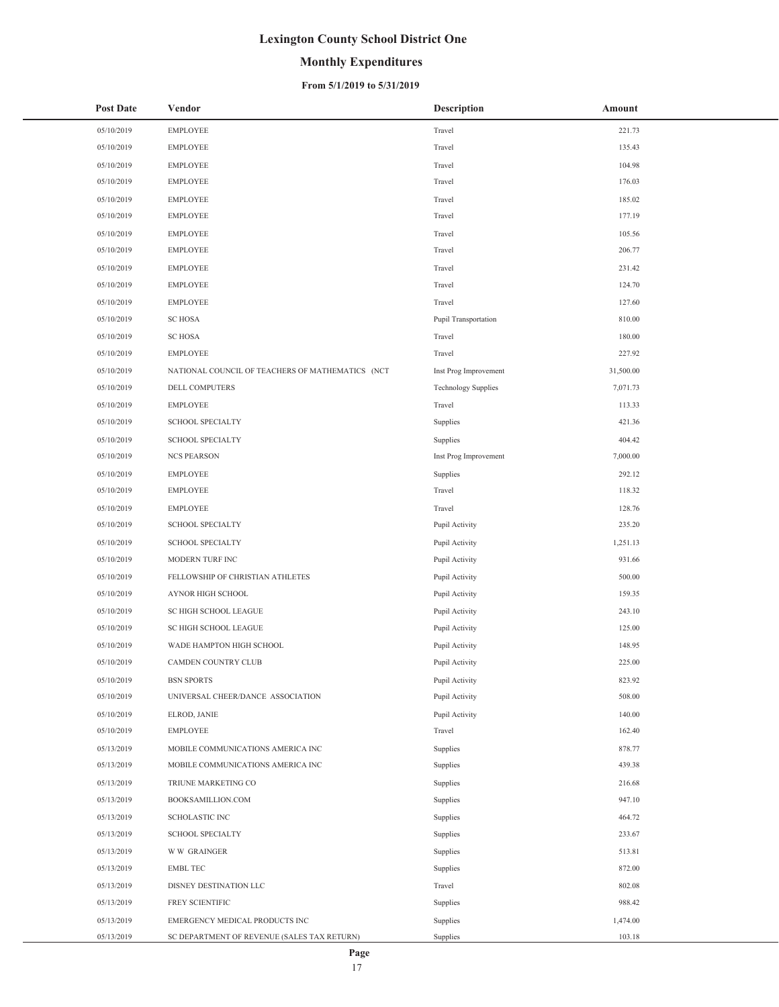## **Monthly Expenditures**

### **From 5/1/2019 to 5/31/2019**

| <b>Post Date</b>         | Vendor                                           | <b>Description</b>         | Amount           |
|--------------------------|--------------------------------------------------|----------------------------|------------------|
| 05/10/2019               | <b>EMPLOYEE</b>                                  | Travel                     | 221.73           |
| 05/10/2019               | <b>EMPLOYEE</b>                                  | Travel                     | 135.43           |
| 05/10/2019               | <b>EMPLOYEE</b>                                  | Travel                     | 104.98           |
| 05/10/2019               | <b>EMPLOYEE</b>                                  | Travel                     | 176.03           |
| 05/10/2019               | <b>EMPLOYEE</b>                                  | Travel                     | 185.02           |
| 05/10/2019               | EMPLOYEE                                         | Travel                     | 177.19           |
| 05/10/2019               | <b>EMPLOYEE</b>                                  | Travel                     | 105.56           |
| 05/10/2019               | <b>EMPLOYEE</b>                                  | Travel                     | 206.77           |
| 05/10/2019               | <b>EMPLOYEE</b>                                  | Travel                     | 231.42           |
| 05/10/2019               | <b>EMPLOYEE</b>                                  | Travel                     | 124.70           |
| 05/10/2019               | <b>EMPLOYEE</b>                                  | Travel                     | 127.60           |
| 05/10/2019               | <b>SC HOSA</b>                                   | Pupil Transportation       | 810.00           |
| 05/10/2019               | <b>SC HOSA</b>                                   | Travel                     | 180.00           |
| 05/10/2019               | <b>EMPLOYEE</b>                                  | Travel                     | 227.92           |
| 05/10/2019               | NATIONAL COUNCIL OF TEACHERS OF MATHEMATICS (NCT | Inst Prog Improvement      | 31,500.00        |
| 05/10/2019               | <b>DELL COMPUTERS</b>                            | <b>Technology Supplies</b> | 7,071.73         |
| 05/10/2019               | EMPLOYEE                                         | Travel                     | 113.33           |
| 05/10/2019               | <b>SCHOOL SPECIALTY</b>                          | Supplies                   | 421.36           |
| 05/10/2019               | SCHOOL SPECIALTY                                 | Supplies                   | 404.42           |
| 05/10/2019               | <b>NCS PEARSON</b>                               | Inst Prog Improvement      | 7,000.00         |
| 05/10/2019               | <b>EMPLOYEE</b>                                  | Supplies                   | 292.12           |
| 05/10/2019               | <b>EMPLOYEE</b>                                  | Travel                     | 118.32           |
| 05/10/2019               | <b>EMPLOYEE</b>                                  | Travel                     | 128.76           |
| 05/10/2019               | <b>SCHOOL SPECIALTY</b>                          | Pupil Activity             | 235.20           |
| 05/10/2019               | SCHOOL SPECIALTY                                 | Pupil Activity             | 1,251.13         |
| 05/10/2019               | MODERN TURF INC                                  | Pupil Activity             | 931.66           |
| 05/10/2019               | FELLOWSHIP OF CHRISTIAN ATHLETES                 | Pupil Activity             | 500.00           |
| 05/10/2019               | AYNOR HIGH SCHOOL                                | Pupil Activity             | 159.35           |
| 05/10/2019               | SC HIGH SCHOOL LEAGUE                            | Pupil Activity             | 243.10           |
| 05/10/2019               | SC HIGH SCHOOL LEAGUE                            | Pupil Activity             | 125.00           |
| 05/10/2019               | WADE HAMPTON HIGH SCHOOL                         | Pupil Activity             | 148.95           |
| 05/10/2019               | CAMDEN COUNTRY CLUB                              | Pupil Activity             | 225.00           |
| 05/10/2019               | <b>BSN SPORTS</b>                                | Pupil Activity             | 823.92           |
| 05/10/2019               | UNIVERSAL CHEER/DANCE ASSOCIATION                | Pupil Activity             | 508.00           |
| 05/10/2019               | ELROD, JANIE                                     | Pupil Activity             | 140.00           |
| 05/10/2019               | <b>EMPLOYEE</b>                                  | Travel                     | 162.40           |
| 05/13/2019<br>05/13/2019 | MOBILE COMMUNICATIONS AMERICA INC                | Supplies                   | 878.77<br>439.38 |
|                          | MOBILE COMMUNICATIONS AMERICA INC                | Supplies                   |                  |
| 05/13/2019<br>05/13/2019 | TRIUNE MARKETING CO<br>BOOKSAMILLION.COM         | Supplies                   | 216.68<br>947.10 |
| 05/13/2019               | SCHOLASTIC INC                                   | Supplies                   | 464.72           |
| 05/13/2019               | <b>SCHOOL SPECIALTY</b>                          | Supplies<br>Supplies       | 233.67           |
| 05/13/2019               | <b>WW GRAINGER</b>                               | Supplies                   | 513.81           |
| 05/13/2019               | <b>EMBL TEC</b>                                  | Supplies                   | 872.00           |
| 05/13/2019               | DISNEY DESTINATION LLC                           | Travel                     | 802.08           |
| 05/13/2019               | FREY SCIENTIFIC                                  | Supplies                   | 988.42           |
| 05/13/2019               | EMERGENCY MEDICAL PRODUCTS INC                   | Supplies                   | 1,474.00         |
| 05/13/2019               | SC DEPARTMENT OF REVENUE (SALES TAX RETURN)      | Supplies                   | 103.18           |

 $\overline{a}$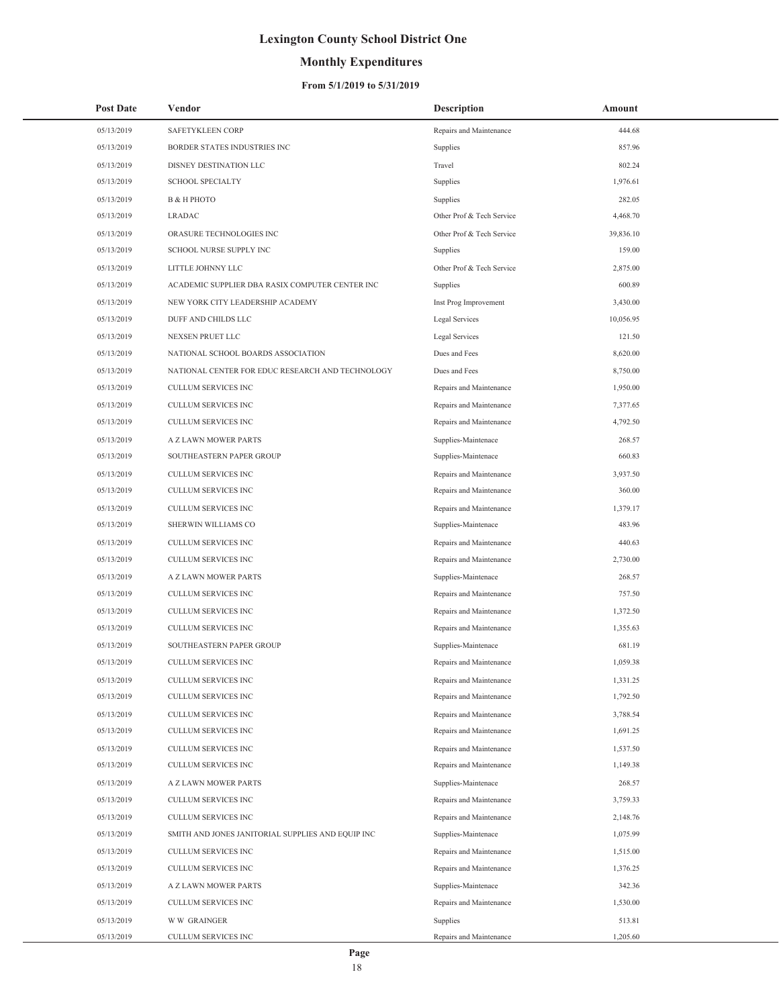## **Monthly Expenditures**

### **From 5/1/2019 to 5/31/2019**

| <b>Post Date</b> | Vendor                                            | <b>Description</b>        | Amount    |
|------------------|---------------------------------------------------|---------------------------|-----------|
| 05/13/2019       | SAFETYKLEEN CORP                                  | Repairs and Maintenance   | 444.68    |
| 05/13/2019       | BORDER STATES INDUSTRIES INC                      | Supplies                  | 857.96    |
| 05/13/2019       | DISNEY DESTINATION LLC                            | Travel                    | 802.24    |
| 05/13/2019       | <b>SCHOOL SPECIALTY</b>                           | Supplies                  | 1,976.61  |
| 05/13/2019       | <b>B &amp; H PHOTO</b>                            | Supplies                  | 282.05    |
| 05/13/2019       | <b>LRADAC</b>                                     | Other Prof & Tech Service | 4,468.70  |
| 05/13/2019       | ORASURE TECHNOLOGIES INC                          | Other Prof & Tech Service | 39,836.10 |
| 05/13/2019       | SCHOOL NURSE SUPPLY INC                           | Supplies                  | 159.00    |
| 05/13/2019       | LITTLE JOHNNY LLC                                 | Other Prof & Tech Service | 2,875.00  |
| 05/13/2019       | ACADEMIC SUPPLIER DBA RASIX COMPUTER CENTER INC   | Supplies                  | 600.89    |
| 05/13/2019       | NEW YORK CITY LEADERSHIP ACADEMY                  | Inst Prog Improvement     | 3,430.00  |
| 05/13/2019       | DUFF AND CHILDS LLC                               | Legal Services            | 10,056.95 |
| 05/13/2019       | NEXSEN PRUET LLC                                  | Legal Services            | 121.50    |
| 05/13/2019       | NATIONAL SCHOOL BOARDS ASSOCIATION                | Dues and Fees             | 8,620.00  |
| 05/13/2019       | NATIONAL CENTER FOR EDUC RESEARCH AND TECHNOLOGY  | Dues and Fees             | 8,750.00  |
| 05/13/2019       | CULLUM SERVICES INC                               | Repairs and Maintenance   | 1,950.00  |
| 05/13/2019       | CULLUM SERVICES INC                               | Repairs and Maintenance   | 7,377.65  |
| 05/13/2019       | CULLUM SERVICES INC                               | Repairs and Maintenance   | 4,792.50  |
| 05/13/2019       | A Z LAWN MOWER PARTS                              | Supplies-Maintenace       | 268.57    |
| 05/13/2019       | SOUTHEASTERN PAPER GROUP                          | Supplies-Maintenace       | 660.83    |
| 05/13/2019       | CULLUM SERVICES INC                               | Repairs and Maintenance   | 3,937.50  |
| 05/13/2019       | CULLUM SERVICES INC                               | Repairs and Maintenance   | 360.00    |
| 05/13/2019       | CULLUM SERVICES INC                               | Repairs and Maintenance   | 1,379.17  |
| 05/13/2019       | SHERWIN WILLIAMS CO                               | Supplies-Maintenace       | 483.96    |
| 05/13/2019       | CULLUM SERVICES INC                               | Repairs and Maintenance   | 440.63    |
| 05/13/2019       | CULLUM SERVICES INC                               | Repairs and Maintenance   | 2,730.00  |
| 05/13/2019       | A Z LAWN MOWER PARTS                              | Supplies-Maintenace       | 268.57    |
| 05/13/2019       | <b>CULLUM SERVICES INC</b>                        | Repairs and Maintenance   | 757.50    |
| 05/13/2019       | <b>CULLUM SERVICES INC</b>                        | Repairs and Maintenance   | 1,372.50  |
| 05/13/2019       | <b>CULLUM SERVICES INC</b>                        | Repairs and Maintenance   | 1,355.63  |
| 05/13/2019       | SOUTHEASTERN PAPER GROUP                          | Supplies-Maintenace       | 681.19    |
| 05/13/2019       | <b>CULLUM SERVICES INC</b>                        | Repairs and Maintenance   | 1.059.38  |
| 05/13/2019       | CULLUM SERVICES INC                               | Repairs and Maintenance   | 1,331.25  |
| 05/13/2019       | CULLUM SERVICES INC                               | Repairs and Maintenance   | 1,792.50  |
| 05/13/2019       | <b>CULLUM SERVICES INC</b>                        | Repairs and Maintenance   | 3,788.54  |
| 05/13/2019       | CULLUM SERVICES INC                               | Repairs and Maintenance   | 1,691.25  |
| 05/13/2019       | CULLUM SERVICES INC                               | Repairs and Maintenance   | 1,537.50  |
| 05/13/2019       | CULLUM SERVICES INC                               | Repairs and Maintenance   | 1,149.38  |
| 05/13/2019       | A Z LAWN MOWER PARTS                              | Supplies-Maintenace       | 268.57    |
| 05/13/2019       | CULLUM SERVICES INC                               | Repairs and Maintenance   | 3,759.33  |
| 05/13/2019       | <b>CULLUM SERVICES INC</b>                        | Repairs and Maintenance   | 2,148.76  |
| 05/13/2019       | SMITH AND JONES JANITORIAL SUPPLIES AND EQUIP INC | Supplies-Maintenace       | 1,075.99  |
| 05/13/2019       | CULLUM SERVICES INC                               | Repairs and Maintenance   | 1,515.00  |
| 05/13/2019       | CULLUM SERVICES INC                               | Repairs and Maintenance   | 1,376.25  |
| 05/13/2019       | A Z LAWN MOWER PARTS                              | Supplies-Maintenace       | 342.36    |
| 05/13/2019       | CULLUM SERVICES INC                               | Repairs and Maintenance   | 1,530.00  |
| 05/13/2019       | <b>WW GRAINGER</b>                                | Supplies                  | 513.81    |
| 05/13/2019       | CULLUM SERVICES INC                               | Repairs and Maintenance   | 1,205.60  |

÷,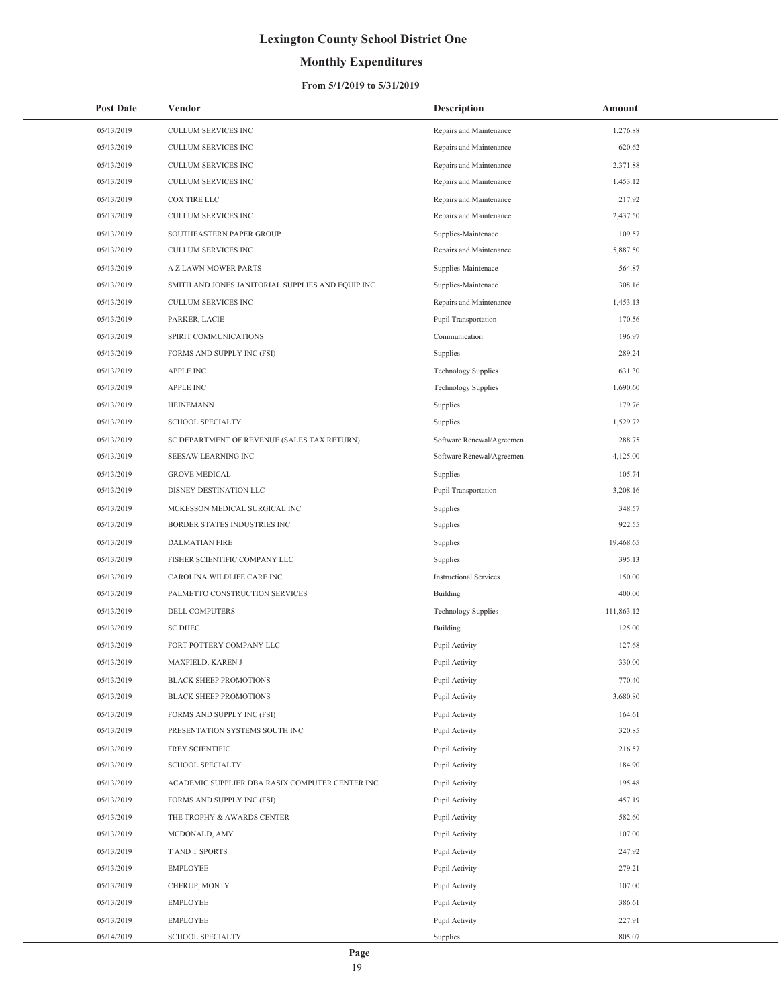## **Monthly Expenditures**

### **From 5/1/2019 to 5/31/2019**

| <b>Post Date</b> | Vendor                                            | <b>Description</b>            | Amount     |
|------------------|---------------------------------------------------|-------------------------------|------------|
| 05/13/2019       | CULLUM SERVICES INC                               | Repairs and Maintenance       | 1,276.88   |
| 05/13/2019       | CULLUM SERVICES INC                               | Repairs and Maintenance       | 620.62     |
| 05/13/2019       | CULLUM SERVICES INC                               | Repairs and Maintenance       | 2,371.88   |
| 05/13/2019       | CULLUM SERVICES INC                               | Repairs and Maintenance       | 1,453.12   |
| 05/13/2019       | COX TIRE LLC                                      | Repairs and Maintenance       | 217.92     |
| 05/13/2019       | CULLUM SERVICES INC                               | Repairs and Maintenance       | 2,437.50   |
| 05/13/2019       | SOUTHEASTERN PAPER GROUP                          | Supplies-Maintenace           | 109.57     |
| 05/13/2019       | <b>CULLUM SERVICES INC</b>                        | Repairs and Maintenance       | 5,887.50   |
| 05/13/2019       | A Z LAWN MOWER PARTS                              | Supplies-Maintenace           | 564.87     |
| 05/13/2019       | SMITH AND JONES JANITORIAL SUPPLIES AND EQUIP INC | Supplies-Maintenace           | 308.16     |
| 05/13/2019       | CULLUM SERVICES INC                               | Repairs and Maintenance       | 1,453.13   |
| 05/13/2019       | PARKER, LACIE                                     | Pupil Transportation          | 170.56     |
| 05/13/2019       | SPIRIT COMMUNICATIONS                             | Communication                 | 196.97     |
| 05/13/2019       | FORMS AND SUPPLY INC (FSI)                        | Supplies                      | 289.24     |
| 05/13/2019       | <b>APPLE INC</b>                                  | <b>Technology Supplies</b>    | 631.30     |
| 05/13/2019       | <b>APPLE INC</b>                                  | <b>Technology Supplies</b>    | 1,690.60   |
| 05/13/2019       | <b>HEINEMANN</b>                                  | Supplies                      | 179.76     |
| 05/13/2019       | <b>SCHOOL SPECIALTY</b>                           | Supplies                      | 1,529.72   |
| 05/13/2019       | SC DEPARTMENT OF REVENUE (SALES TAX RETURN)       | Software Renewal/Agreemen     | 288.75     |
| 05/13/2019       | SEESAW LEARNING INC                               | Software Renewal/Agreemen     | 4,125.00   |
| 05/13/2019       | <b>GROVE MEDICAL</b>                              | Supplies                      | 105.74     |
| 05/13/2019       | DISNEY DESTINATION LLC                            | Pupil Transportation          | 3,208.16   |
| 05/13/2019       | MCKESSON MEDICAL SURGICAL INC                     | Supplies                      | 348.57     |
| 05/13/2019       | BORDER STATES INDUSTRIES INC                      | Supplies                      | 922.55     |
| 05/13/2019       | <b>DALMATIAN FIRE</b>                             | Supplies                      | 19,468.65  |
| 05/13/2019       | FISHER SCIENTIFIC COMPANY LLC                     | Supplies                      | 395.13     |
| 05/13/2019       | CAROLINA WILDLIFE CARE INC                        | <b>Instructional Services</b> | 150.00     |
| 05/13/2019       | PALMETTO CONSTRUCTION SERVICES                    | Building                      | 400.00     |
| 05/13/2019       | <b>DELL COMPUTERS</b>                             | <b>Technology Supplies</b>    | 111,863.12 |
| 05/13/2019       | <b>SC DHEC</b>                                    | <b>Building</b>               | 125.00     |
| 05/13/2019       | FORT POTTERY COMPANY LLC                          | Pupil Activity                | 127.68     |
| 05/13/2019       | MAXFIELD, KAREN J                                 | Pupil Activity                | 330.00     |
| 05/13/2019       | BLACK SHEEP PROMOTIONS                            | Pupil Activity                | 770.40     |
| 05/13/2019       | <b>BLACK SHEEP PROMOTIONS</b>                     | Pupil Activity                | 3,680.80   |
| 05/13/2019       | FORMS AND SUPPLY INC (FSI)                        | Pupil Activity                | 164.61     |
| 05/13/2019       | PRESENTATION SYSTEMS SOUTH INC                    | Pupil Activity                | 320.85     |
| 05/13/2019       | FREY SCIENTIFIC                                   | Pupil Activity                | 216.57     |
| 05/13/2019       | <b>SCHOOL SPECIALTY</b>                           | Pupil Activity                | 184.90     |
| 05/13/2019       | ACADEMIC SUPPLIER DBA RASIX COMPUTER CENTER INC   | Pupil Activity                | 195.48     |
| 05/13/2019       | FORMS AND SUPPLY INC (FSI)                        | Pupil Activity                | 457.19     |
| 05/13/2019       | THE TROPHY & AWARDS CENTER                        | Pupil Activity                | 582.60     |
| 05/13/2019       | MCDONALD, AMY                                     | Pupil Activity                | 107.00     |
| 05/13/2019       | T AND T SPORTS                                    | Pupil Activity                | 247.92     |
| 05/13/2019       | EMPLOYEE                                          | Pupil Activity                | 279.21     |
| 05/13/2019       | CHERUP, MONTY                                     | Pupil Activity                | 107.00     |
| 05/13/2019       | EMPLOYEE                                          | Pupil Activity                | 386.61     |
| 05/13/2019       | <b>EMPLOYEE</b>                                   | Pupil Activity                | 227.91     |
| 05/14/2019       | SCHOOL SPECIALTY                                  | Supplies                      | 805.07     |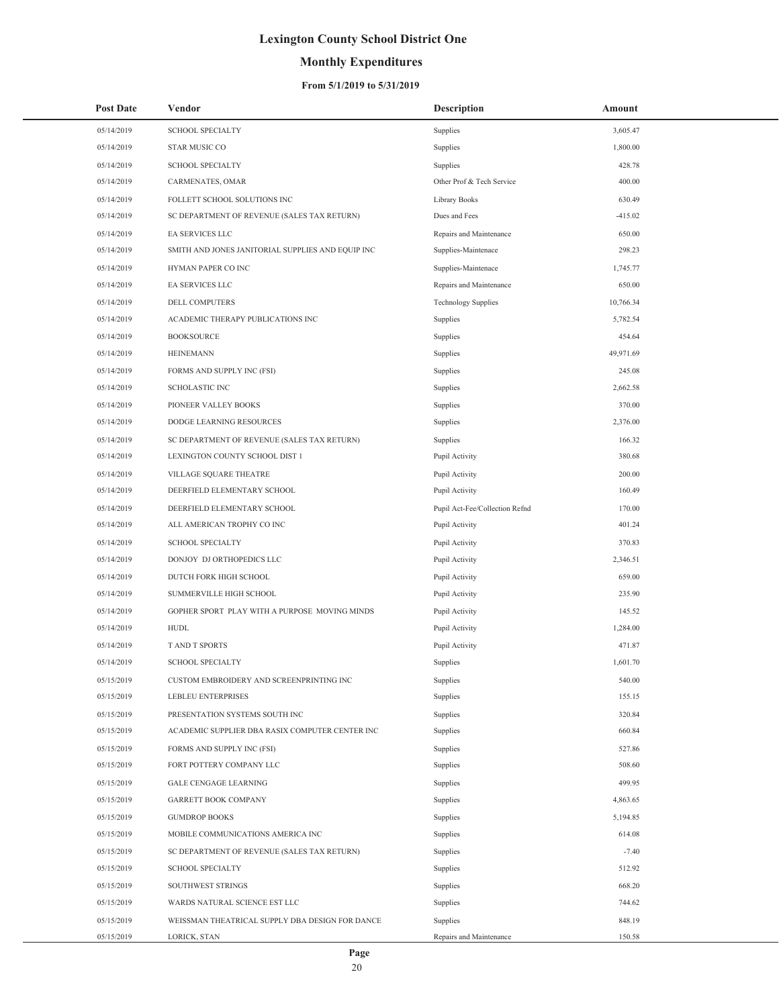## **Monthly Expenditures**

### **From 5/1/2019 to 5/31/2019**

| <b>Post Date</b> | Vendor                                            | <b>Description</b>             | Amount    |
|------------------|---------------------------------------------------|--------------------------------|-----------|
| 05/14/2019       | <b>SCHOOL SPECIALTY</b>                           | Supplies                       | 3,605.47  |
| 05/14/2019       | STAR MUSIC CO                                     | Supplies                       | 1,800.00  |
| 05/14/2019       | <b>SCHOOL SPECIALTY</b>                           | Supplies                       | 428.78    |
| 05/14/2019       | CARMENATES, OMAR                                  | Other Prof & Tech Service      | 400.00    |
| 05/14/2019       | FOLLETT SCHOOL SOLUTIONS INC                      | Library Books                  | 630.49    |
| 05/14/2019       | SC DEPARTMENT OF REVENUE (SALES TAX RETURN)       | Dues and Fees                  | -415.02   |
| 05/14/2019       | EA SERVICES LLC                                   | Repairs and Maintenance        | 650.00    |
| 05/14/2019       | SMITH AND JONES JANITORIAL SUPPLIES AND EQUIP INC | Supplies-Maintenace            | 298.23    |
| 05/14/2019       | HYMAN PAPER CO INC                                | Supplies-Maintenace            | 1,745.77  |
| 05/14/2019       | EA SERVICES LLC                                   | Repairs and Maintenance        | 650.00    |
| 05/14/2019       | DELL COMPUTERS                                    | <b>Technology Supplies</b>     | 10,766.34 |
| 05/14/2019       | ACADEMIC THERAPY PUBLICATIONS INC                 | Supplies                       | 5,782.54  |
| 05/14/2019       | <b>BOOKSOURCE</b>                                 | Supplies                       | 454.64    |
| 05/14/2019       | <b>HEINEMANN</b>                                  | Supplies                       | 49,971.69 |
| 05/14/2019       | FORMS AND SUPPLY INC (FSI)                        | Supplies                       | 245.08    |
| 05/14/2019       | <b>SCHOLASTIC INC</b>                             | Supplies                       | 2,662.58  |
| 05/14/2019       | PIONEER VALLEY BOOKS                              | Supplies                       | 370.00    |
| 05/14/2019       | DODGE LEARNING RESOURCES                          | Supplies                       | 2,376.00  |
| 05/14/2019       | SC DEPARTMENT OF REVENUE (SALES TAX RETURN)       | Supplies                       | 166.32    |
| 05/14/2019       | LEXINGTON COUNTY SCHOOL DIST 1                    | Pupil Activity                 | 380.68    |
| 05/14/2019       | VILLAGE SQUARE THEATRE                            | Pupil Activity                 | 200.00    |
| 05/14/2019       | DEERFIELD ELEMENTARY SCHOOL                       | Pupil Activity                 | 160.49    |
| 05/14/2019       | DEERFIELD ELEMENTARY SCHOOL                       | Pupil Act-Fee/Collection Refnd | 170.00    |
| 05/14/2019       | ALL AMERICAN TROPHY CO INC                        | Pupil Activity                 | 401.24    |
| 05/14/2019       | <b>SCHOOL SPECIALTY</b>                           | Pupil Activity                 | 370.83    |
| 05/14/2019       | DONJOY DJ ORTHOPEDICS LLC                         | Pupil Activity                 | 2,346.51  |
| 05/14/2019       | DUTCH FORK HIGH SCHOOL                            | Pupil Activity                 | 659.00    |
| 05/14/2019       | SUMMERVILLE HIGH SCHOOL                           | Pupil Activity                 | 235.90    |
| 05/14/2019       | GOPHER SPORT PLAY WITH A PURPOSE MOVING MINDS     | Pupil Activity                 | 145.52    |
| 05/14/2019       | <b>HUDL</b>                                       | Pupil Activity                 | 1,284.00  |
| 05/14/2019       | T AND T SPORTS                                    | Pupil Activity                 | 471.87    |
| 05/14/2019       | <b>SCHOOL SPECIALTY</b>                           | Supplies                       | 1,601.70  |
| 05/15/2019       | CUSTOM EMBROIDERY AND SCREENPRINTING INC          | Supplies                       | 540.00    |
| 05/15/2019       | <b>LEBLEU ENTERPRISES</b>                         | Supplies                       | 155.15    |
| 05/15/2019       | PRESENTATION SYSTEMS SOUTH INC                    | Supplies                       | 320.84    |
| 05/15/2019       | ACADEMIC SUPPLIER DBA RASIX COMPUTER CENTER INC   | Supplies                       | 660.84    |
| 05/15/2019       | FORMS AND SUPPLY INC (FSI)                        | Supplies                       | 527.86    |
| 05/15/2019       | FORT POTTERY COMPANY LLC                          | Supplies                       | 508.60    |
| 05/15/2019       | <b>GALE CENGAGE LEARNING</b>                      | Supplies                       | 499.95    |
| 05/15/2019       | <b>GARRETT BOOK COMPANY</b>                       | Supplies                       | 4,863.65  |
| 05/15/2019       | <b>GUMDROP BOOKS</b>                              | Supplies                       | 5,194.85  |
| 05/15/2019       | MOBILE COMMUNICATIONS AMERICA INC                 | Supplies                       | 614.08    |
| 05/15/2019       | SC DEPARTMENT OF REVENUE (SALES TAX RETURN)       | Supplies                       | $-7.40$   |
| 05/15/2019       | <b>SCHOOL SPECIALTY</b>                           | Supplies                       | 512.92    |
| 05/15/2019       | SOUTHWEST STRINGS                                 | Supplies                       | 668.20    |
| 05/15/2019       | WARDS NATURAL SCIENCE EST LLC                     | Supplies                       | 744.62    |
| 05/15/2019       | WEISSMAN THEATRICAL SUPPLY DBA DESIGN FOR DANCE   | Supplies                       | 848.19    |
| 05/15/2019       | LORICK, STAN                                      | Repairs and Maintenance        | 150.58    |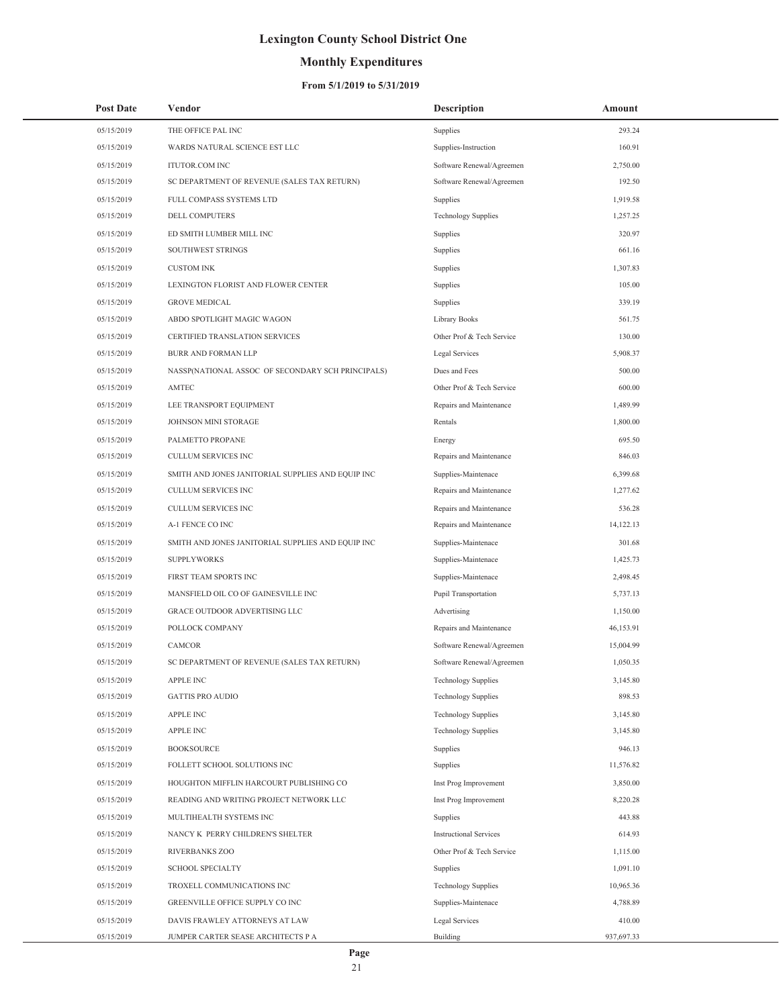## **Monthly Expenditures**

| <b>Post Date</b> | Vendor                                            | <b>Description</b>            | Amount     |
|------------------|---------------------------------------------------|-------------------------------|------------|
| 05/15/2019       | THE OFFICE PAL INC                                | Supplies                      | 293.24     |
| 05/15/2019       | WARDS NATURAL SCIENCE EST LLC                     | Supplies-Instruction          | 160.91     |
| 05/15/2019       | <b>ITUTOR.COM INC</b>                             | Software Renewal/Agreemen     | 2,750.00   |
| 05/15/2019       | SC DEPARTMENT OF REVENUE (SALES TAX RETURN)       | Software Renewal/Agreemen     | 192.50     |
| 05/15/2019       | FULL COMPASS SYSTEMS LTD                          | Supplies                      | 1,919.58   |
| 05/15/2019       | DELL COMPUTERS                                    | <b>Technology Supplies</b>    | 1,257.25   |
| 05/15/2019       | ED SMITH LUMBER MILL INC                          | Supplies                      | 320.97     |
| 05/15/2019       | SOUTHWEST STRINGS                                 | Supplies                      | 661.16     |
| 05/15/2019       | <b>CUSTOM INK</b>                                 | Supplies                      | 1,307.83   |
| 05/15/2019       | LEXINGTON FLORIST AND FLOWER CENTER               | Supplies                      | 105.00     |
| 05/15/2019       | <b>GROVE MEDICAL</b>                              | Supplies                      | 339.19     |
| 05/15/2019       | ABDO SPOTLIGHT MAGIC WAGON                        | Library Books                 | 561.75     |
| 05/15/2019       | CERTIFIED TRANSLATION SERVICES                    | Other Prof & Tech Service     | 130.00     |
| 05/15/2019       | <b>BURR AND FORMAN LLP</b>                        | <b>Legal Services</b>         | 5,908.37   |
| 05/15/2019       | NASSP(NATIONAL ASSOC OF SECONDARY SCH PRINCIPALS) | Dues and Fees                 | 500.00     |
| 05/15/2019       | <b>AMTEC</b>                                      | Other Prof & Tech Service     | 600.00     |
| 05/15/2019       | LEE TRANSPORT EQUIPMENT                           | Repairs and Maintenance       | 1,489.99   |
| 05/15/2019       | JOHNSON MINI STORAGE                              | Rentals                       | 1,800.00   |
| 05/15/2019       | PALMETTO PROPANE                                  | Energy                        | 695.50     |
| 05/15/2019       | CULLUM SERVICES INC                               | Repairs and Maintenance       | 846.03     |
| 05/15/2019       | SMITH AND JONES JANITORIAL SUPPLIES AND EQUIP INC | Supplies-Maintenace           | 6,399.68   |
| 05/15/2019       | <b>CULLUM SERVICES INC</b>                        | Repairs and Maintenance       | 1,277.62   |
| 05/15/2019       | CULLUM SERVICES INC                               | Repairs and Maintenance       | 536.28     |
| 05/15/2019       | A-1 FENCE CO INC                                  | Repairs and Maintenance       | 14,122.13  |
| 05/15/2019       | SMITH AND JONES JANITORIAL SUPPLIES AND EQUIP INC | Supplies-Maintenace           | 301.68     |
| 05/15/2019       | <b>SUPPLYWORKS</b>                                | Supplies-Maintenace           | 1,425.73   |
| 05/15/2019       | FIRST TEAM SPORTS INC                             | Supplies-Maintenace           | 2,498.45   |
| 05/15/2019       | MANSFIELD OIL CO OF GAINESVILLE INC               | Pupil Transportation          | 5,737.13   |
| 05/15/2019       | GRACE OUTDOOR ADVERTISING LLC                     | Advertising                   | 1,150.00   |
| 05/15/2019       | POLLOCK COMPANY                                   | Repairs and Maintenance       | 46,153.91  |
| 05/15/2019       | <b>CAMCOR</b>                                     | Software Renewal/Agreemen     | 15,004.99  |
| 05/15/2019       | SC DEPARTMENT OF REVENUE (SALES TAX RETURN)       | Software Renewal/Agreemen     | 1,050.35   |
| 05/15/2019       | <b>APPLE INC</b>                                  | <b>Technology Supplies</b>    | 3,145.80   |
| 05/15/2019       | <b>GATTIS PRO AUDIO</b>                           | <b>Technology Supplies</b>    | 898.53     |
| 05/15/2019       | APPLE INC                                         | <b>Technology Supplies</b>    | 3,145.80   |
| 05/15/2019       | <b>APPLE INC</b>                                  | <b>Technology Supplies</b>    | 3,145.80   |
| 05/15/2019       | <b>BOOKSOURCE</b>                                 | Supplies                      | 946.13     |
| 05/15/2019       | FOLLETT SCHOOL SOLUTIONS INC                      | Supplies                      | 11,576.82  |
| 05/15/2019       | HOUGHTON MIFFLIN HARCOURT PUBLISHING CO           | Inst Prog Improvement         | 3,850.00   |
| 05/15/2019       | READING AND WRITING PROJECT NETWORK LLC           | Inst Prog Improvement         | 8,220.28   |
| 05/15/2019       | MULTIHEALTH SYSTEMS INC                           | Supplies                      | 443.88     |
| 05/15/2019       | NANCY K PERRY CHILDREN'S SHELTER                  | <b>Instructional Services</b> | 614.93     |
| 05/15/2019       | RIVERBANKS ZOO                                    | Other Prof & Tech Service     | 1,115.00   |
| 05/15/2019       | <b>SCHOOL SPECIALTY</b>                           | Supplies                      | 1,091.10   |
| 05/15/2019       | TROXELL COMMUNICATIONS INC                        | <b>Technology Supplies</b>    | 10,965.36  |
| 05/15/2019       | GREENVILLE OFFICE SUPPLY CO INC                   | Supplies-Maintenace           | 4,788.89   |
| 05/15/2019       | DAVIS FRAWLEY ATTORNEYS AT LAW                    | Legal Services                | 410.00     |
| 05/15/2019       | JUMPER CARTER SEASE ARCHITECTS P A                | Building                      | 937,697.33 |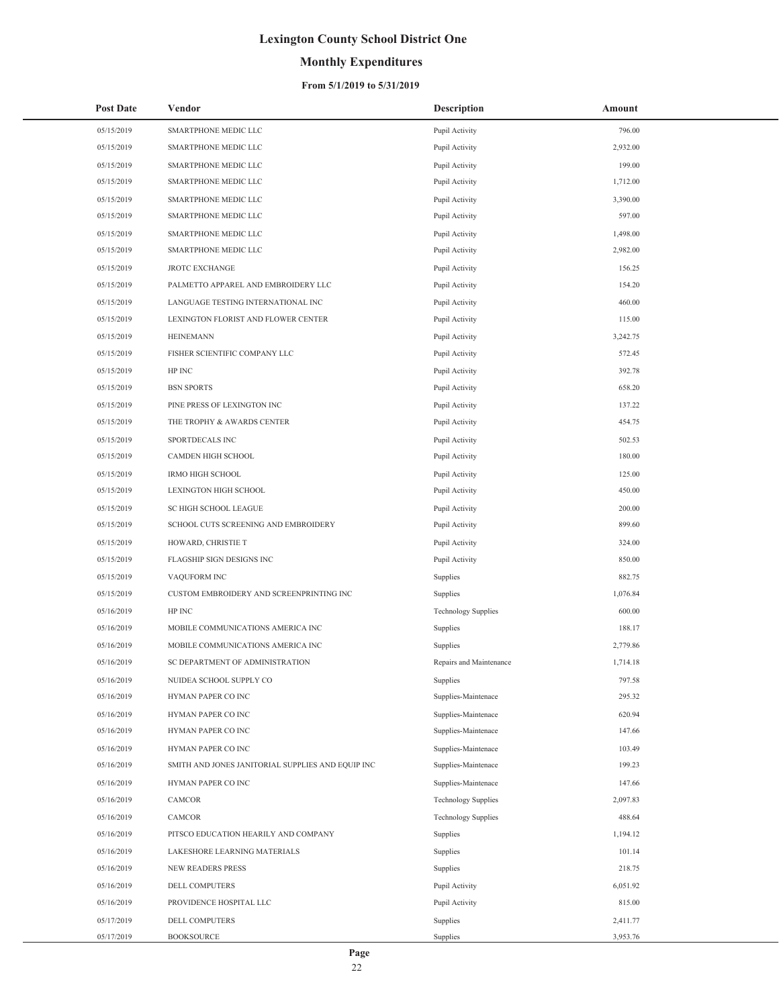## **Monthly Expenditures**

### **From 5/1/2019 to 5/31/2019**

| <b>Post Date</b> | Vendor                                            | <b>Description</b>         | Amount   |
|------------------|---------------------------------------------------|----------------------------|----------|
| 05/15/2019       | SMARTPHONE MEDIC LLC                              | Pupil Activity             | 796.00   |
| 05/15/2019       | SMARTPHONE MEDIC LLC                              | Pupil Activity             | 2,932.00 |
| 05/15/2019       | SMARTPHONE MEDIC LLC                              | Pupil Activity             | 199.00   |
| 05/15/2019       | SMARTPHONE MEDIC LLC                              | Pupil Activity             | 1,712.00 |
| 05/15/2019       | SMARTPHONE MEDIC LLC                              | Pupil Activity             | 3,390.00 |
| 05/15/2019       | SMARTPHONE MEDIC LLC                              | Pupil Activity             | 597.00   |
| 05/15/2019       | SMARTPHONE MEDIC LLC                              | Pupil Activity             | 1,498.00 |
| 05/15/2019       | SMARTPHONE MEDIC LLC                              | Pupil Activity             | 2,982.00 |
| 05/15/2019       | <b>JROTC EXCHANGE</b>                             | Pupil Activity             | 156.25   |
| 05/15/2019       | PALMETTO APPAREL AND EMBROIDERY LLC               | Pupil Activity             | 154.20   |
| 05/15/2019       | LANGUAGE TESTING INTERNATIONAL INC                | Pupil Activity             | 460.00   |
| 05/15/2019       | LEXINGTON FLORIST AND FLOWER CENTER               | Pupil Activity             | 115.00   |
| 05/15/2019       | <b>HEINEMANN</b>                                  | Pupil Activity             | 3,242.75 |
| 05/15/2019       | FISHER SCIENTIFIC COMPANY LLC                     | Pupil Activity             | 572.45   |
| 05/15/2019       | HP INC                                            | Pupil Activity             | 392.78   |
| 05/15/2019       | <b>BSN SPORTS</b>                                 | Pupil Activity             | 658.20   |
| 05/15/2019       | PINE PRESS OF LEXINGTON INC                       | Pupil Activity             | 137.22   |
| 05/15/2019       | THE TROPHY & AWARDS CENTER                        | Pupil Activity             | 454.75   |
| 05/15/2019       | SPORTDECALS INC                                   | Pupil Activity             | 502.53   |
| 05/15/2019       | CAMDEN HIGH SCHOOL                                | Pupil Activity             | 180.00   |
| 05/15/2019       | IRMO HIGH SCHOOL                                  | Pupil Activity             | 125.00   |
| 05/15/2019       | LEXINGTON HIGH SCHOOL                             | Pupil Activity             | 450.00   |
| 05/15/2019       | SC HIGH SCHOOL LEAGUE                             | Pupil Activity             | 200.00   |
| 05/15/2019       | SCHOOL CUTS SCREENING AND EMBROIDERY              | Pupil Activity             | 899.60   |
| 05/15/2019       | HOWARD, CHRISTIE T                                | Pupil Activity             | 324.00   |
| 05/15/2019       | FLAGSHIP SIGN DESIGNS INC                         | Pupil Activity             | 850.00   |
| 05/15/2019       | VAQUFORM INC                                      | Supplies                   | 882.75   |
| 05/15/2019       | CUSTOM EMBROIDERY AND SCREENPRINTING INC          | Supplies                   | 1,076.84 |
| 05/16/2019       | HP INC                                            | <b>Technology Supplies</b> | 600.00   |
| 05/16/2019       | MOBILE COMMUNICATIONS AMERICA INC                 | Supplies                   | 188.17   |
| 05/16/2019       | MOBILE COMMUNICATIONS AMERICA INC                 | Supplies                   | 2,779.86 |
| 05/16/2019       | SC DEPARTMENT OF ADMINISTRATION                   | Repairs and Maintenance    | 1,714.18 |
| 05/16/2019       | NUIDEA SCHOOL SUPPLY CO                           | Supplies                   | 797.58   |
| 05/16/2019       | HYMAN PAPER CO INC                                | Supplies-Maintenace        | 295.32   |
| 05/16/2019       | HYMAN PAPER CO INC                                | Supplies-Maintenace        | 620.94   |
| 05/16/2019       | HYMAN PAPER CO INC                                | Supplies-Maintenace        | 147.66   |
| 05/16/2019       | HYMAN PAPER CO INC                                | Supplies-Maintenace        | 103.49   |
| 05/16/2019       | SMITH AND JONES JANITORIAL SUPPLIES AND EQUIP INC | Supplies-Maintenace        | 199.23   |
| 05/16/2019       | HYMAN PAPER CO INC                                | Supplies-Maintenace        | 147.66   |
| 05/16/2019       | CAMCOR                                            | <b>Technology Supplies</b> | 2,097.83 |
| 05/16/2019       | CAMCOR                                            | <b>Technology Supplies</b> | 488.64   |
| 05/16/2019       | PITSCO EDUCATION HEARILY AND COMPANY              | Supplies                   | 1,194.12 |
| 05/16/2019       | LAKESHORE LEARNING MATERIALS                      | Supplies                   | 101.14   |
| 05/16/2019       | NEW READERS PRESS                                 | Supplies                   | 218.75   |
| 05/16/2019       | DELL COMPUTERS                                    | Pupil Activity             | 6,051.92 |
| 05/16/2019       | PROVIDENCE HOSPITAL LLC                           | Pupil Activity             | 815.00   |
| 05/17/2019       | DELL COMPUTERS                                    | Supplies                   | 2,411.77 |
| 05/17/2019       | <b>BOOKSOURCE</b>                                 | Supplies                   | 3,953.76 |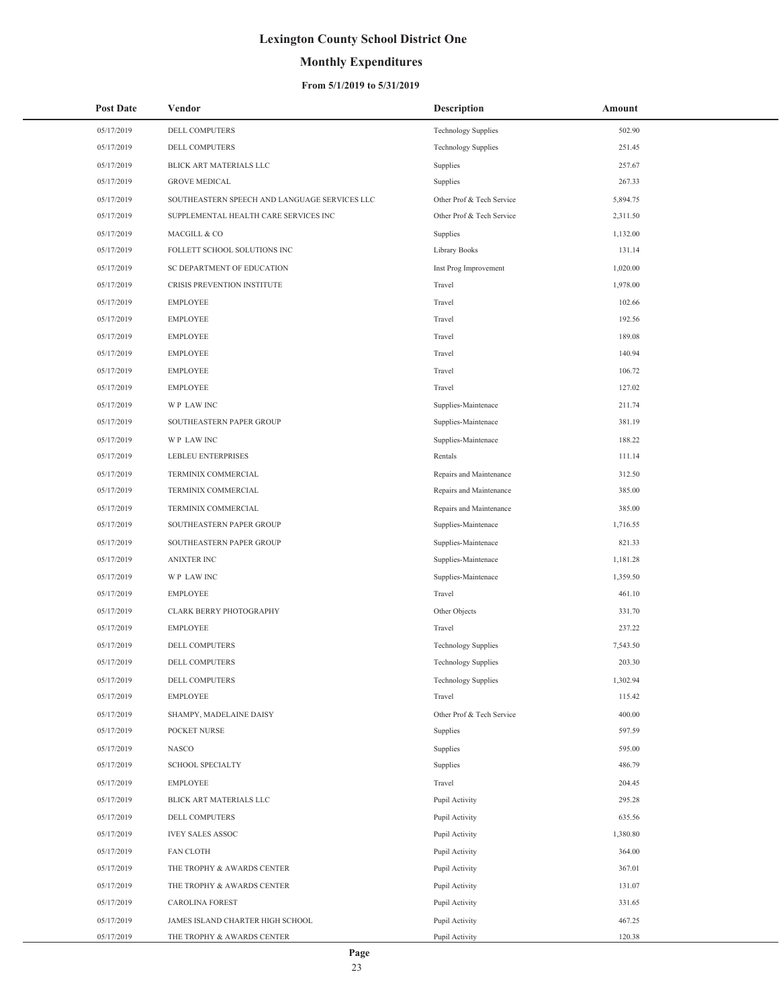## **Monthly Expenditures**

### **From 5/1/2019 to 5/31/2019**

| <b>Post Date</b> | Vendor                                        | <b>Description</b>         | Amount   |
|------------------|-----------------------------------------------|----------------------------|----------|
| 05/17/2019       | DELL COMPUTERS                                | <b>Technology Supplies</b> | 502.90   |
| 05/17/2019       | <b>DELL COMPUTERS</b>                         | <b>Technology Supplies</b> | 251.45   |
| 05/17/2019       | BLICK ART MATERIALS LLC                       | Supplies                   | 257.67   |
| 05/17/2019       | <b>GROVE MEDICAL</b>                          | Supplies                   | 267.33   |
| 05/17/2019       | SOUTHEASTERN SPEECH AND LANGUAGE SERVICES LLC | Other Prof & Tech Service  | 5,894.75 |
| 05/17/2019       | SUPPLEMENTAL HEALTH CARE SERVICES INC         | Other Prof & Tech Service  | 2,311.50 |
| 05/17/2019       | MACGILL & CO                                  | Supplies                   | 1,132.00 |
| 05/17/2019       | FOLLETT SCHOOL SOLUTIONS INC                  | Library Books              | 131.14   |
| 05/17/2019       | SC DEPARTMENT OF EDUCATION                    | Inst Prog Improvement      | 1,020.00 |
| 05/17/2019       | CRISIS PREVENTION INSTITUTE                   | Travel                     | 1,978.00 |
| 05/17/2019       | <b>EMPLOYEE</b>                               | Travel                     | 102.66   |
| 05/17/2019       | <b>EMPLOYEE</b>                               | Travel                     | 192.56   |
| 05/17/2019       | <b>EMPLOYEE</b>                               | Travel                     | 189.08   |
| 05/17/2019       | <b>EMPLOYEE</b>                               | Travel                     | 140.94   |
| 05/17/2019       | <b>EMPLOYEE</b>                               | Travel                     | 106.72   |
| 05/17/2019       | <b>EMPLOYEE</b>                               | Travel                     | 127.02   |
| 05/17/2019       | WP LAW INC                                    | Supplies-Maintenace        | 211.74   |
| 05/17/2019       | SOUTHEASTERN PAPER GROUP                      | Supplies-Maintenace        | 381.19   |
| 05/17/2019       | WP LAW INC                                    | Supplies-Maintenace        | 188.22   |
| 05/17/2019       | LEBLEU ENTERPRISES                            | Rentals                    | 111.14   |
| 05/17/2019       | TERMINIX COMMERCIAL                           | Repairs and Maintenance    | 312.50   |
| 05/17/2019       | TERMINIX COMMERCIAL                           | Repairs and Maintenance    | 385.00   |
| 05/17/2019       | TERMINIX COMMERCIAL                           | Repairs and Maintenance    | 385.00   |
| 05/17/2019       | SOUTHEASTERN PAPER GROUP                      | Supplies-Maintenace        | 1,716.55 |
| 05/17/2019       | SOUTHEASTERN PAPER GROUP                      | Supplies-Maintenace        | 821.33   |
| 05/17/2019       | <b>ANIXTER INC</b>                            | Supplies-Maintenace        | 1,181.28 |
| 05/17/2019       | WP LAW INC                                    | Supplies-Maintenace        | 1,359.50 |
| 05/17/2019       | <b>EMPLOYEE</b>                               | Travel                     | 461.10   |
| 05/17/2019       | CLARK BERRY PHOTOGRAPHY                       | Other Objects              | 331.70   |
| 05/17/2019       | <b>EMPLOYEE</b>                               | Travel                     | 237.22   |
| 05/17/2019       | DELL COMPUTERS                                | <b>Technology Supplies</b> | 7,543.50 |
| 05/17/2019       | <b>DELL COMPUTERS</b>                         | <b>Technology Supplies</b> | 203.30   |
| 05/17/2019       | DELL COMPUTERS                                | <b>Technology Supplies</b> | 1,302.94 |
| 05/17/2019       | <b>EMPLOYEE</b>                               | Travel                     | 115.42   |
| 05/17/2019       | SHAMPY, MADELAINE DAISY                       | Other Prof & Tech Service  | 400.00   |
| 05/17/2019       | POCKET NURSE                                  | Supplies                   | 597.59   |
| 05/17/2019       | <b>NASCO</b>                                  | Supplies                   | 595.00   |
| 05/17/2019       | <b>SCHOOL SPECIALTY</b>                       | Supplies                   | 486.79   |
| 05/17/2019       | EMPLOYEE                                      | Travel                     | 204.45   |
| 05/17/2019       | BLICK ART MATERIALS LLC                       | Pupil Activity             | 295.28   |
| 05/17/2019       | DELL COMPUTERS                                | Pupil Activity             | 635.56   |
| 05/17/2019       | <b>IVEY SALES ASSOC</b>                       | Pupil Activity             | 1,380.80 |
| 05/17/2019       | <b>FAN CLOTH</b>                              | Pupil Activity             | 364.00   |
| 05/17/2019       | THE TROPHY & AWARDS CENTER                    | Pupil Activity             | 367.01   |
| 05/17/2019       | THE TROPHY & AWARDS CENTER                    | Pupil Activity             | 131.07   |
| 05/17/2019       | CAROLINA FOREST                               | Pupil Activity             | 331.65   |
| 05/17/2019       | JAMES ISLAND CHARTER HIGH SCHOOL              | Pupil Activity             | 467.25   |
| 05/17/2019       | THE TROPHY & AWARDS CENTER                    | Pupil Activity             | 120.38   |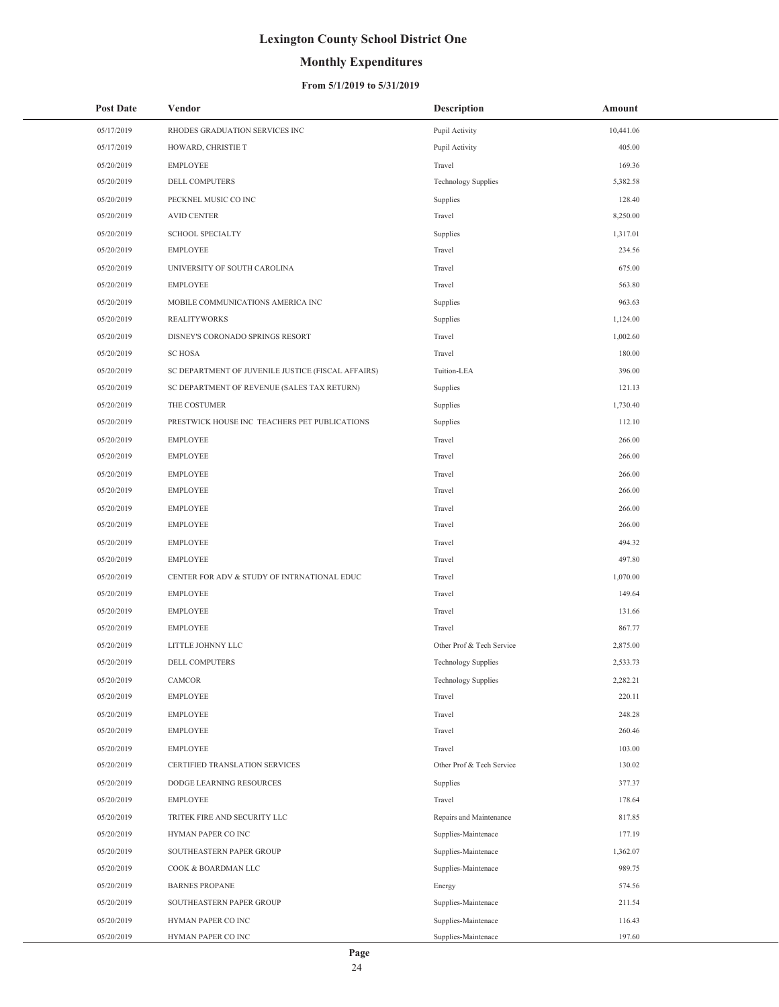## **Monthly Expenditures**

### **From 5/1/2019 to 5/31/2019**

| <b>Post Date</b> | Vendor                                             | <b>Description</b>         | Amount    |
|------------------|----------------------------------------------------|----------------------------|-----------|
| 05/17/2019       | RHODES GRADUATION SERVICES INC                     | Pupil Activity             | 10,441.06 |
| 05/17/2019       | HOWARD, CHRISTIE T                                 | Pupil Activity             | 405.00    |
| 05/20/2019       | <b>EMPLOYEE</b>                                    | Travel                     | 169.36    |
| 05/20/2019       | DELL COMPUTERS                                     | Technology Supplies        | 5,382.58  |
| 05/20/2019       | PECKNEL MUSIC CO INC                               | Supplies                   | 128.40    |
| 05/20/2019       | <b>AVID CENTER</b>                                 | Travel                     | 8,250.00  |
| 05/20/2019       | <b>SCHOOL SPECIALTY</b>                            | Supplies                   | 1,317.01  |
| 05/20/2019       | <b>EMPLOYEE</b>                                    | Travel                     | 234.56    |
| 05/20/2019       | UNIVERSITY OF SOUTH CAROLINA                       | Travel                     | 675.00    |
| 05/20/2019       | <b>EMPLOYEE</b>                                    | Travel                     | 563.80    |
| 05/20/2019       | MOBILE COMMUNICATIONS AMERICA INC                  | Supplies                   | 963.63    |
| 05/20/2019       | <b>REALITYWORKS</b>                                | Supplies                   | 1,124.00  |
| 05/20/2019       | DISNEY'S CORONADO SPRINGS RESORT                   | Travel                     | 1,002.60  |
| 05/20/2019       | <b>SC HOSA</b>                                     | Travel                     | 180.00    |
| 05/20/2019       | SC DEPARTMENT OF JUVENILE JUSTICE (FISCAL AFFAIRS) | Tuition-LEA                | 396.00    |
| 05/20/2019       | SC DEPARTMENT OF REVENUE (SALES TAX RETURN)        | Supplies                   | 121.13    |
| 05/20/2019       | THE COSTUMER                                       | Supplies                   | 1,730.40  |
| 05/20/2019       | PRESTWICK HOUSE INC TEACHERS PET PUBLICATIONS      | Supplies                   | 112.10    |
| 05/20/2019       | <b>EMPLOYEE</b>                                    | Travel                     | 266.00    |
| 05/20/2019       | <b>EMPLOYEE</b>                                    | Travel                     | 266.00    |
| 05/20/2019       | <b>EMPLOYEE</b>                                    | Travel                     | 266.00    |
| 05/20/2019       | <b>EMPLOYEE</b>                                    | Travel                     | 266.00    |
| 05/20/2019       | <b>EMPLOYEE</b>                                    | Travel                     | 266.00    |
| 05/20/2019       | <b>EMPLOYEE</b>                                    | Travel                     | 266.00    |
| 05/20/2019       | <b>EMPLOYEE</b>                                    | Travel                     | 494.32    |
| 05/20/2019       | <b>EMPLOYEE</b>                                    | Travel                     | 497.80    |
| 05/20/2019       | CENTER FOR ADV & STUDY OF INTRNATIONAL EDUC        | Travel                     | 1,070.00  |
| 05/20/2019       | <b>EMPLOYEE</b>                                    | Travel                     | 149.64    |
| 05/20/2019       | <b>EMPLOYEE</b>                                    | Travel                     | 131.66    |
| 05/20/2019       | <b>EMPLOYEE</b>                                    | Travel                     | 867.77    |
| 05/20/2019       | LITTLE JOHNNY LLC                                  | Other Prof & Tech Service  | 2,875.00  |
| 05/20/2019       | DELL COMPUTERS                                     | Technology Supplies        | 2,533.73  |
| 05/20/2019       | CAMCOR                                             | <b>Technology Supplies</b> | 2,282.21  |
| 05/20/2019       | <b>EMPLOYEE</b>                                    | Travel                     | 220.11    |
| 05/20/2019       | <b>EMPLOYEE</b>                                    | Travel                     | 248.28    |
| 05/20/2019       | <b>EMPLOYEE</b>                                    | Travel                     | 260.46    |
| 05/20/2019       | <b>EMPLOYEE</b>                                    | Travel                     | 103.00    |
| 05/20/2019       | CERTIFIED TRANSLATION SERVICES                     | Other Prof & Tech Service  | 130.02    |
| 05/20/2019       | DODGE LEARNING RESOURCES                           | Supplies                   | 377.37    |
| 05/20/2019       | <b>EMPLOYEE</b>                                    | Travel                     | 178.64    |
| 05/20/2019       | TRITEK FIRE AND SECURITY LLC                       | Repairs and Maintenance    | 817.85    |
| 05/20/2019       | HYMAN PAPER CO INC                                 | Supplies-Maintenace        | 177.19    |
| 05/20/2019       | SOUTHEASTERN PAPER GROUP                           | Supplies-Maintenace        | 1,362.07  |
| 05/20/2019       | COOK & BOARDMAN LLC                                | Supplies-Maintenace        | 989.75    |
| 05/20/2019       | <b>BARNES PROPANE</b>                              | Energy                     | 574.56    |
| 05/20/2019       | SOUTHEASTERN PAPER GROUP                           | Supplies-Maintenace        | 211.54    |
| 05/20/2019       | HYMAN PAPER CO INC                                 | Supplies-Maintenace        | 116.43    |
| 05/20/2019       | HYMAN PAPER CO INC                                 | Supplies-Maintenace        | 197.60    |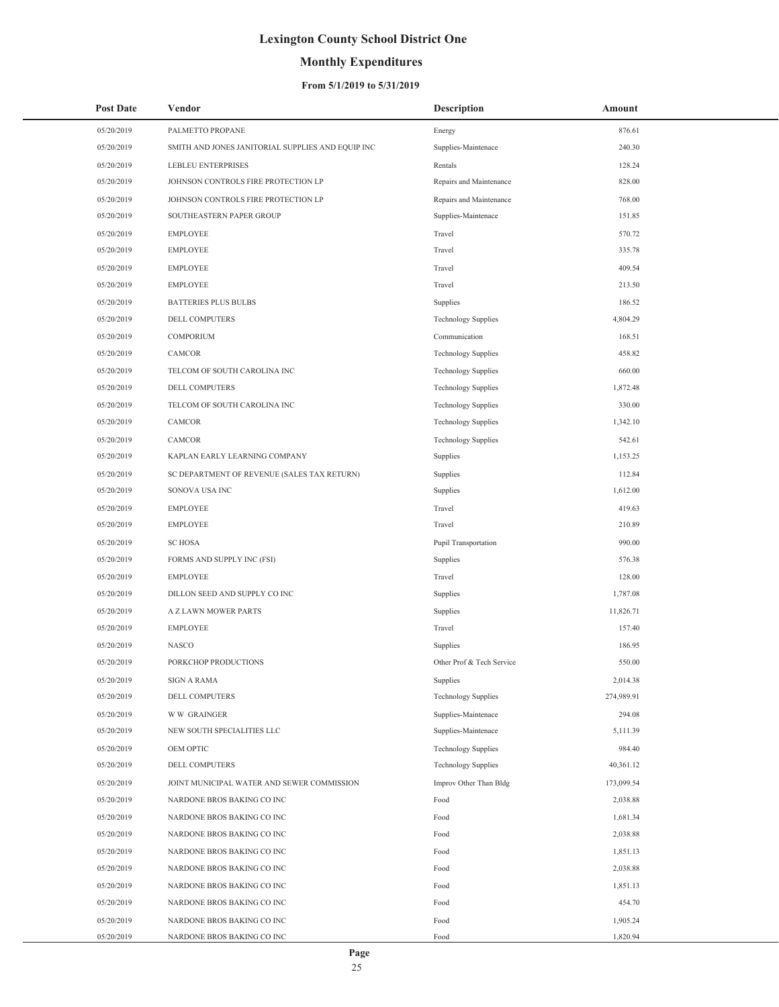## **Monthly Expenditures**

### **From 5/1/2019 to 5/31/2019**

| <b>Post Date</b> | Vendor                                            | Description                | Amount     |  |
|------------------|---------------------------------------------------|----------------------------|------------|--|
| 05/20/2019       | PALMETTO PROPANE                                  | Energy                     | 876.61     |  |
| 05/20/2019       | SMITH AND JONES JANITORIAL SUPPLIES AND EQUIP INC | Supplies-Maintenace        | 240.30     |  |
| 05/20/2019       | LEBLEU ENTERPRISES                                | Rentals                    | 128.24     |  |
| 05/20/2019       | JOHNSON CONTROLS FIRE PROTECTION LP               | Repairs and Maintenance    | 828.00     |  |
| 05/20/2019       | JOHNSON CONTROLS FIRE PROTECTION LP               | Repairs and Maintenance    | 768.00     |  |
| 05/20/2019       | SOUTHEASTERN PAPER GROUP                          | Supplies-Maintenace        | 151.85     |  |
| 05/20/2019       | <b>EMPLOYEE</b>                                   | Travel                     | 570.72     |  |
| 05/20/2019       | <b>EMPLOYEE</b>                                   | Travel                     | 335.78     |  |
| 05/20/2019       | <b>EMPLOYEE</b>                                   | Travel                     | 409.54     |  |
| 05/20/2019       | <b>EMPLOYEE</b>                                   | Travel                     | 213.50     |  |
| 05/20/2019       | <b>BATTERIES PLUS BULBS</b>                       | Supplies                   | 186.52     |  |
| 05/20/2019       | DELL COMPUTERS                                    | <b>Technology Supplies</b> | 4,804.29   |  |
| 05/20/2019       | COMPORIUM                                         | Communication              | 168.51     |  |
| 05/20/2019       | CAMCOR                                            | <b>Technology Supplies</b> | 458.82     |  |
| 05/20/2019       | TELCOM OF SOUTH CAROLINA INC                      | <b>Technology Supplies</b> | 660.00     |  |
| 05/20/2019       | DELL COMPUTERS                                    | <b>Technology Supplies</b> | 1,872.48   |  |
| 05/20/2019       | TELCOM OF SOUTH CAROLINA INC                      | <b>Technology Supplies</b> | 330.00     |  |
| 05/20/2019       | <b>CAMCOR</b>                                     | <b>Technology Supplies</b> | 1,342.10   |  |
| 05/20/2019       | CAMCOR                                            | <b>Technology Supplies</b> | 542.61     |  |
| 05/20/2019       | KAPLAN EARLY LEARNING COMPANY                     | Supplies                   | 1,153.25   |  |
| 05/20/2019       | SC DEPARTMENT OF REVENUE (SALES TAX RETURN)       | Supplies                   | 112.84     |  |
| 05/20/2019       | SONOVA USA INC                                    | Supplies                   | 1,612.00   |  |
| 05/20/2019       | <b>EMPLOYEE</b>                                   | Travel                     | 419.63     |  |
| 05/20/2019       | <b>EMPLOYEE</b>                                   | Travel                     | 210.89     |  |
| 05/20/2019       | <b>SC HOSA</b>                                    | Pupil Transportation       | 990.00     |  |
| 05/20/2019       | FORMS AND SUPPLY INC (FSI)                        | Supplies                   | 576.38     |  |
| 05/20/2019       | <b>EMPLOYEE</b>                                   | Travel                     | 128.00     |  |
| 05/20/2019       | DILLON SEED AND SUPPLY CO INC                     | Supplies                   | 1,787.08   |  |
| 05/20/2019       | A Z LAWN MOWER PARTS                              | Supplies                   | 11,826.71  |  |
| 05/20/2019       | <b>EMPLOYEE</b>                                   | Travel                     | 157.40     |  |
| 05/20/2019       | <b>NASCO</b>                                      | Supplies                   | 186.95     |  |
| 05/20/2019       | PORKCHOP PRODUCTIONS                              | Other Prof & Tech Service  | 550.00     |  |
| 05/20/2019       | <b>SIGN A RAMA</b>                                | Supplies                   | 2,014.38   |  |
| 05/20/2019       | DELL COMPUTERS                                    | <b>Technology Supplies</b> | 274,989.91 |  |
| 05/20/2019       | <b>WW GRAINGER</b>                                | Supplies-Maintenace        | 294.08     |  |
| 05/20/2019       | NEW SOUTH SPECIALITIES LLC                        | Supplies-Maintenace        | 5,111.39   |  |
| 05/20/2019       | OEM OPTIC                                         | <b>Technology Supplies</b> | 984.40     |  |
| 05/20/2019       | DELL COMPUTERS                                    | <b>Technology Supplies</b> | 40,361.12  |  |
| 05/20/2019       | JOINT MUNICIPAL WATER AND SEWER COMMISSION        | Improv Other Than Bldg     | 173,099.54 |  |
| 05/20/2019       | NARDONE BROS BAKING CO INC                        | Food                       | 2,038.88   |  |
| 05/20/2019       | NARDONE BROS BAKING CO INC                        | Food                       | 1,681.34   |  |
| 05/20/2019       | NARDONE BROS BAKING CO INC                        | Food                       | 2,038.88   |  |
| 05/20/2019       | NARDONE BROS BAKING CO INC                        | Food                       | 1,851.13   |  |
| 05/20/2019       | NARDONE BROS BAKING CO INC                        | Food                       | 2,038.88   |  |
| 05/20/2019       | NARDONE BROS BAKING CO INC                        | Food                       | 1,851.13   |  |
| 05/20/2019       | NARDONE BROS BAKING CO INC                        | Food                       | 454.70     |  |
| 05/20/2019       | NARDONE BROS BAKING CO INC                        | Food                       | 1,905.24   |  |
| 05/20/2019       | NARDONE BROS BAKING CO INC                        | Food                       | 1,820.94   |  |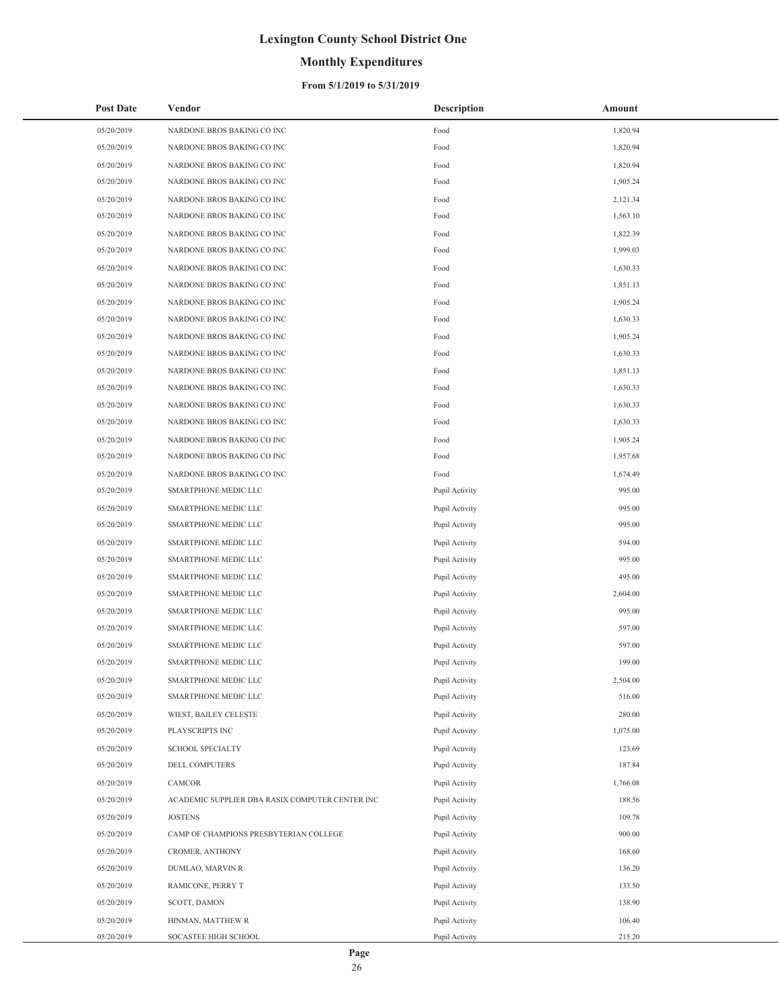## **Monthly Expenditures**

### **From 5/1/2019 to 5/31/2019**

| <b>Post Date</b> | Vendor                                          | <b>Description</b> | Amount   |
|------------------|-------------------------------------------------|--------------------|----------|
| 05/20/2019       | NARDONE BROS BAKING CO INC                      | Food               | 1,820.94 |
| 05/20/2019       | NARDONE BROS BAKING CO INC                      | Food               | 1,820.94 |
| 05/20/2019       | NARDONE BROS BAKING CO INC                      | Food               | 1,820.94 |
| 05/20/2019       | NARDONE BROS BAKING CO INC                      | Food               | 1,905.24 |
| 05/20/2019       | NARDONE BROS BAKING CO INC                      | Food               | 2,121.34 |
| 05/20/2019       | NARDONE BROS BAKING CO INC                      | Food               | 1,563.10 |
| 05/20/2019       | NARDONE BROS BAKING CO INC                      | Food               | 1,822.39 |
| 05/20/2019       | NARDONE BROS BAKING CO INC                      | Food               | 1,999.03 |
| 05/20/2019       | NARDONE BROS BAKING CO INC                      | Food               | 1,630.33 |
| 05/20/2019       | NARDONE BROS BAKING CO INC                      | Food               | 1,851.13 |
| 05/20/2019       | NARDONE BROS BAKING CO INC                      | Food               | 1,905.24 |
| 05/20/2019       | NARDONE BROS BAKING CO INC                      | Food               | 1,630.33 |
| 05/20/2019       | NARDONE BROS BAKING CO INC                      | Food               | 1,905.24 |
| 05/20/2019       | NARDONE BROS BAKING CO INC                      | Food               | 1,630.33 |
| 05/20/2019       | NARDONE BROS BAKING CO INC                      | Food               | 1,851.13 |
| 05/20/2019       | NARDONE BROS BAKING CO INC                      | Food               | 1,630.33 |
| 05/20/2019       | NARDONE BROS BAKING CO INC                      | Food               | 1,630.33 |
| 05/20/2019       | NARDONE BROS BAKING CO INC                      | Food               | 1,630.33 |
| 05/20/2019       | NARDONE BROS BAKING CO INC                      | Food               | 1,905.24 |
| 05/20/2019       | NARDONE BROS BAKING CO INC                      | Food               | 1,957.68 |
| 05/20/2019       | NARDONE BROS BAKING CO INC                      | Food               | 1,674.49 |
| 05/20/2019       | SMARTPHONE MEDIC LLC                            | Pupil Activity     | 995.00   |
| 05/20/2019       | SMARTPHONE MEDIC LLC                            | Pupil Activity     | 995.00   |
| 05/20/2019       | SMARTPHONE MEDIC LLC                            | Pupil Activity     | 995.00   |
| 05/20/2019       | SMARTPHONE MEDIC LLC                            | Pupil Activity     | 594.00   |
| 05/20/2019       | SMARTPHONE MEDIC LLC                            | Pupil Activity     | 995.00   |
| 05/20/2019       | SMARTPHONE MEDIC LLC                            | Pupil Activity     | 495.00   |
| 05/20/2019       | SMARTPHONE MEDIC LLC                            | Pupil Activity     | 2,604.00 |
| 05/20/2019       | SMARTPHONE MEDIC LLC                            | Pupil Activity     | 995.00   |
| 05/20/2019       | SMARTPHONE MEDIC LLC                            | Pupil Activity     | 597.00   |
| 05/20/2019       | SMARTPHONE MEDIC LLC                            | Pupil Activity     | 597.00   |
| 05/20/2019       | SMARTPHONE MEDIC LLC                            | Pupil Activity     | 199.00   |
| 05/20/2019       | SMARTPHONE MEDIC LLC                            | Pupil Activity     | 2,504.00 |
| 05/20/2019       | SMARTPHONE MEDIC LLC                            | Pupil Activity     | 516.00   |
| 05/20/2019       | WIEST, BAILEY CELESTE                           | Pupil Activity     | 280.00   |
| 05/20/2019       | PLAYSCRIPTS INC                                 | Pupil Activity     | 1,075.00 |
| 05/20/2019       | <b>SCHOOL SPECIALTY</b>                         | Pupil Activity     | 123.69   |
| 05/20/2019       | DELL COMPUTERS                                  | Pupil Activity     | 187.84   |
| 05/20/2019       | CAMCOR                                          | Pupil Activity     | 1,766.08 |
| 05/20/2019       | ACADEMIC SUPPLIER DBA RASIX COMPUTER CENTER INC | Pupil Activity     | 188.56   |
| 05/20/2019       | <b>JOSTENS</b>                                  | Pupil Activity     | 109.78   |
| 05/20/2019       | CAMP OF CHAMPIONS PRESBYTERIAN COLLEGE          | Pupil Activity     | 900.00   |
| 05/20/2019       | CROMER, ANTHONY                                 | Pupil Activity     | 168.60   |
| 05/20/2019       | DUMLAO, MARVIN R                                | Pupil Activity     | 136.20   |
| 05/20/2019       | RAMICONE, PERRY T                               | Pupil Activity     | 133.50   |
| 05/20/2019       | SCOTT, DAMON                                    | Pupil Activity     | 138.90   |
| 05/20/2019       | HINMAN, MATTHEW R                               | Pupil Activity     | 106.40   |
| 05/20/2019       | SOCASTEE HIGH SCHOOL                            | Pupil Activity     | 215.20   |

 $\overline{a}$ 

÷,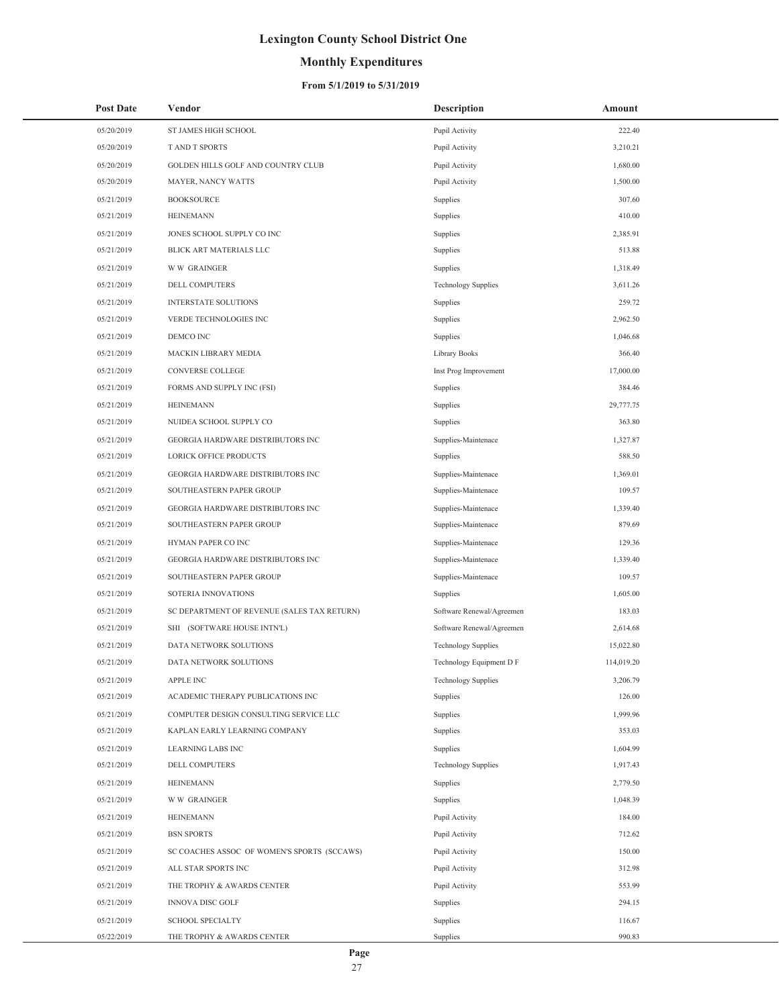## **Monthly Expenditures**

### **From 5/1/2019 to 5/31/2019**

| <b>Post Date</b> | Vendor                                      | <b>Description</b>         | Amount     |
|------------------|---------------------------------------------|----------------------------|------------|
| 05/20/2019       | ST JAMES HIGH SCHOOL                        | Pupil Activity             | 222.40     |
| 05/20/2019       | T AND T SPORTS                              | Pupil Activity             | 3,210.21   |
| 05/20/2019       | GOLDEN HILLS GOLF AND COUNTRY CLUB          | Pupil Activity             | 1,680.00   |
| 05/20/2019       | MAYER, NANCY WATTS                          | Pupil Activity             | 1,500.00   |
| 05/21/2019       | <b>BOOKSOURCE</b>                           | Supplies                   | 307.60     |
| 05/21/2019       | <b>HEINEMANN</b>                            | Supplies                   | 410.00     |
| 05/21/2019       | JONES SCHOOL SUPPLY CO INC                  | Supplies                   | 2,385.91   |
| 05/21/2019       | BLICK ART MATERIALS LLC                     | Supplies                   | 513.88     |
| 05/21/2019       | <b>WW GRAINGER</b>                          | Supplies                   | 1,318.49   |
| 05/21/2019       | DELL COMPUTERS                              | Technology Supplies        | 3,611.26   |
| 05/21/2019       | <b>INTERSTATE SOLUTIONS</b>                 | Supplies                   | 259.72     |
| 05/21/2019       | VERDE TECHNOLOGIES INC                      | Supplies                   | 2,962.50   |
| 05/21/2019       | DEMCO INC                                   | Supplies                   | 1,046.68   |
| 05/21/2019       | MACKIN LIBRARY MEDIA                        | Library Books              | 366.40     |
| 05/21/2019       | CONVERSE COLLEGE                            | Inst Prog Improvement      | 17,000.00  |
| 05/21/2019       | FORMS AND SUPPLY INC (FSI)                  | Supplies                   | 384.46     |
| 05/21/2019       | <b>HEINEMANN</b>                            | Supplies                   | 29,777.75  |
| 05/21/2019       | NUIDEA SCHOOL SUPPLY CO                     | Supplies                   | 363.80     |
| 05/21/2019       | GEORGIA HARDWARE DISTRIBUTORS INC           | Supplies-Maintenace        | 1,327.87   |
| 05/21/2019       | LORICK OFFICE PRODUCTS                      | Supplies                   | 588.50     |
| 05/21/2019       | GEORGIA HARDWARE DISTRIBUTORS INC           | Supplies-Maintenace        | 1,369.01   |
| 05/21/2019       | SOUTHEASTERN PAPER GROUP                    | Supplies-Maintenace        | 109.57     |
| 05/21/2019       | GEORGIA HARDWARE DISTRIBUTORS INC           | Supplies-Maintenace        | 1,339.40   |
| 05/21/2019       | SOUTHEASTERN PAPER GROUP                    | Supplies-Maintenace        | 879.69     |
| 05/21/2019       | HYMAN PAPER CO INC                          | Supplies-Maintenace        | 129.36     |
| 05/21/2019       | GEORGIA HARDWARE DISTRIBUTORS INC           | Supplies-Maintenace        | 1,339.40   |
| 05/21/2019       | SOUTHEASTERN PAPER GROUP                    | Supplies-Maintenace        | 109.57     |
| 05/21/2019       | SOTERIA INNOVATIONS                         | Supplies                   | 1,605.00   |
| 05/21/2019       | SC DEPARTMENT OF REVENUE (SALES TAX RETURN) | Software Renewal/Agreemen  | 183.03     |
| 05/21/2019       | SHI (SOFTWARE HOUSE INTN'L)                 | Software Renewal/Agreemen  | 2,614.68   |
| 05/21/2019       | DATA NETWORK SOLUTIONS                      | Technology Supplies        | 15,022.80  |
| 05/21/2019       | DATA NETWORK SOLUTIONS                      | Technology Equipment D F   | 114,019.20 |
| 05/21/2019       | APPLE INC                                   | <b>Technology Supplies</b> | 3,206.79   |
| 05/21/2019       | ACADEMIC THERAPY PUBLICATIONS INC           | Supplies                   | 126.00     |
| 05/21/2019       | COMPUTER DESIGN CONSULTING SERVICE LLC      | Supplies                   | 1,999.96   |
| 05/21/2019       | KAPLAN EARLY LEARNING COMPANY               | Supplies                   | 353.03     |
| 05/21/2019       | <b>LEARNING LABS INC</b>                    | Supplies                   | 1,604.99   |
| 05/21/2019       | DELL COMPUTERS                              | <b>Technology Supplies</b> | 1,917.43   |
| 05/21/2019       | <b>HEINEMANN</b>                            | Supplies                   | 2,779.50   |
| 05/21/2019       | <b>WW GRAINGER</b>                          | Supplies                   | 1,048.39   |
| 05/21/2019       | <b>HEINEMANN</b>                            | Pupil Activity             | 184.00     |
| 05/21/2019       | <b>BSN SPORTS</b>                           | Pupil Activity             | 712.62     |
| 05/21/2019       | SC COACHES ASSOC OF WOMEN'S SPORTS (SCCAWS) | Pupil Activity             | 150.00     |
| 05/21/2019       | ALL STAR SPORTS INC                         | Pupil Activity             | 312.98     |
| 05/21/2019       | THE TROPHY & AWARDS CENTER                  | Pupil Activity             | 553.99     |
| 05/21/2019       | INNOVA DISC GOLF                            | Supplies                   | 294.15     |
| 05/21/2019       | <b>SCHOOL SPECIALTY</b>                     | Supplies                   | 116.67     |
| 05/22/2019       | THE TROPHY & AWARDS CENTER                  | Supplies                   | 990.83     |

÷,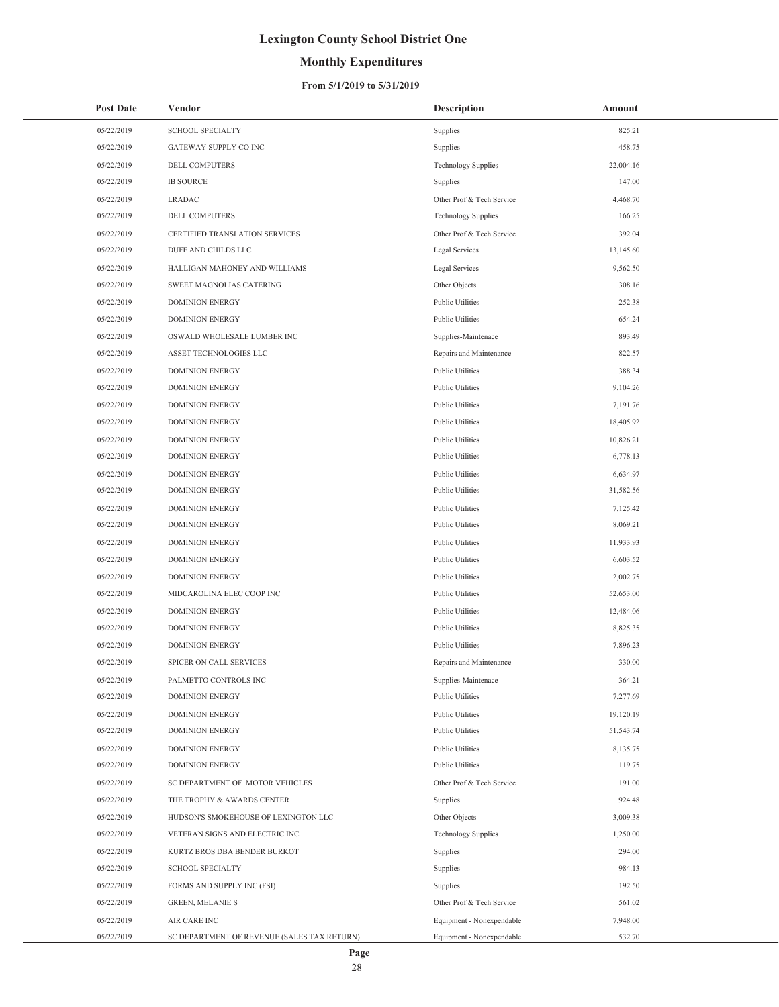## **Monthly Expenditures**

### **From 5/1/2019 to 5/31/2019**

| <b>Post Date</b> | Vendor                                      | <b>Description</b>         | Amount    |
|------------------|---------------------------------------------|----------------------------|-----------|
| 05/22/2019       | <b>SCHOOL SPECIALTY</b>                     | Supplies                   | 825.21    |
| 05/22/2019       | GATEWAY SUPPLY CO INC                       | Supplies                   | 458.75    |
| 05/22/2019       | DELL COMPUTERS                              | <b>Technology Supplies</b> | 22,004.16 |
| 05/22/2019       | <b>IB SOURCE</b>                            | Supplies                   | 147.00    |
| 05/22/2019       | <b>LRADAC</b>                               | Other Prof & Tech Service  | 4,468.70  |
| 05/22/2019       | DELL COMPUTERS                              | <b>Technology Supplies</b> | 166.25    |
| 05/22/2019       | CERTIFIED TRANSLATION SERVICES              | Other Prof & Tech Service  | 392.04    |
| 05/22/2019       | DUFF AND CHILDS LLC                         | Legal Services             | 13,145.60 |
| 05/22/2019       | HALLIGAN MAHONEY AND WILLIAMS               | Legal Services             | 9,562.50  |
| 05/22/2019       | SWEET MAGNOLIAS CATERING                    | Other Objects              | 308.16    |
| 05/22/2019       | <b>DOMINION ENERGY</b>                      | <b>Public Utilities</b>    | 252.38    |
| 05/22/2019       | <b>DOMINION ENERGY</b>                      | <b>Public Utilities</b>    | 654.24    |
| 05/22/2019       | OSWALD WHOLESALE LUMBER INC                 | Supplies-Maintenace        | 893.49    |
| 05/22/2019       | ASSET TECHNOLOGIES LLC                      | Repairs and Maintenance    | 822.57    |
| 05/22/2019       | <b>DOMINION ENERGY</b>                      | Public Utilities           | 388.34    |
| 05/22/2019       | <b>DOMINION ENERGY</b>                      | <b>Public Utilities</b>    | 9,104.26  |
| 05/22/2019       | <b>DOMINION ENERGY</b>                      | <b>Public Utilities</b>    | 7,191.76  |
| 05/22/2019       | <b>DOMINION ENERGY</b>                      | <b>Public Utilities</b>    | 18,405.92 |
| 05/22/2019       | <b>DOMINION ENERGY</b>                      | <b>Public Utilities</b>    | 10,826.21 |
| 05/22/2019       | <b>DOMINION ENERGY</b>                      | <b>Public Utilities</b>    | 6,778.13  |
| 05/22/2019       | <b>DOMINION ENERGY</b>                      | <b>Public Utilities</b>    | 6,634.97  |
| 05/22/2019       | <b>DOMINION ENERGY</b>                      | <b>Public Utilities</b>    | 31,582.56 |
| 05/22/2019       | <b>DOMINION ENERGY</b>                      | <b>Public Utilities</b>    | 7,125.42  |
| 05/22/2019       | <b>DOMINION ENERGY</b>                      | <b>Public Utilities</b>    | 8,069.21  |
| 05/22/2019       | <b>DOMINION ENERGY</b>                      | <b>Public Utilities</b>    | 11,933.93 |
| 05/22/2019       | <b>DOMINION ENERGY</b>                      | <b>Public Utilities</b>    | 6,603.52  |
| 05/22/2019       | <b>DOMINION ENERGY</b>                      | <b>Public Utilities</b>    | 2,002.75  |
| 05/22/2019       | MIDCAROLINA ELEC COOP INC                   | <b>Public Utilities</b>    | 52,653.00 |
| 05/22/2019       | <b>DOMINION ENERGY</b>                      | <b>Public Utilities</b>    | 12,484.06 |
| 05/22/2019       | <b>DOMINION ENERGY</b>                      | <b>Public Utilities</b>    | 8,825.35  |
| 05/22/2019       | <b>DOMINION ENERGY</b>                      | <b>Public Utilities</b>    | 7,896.23  |
| 05/22/2019       | SPICER ON CALL SERVICES                     | Repairs and Maintenance    | 330.00    |
| 05/22/2019       | PALMETTO CONTROLS INC                       | Supplies-Maintenace        | 364.21    |
| 05/22/2019       | <b>DOMINION ENERGY</b>                      | <b>Public Utilities</b>    | 7,277.69  |
| 05/22/2019       | DOMINION ENERGY                             | <b>Public Utilities</b>    | 19,120.19 |
| 05/22/2019       | <b>DOMINION ENERGY</b>                      | <b>Public Utilities</b>    | 51,543.74 |
| 05/22/2019       | <b>DOMINION ENERGY</b>                      | <b>Public Utilities</b>    | 8,135.75  |
| 05/22/2019       | <b>DOMINION ENERGY</b>                      | <b>Public Utilities</b>    | 119.75    |
| 05/22/2019       | SC DEPARTMENT OF MOTOR VEHICLES             | Other Prof & Tech Service  | 191.00    |
| 05/22/2019       | THE TROPHY & AWARDS CENTER                  | Supplies                   | 924.48    |
| 05/22/2019       | HUDSON'S SMOKEHOUSE OF LEXINGTON LLC        | Other Objects              | 3,009.38  |
| 05/22/2019       | VETERAN SIGNS AND ELECTRIC INC              | <b>Technology Supplies</b> | 1,250.00  |
| 05/22/2019       | KURTZ BROS DBA BENDER BURKOT                | Supplies                   | 294.00    |
| 05/22/2019       | <b>SCHOOL SPECIALTY</b>                     | Supplies                   | 984.13    |
| 05/22/2019       | FORMS AND SUPPLY INC (FSI)                  | Supplies                   | 192.50    |
| 05/22/2019       | <b>GREEN, MELANIE S</b>                     | Other Prof & Tech Service  | 561.02    |
| 05/22/2019       | AIR CARE INC                                | Equipment - Nonexpendable  | 7,948.00  |
| 05/22/2019       | SC DEPARTMENT OF REVENUE (SALES TAX RETURN) | Equipment - Nonexpendable  | 532.70    |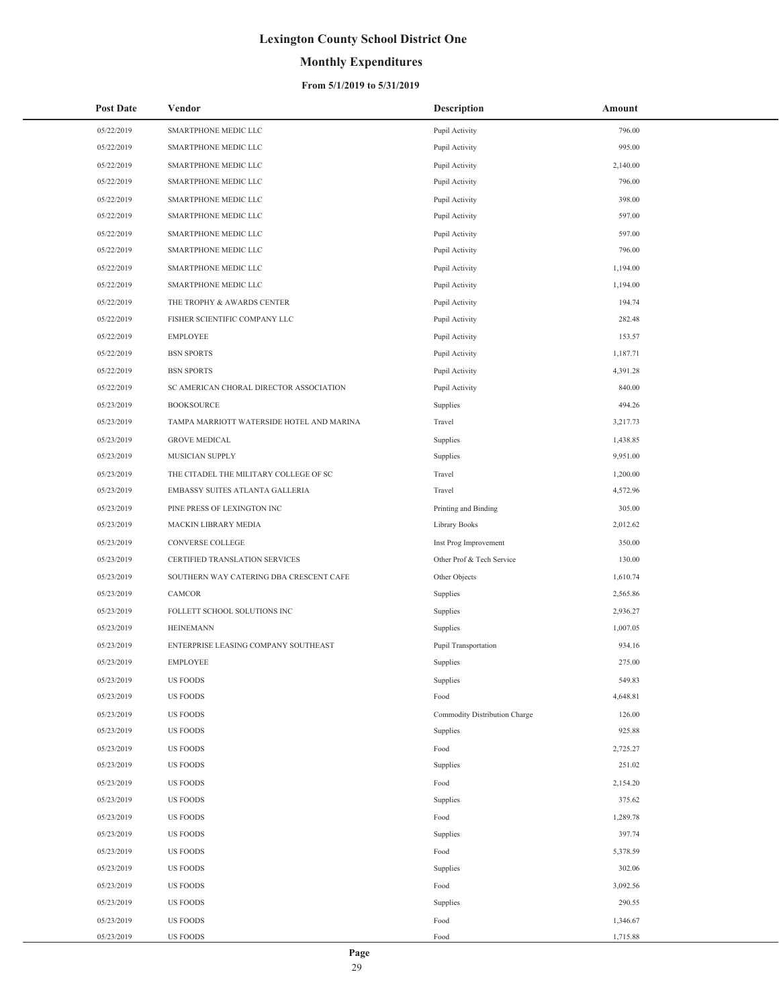## **Monthly Expenditures**

### **From 5/1/2019 to 5/31/2019**

| <b>Post Date</b> | Vendor                                    | <b>Description</b>            | Amount   |
|------------------|-------------------------------------------|-------------------------------|----------|
| 05/22/2019       | SMARTPHONE MEDIC LLC                      | Pupil Activity                | 796.00   |
| 05/22/2019       | SMARTPHONE MEDIC LLC                      | Pupil Activity                | 995.00   |
| 05/22/2019       | SMARTPHONE MEDIC LLC                      | Pupil Activity                | 2,140.00 |
| 05/22/2019       | SMARTPHONE MEDIC LLC                      | Pupil Activity                | 796.00   |
| 05/22/2019       | SMARTPHONE MEDIC LLC                      | Pupil Activity                | 398.00   |
| 05/22/2019       | SMARTPHONE MEDIC LLC                      | Pupil Activity                | 597.00   |
| 05/22/2019       | SMARTPHONE MEDIC LLC                      | Pupil Activity                | 597.00   |
| 05/22/2019       | SMARTPHONE MEDIC LLC                      | Pupil Activity                | 796.00   |
| 05/22/2019       | SMARTPHONE MEDIC LLC                      | Pupil Activity                | 1,194.00 |
| 05/22/2019       | SMARTPHONE MEDIC LLC                      | Pupil Activity                | 1,194.00 |
| 05/22/2019       | THE TROPHY & AWARDS CENTER                | Pupil Activity                | 194.74   |
| 05/22/2019       | FISHER SCIENTIFIC COMPANY LLC             | Pupil Activity                | 282.48   |
| 05/22/2019       | <b>EMPLOYEE</b>                           | Pupil Activity                | 153.57   |
| 05/22/2019       | <b>BSN SPORTS</b>                         | Pupil Activity                | 1,187.71 |
| 05/22/2019       | <b>BSN SPORTS</b>                         | Pupil Activity                | 4,391.28 |
| 05/22/2019       | SC AMERICAN CHORAL DIRECTOR ASSOCIATION   | Pupil Activity                | 840.00   |
| 05/23/2019       | <b>BOOKSOURCE</b>                         | Supplies                      | 494.26   |
| 05/23/2019       | TAMPA MARRIOTT WATERSIDE HOTEL AND MARINA | Travel                        | 3,217.73 |
| 05/23/2019       | <b>GROVE MEDICAL</b>                      | Supplies                      | 1,438.85 |
| 05/23/2019       | MUSICIAN SUPPLY                           | Supplies                      | 9,951.00 |
| 05/23/2019       | THE CITADEL THE MILITARY COLLEGE OF SC    | Travel                        | 1,200.00 |
| 05/23/2019       | EMBASSY SUITES ATLANTA GALLERIA           | Travel                        | 4,572.96 |
| 05/23/2019       | PINE PRESS OF LEXINGTON INC               | Printing and Binding          | 305.00   |
| 05/23/2019       | MACKIN LIBRARY MEDIA                      | Library Books                 | 2,012.62 |
| 05/23/2019       | CONVERSE COLLEGE                          | Inst Prog Improvement         | 350.00   |
| 05/23/2019       | CERTIFIED TRANSLATION SERVICES            | Other Prof & Tech Service     | 130.00   |
| 05/23/2019       | SOUTHERN WAY CATERING DBA CRESCENT CAFE   | Other Objects                 | 1,610.74 |
| 05/23/2019       | CAMCOR                                    | Supplies                      | 2,565.86 |
| 05/23/2019       | FOLLETT SCHOOL SOLUTIONS INC              | Supplies                      | 2,936.27 |
| 05/23/2019       | <b>HEINEMANN</b>                          | Supplies                      | 1,007.05 |
| 05/23/2019       | ENTERPRISE LEASING COMPANY SOUTHEAST      | Pupil Transportation          | 934.16   |
| 05/23/2019       | <b>EMPLOYEE</b>                           | Supplies                      | 275.00   |
| 05/23/2019       | <b>US FOODS</b>                           | Supplies                      | 549.83   |
| 05/23/2019       | <b>US FOODS</b>                           | Food                          | 4,648.81 |
| 05/23/2019       | <b>US FOODS</b>                           | Commodity Distribution Charge | 126.00   |
| 05/23/2019       | <b>US FOODS</b>                           | Supplies                      | 925.88   |
| 05/23/2019       | US FOODS                                  | Food                          | 2,725.27 |
| 05/23/2019       | <b>US FOODS</b>                           | Supplies                      | 251.02   |
| 05/23/2019       | <b>US FOODS</b>                           | Food                          | 2,154.20 |
| 05/23/2019       | US FOODS                                  | Supplies                      | 375.62   |
| 05/23/2019       | <b>US FOODS</b>                           | Food                          | 1,289.78 |
| 05/23/2019       | <b>US FOODS</b>                           | Supplies                      | 397.74   |
| 05/23/2019       | <b>US FOODS</b>                           | Food                          | 5,378.59 |
| 05/23/2019       | US FOODS                                  | Supplies                      | 302.06   |
| 05/23/2019       | <b>US FOODS</b>                           | Food                          | 3,092.56 |
| 05/23/2019       | <b>US FOODS</b>                           | Supplies                      | 290.55   |
| 05/23/2019       | <b>US FOODS</b>                           | Food                          | 1,346.67 |
| 05/23/2019       | US FOODS                                  | Food                          | 1,715.88 |

÷,

29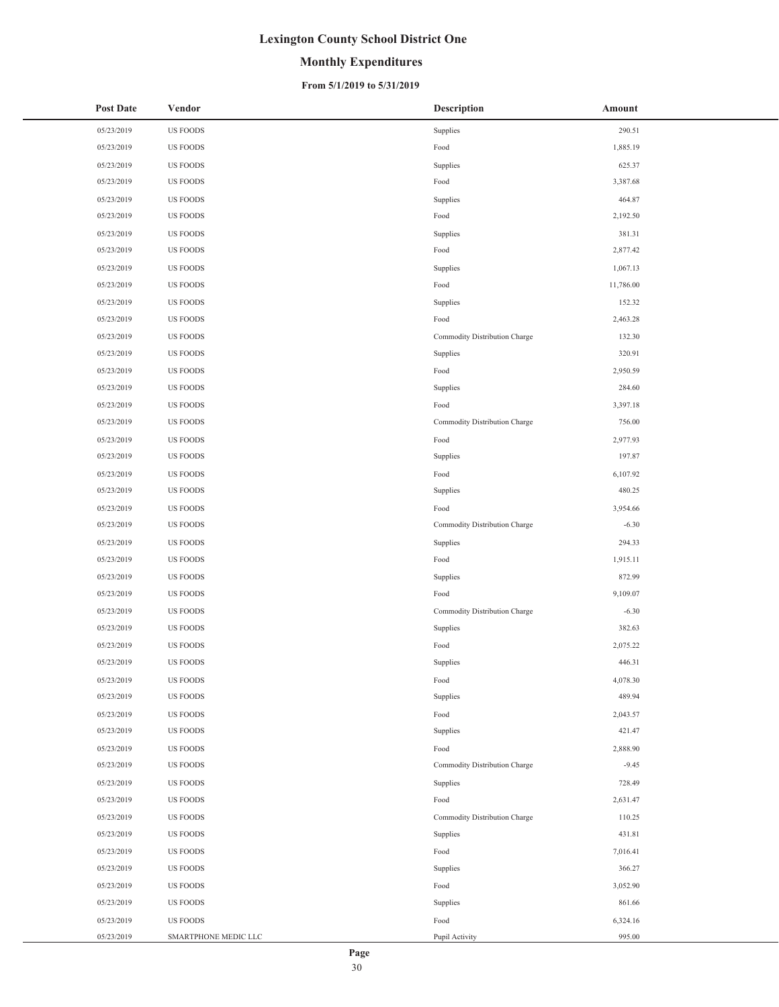## **Monthly Expenditures**

#### **From 5/1/2019 to 5/31/2019**

| 05/23/2019<br><b>US FOODS</b><br>Supplies<br>290.51<br>05/23/2019<br>Food<br>1,885.19<br><b>US FOODS</b><br>05/23/2019<br>US FOODS<br>625.37<br>Supplies<br><b>US FOODS</b><br>3,387.68<br>05/23/2019<br>Food<br>05/23/2019<br><b>US FOODS</b><br>464.87<br>Supplies<br>Food<br>2,192.50<br>05/23/2019<br>US FOODS<br>05/23/2019<br>US FOODS<br>Supplies<br>381.31<br><b>US FOODS</b><br>2,877.42<br>05/23/2019<br>Food<br>05/23/2019<br>US FOODS<br>Supplies<br>1,067.13<br>Food<br>11,786.00<br>05/23/2019<br>US FOODS<br>05/23/2019<br>US FOODS<br>Supplies<br>152.32<br>05/23/2019<br>US FOODS<br>Food<br>2,463.28<br>05/23/2019<br><b>US FOODS</b><br>132.30<br>Commodity Distribution Charge<br>320.91<br>05/23/2019<br>US FOODS<br>Supplies<br>05/23/2019<br>US FOODS<br>Food<br>2,950.59<br><b>US FOODS</b><br>284.60<br>05/23/2019<br>Supplies<br>05/23/2019<br><b>US FOODS</b><br>3,397.18<br>Food<br>05/23/2019<br>US FOODS<br>Commodity Distribution Charge<br>756.00<br>05/23/2019<br>US FOODS<br>2,977.93<br>Food<br>197.87<br>05/23/2019<br>US FOODS<br>Supplies<br>05/23/2019<br><b>US FOODS</b><br>Food<br>6,107.92<br>480.25<br>05/23/2019<br>US FOODS<br>Supplies<br>05/23/2019<br>US FOODS<br>3,954.66<br>Food<br><b>US FOODS</b><br>$-6.30$<br>05/23/2019<br>Commodity Distribution Charge<br>05/23/2019<br><b>US FOODS</b><br>Supplies<br>294.33<br>Food<br>05/23/2019<br>US FOODS<br>1,915.11<br>05/23/2019<br>872.99<br>US FOODS<br>Supplies<br><b>US FOODS</b><br>Food<br>9,109.07<br>05/23/2019<br>05/23/2019<br><b>US FOODS</b><br>$-6.30$<br>Commodity Distribution Charge<br>382.63<br>05/23/2019<br>US FOODS<br>Supplies<br>05/23/2019<br>US FOODS<br>2,075.22<br>Food<br>05/23/2019<br><b>US FOODS</b><br>446.31<br>Supplies<br>05/23/2019<br>US FOODS<br>Food<br>4,078.30<br>489.94<br>05/23/2019<br><b>US FOODS</b><br>Supplies<br>05/23/2019<br>US FOODS<br>2,043.57<br>Food<br>Supplies<br>421.47<br>05/23/2019<br>US FOODS<br>05/23/2019<br><b>US FOODS</b><br>2,888.90<br>Food<br>$-9.45$<br>05/23/2019<br>US FOODS<br>Commodity Distribution Charge<br>05/23/2019<br>US FOODS<br>728.49<br>Supplies<br>05/23/2019<br>US FOODS<br>Food<br>2,631.47<br><b>US FOODS</b><br>110.25<br>05/23/2019<br>Commodity Distribution Charge<br>431.81<br>05/23/2019<br>US FOODS<br>Supplies<br>05/23/2019<br>US FOODS<br>Food<br>7,016.41<br>366.27<br>05/23/2019<br>US FOODS<br>Supplies<br>05/23/2019<br>3,052.90<br>US FOODS<br>Food<br>861.66<br>05/23/2019<br>US FOODS<br>Supplies<br>05/23/2019<br>US FOODS<br>Food<br>6,324.16<br>995.00<br>05/23/2019<br>SMARTPHONE MEDIC LLC<br>Pupil Activity | <b>Post Date</b> | Vendor | <b>Description</b> | Amount |
|---------------------------------------------------------------------------------------------------------------------------------------------------------------------------------------------------------------------------------------------------------------------------------------------------------------------------------------------------------------------------------------------------------------------------------------------------------------------------------------------------------------------------------------------------------------------------------------------------------------------------------------------------------------------------------------------------------------------------------------------------------------------------------------------------------------------------------------------------------------------------------------------------------------------------------------------------------------------------------------------------------------------------------------------------------------------------------------------------------------------------------------------------------------------------------------------------------------------------------------------------------------------------------------------------------------------------------------------------------------------------------------------------------------------------------------------------------------------------------------------------------------------------------------------------------------------------------------------------------------------------------------------------------------------------------------------------------------------------------------------------------------------------------------------------------------------------------------------------------------------------------------------------------------------------------------------------------------------------------------------------------------------------------------------------------------------------------------------------------------------------------------------------------------------------------------------------------------------------------------------------------------------------------------------------------------------------------------------------------------------------------------------------------------------------------------------------------------------------------------------------------------------------------------------------------------------------------------------------------------------------------|------------------|--------|--------------------|--------|
|                                                                                                                                                                                                                                                                                                                                                                                                                                                                                                                                                                                                                                                                                                                                                                                                                                                                                                                                                                                                                                                                                                                                                                                                                                                                                                                                                                                                                                                                                                                                                                                                                                                                                                                                                                                                                                                                                                                                                                                                                                                                                                                                                                                                                                                                                                                                                                                                                                                                                                                                                                                                                                 |                  |        |                    |        |
|                                                                                                                                                                                                                                                                                                                                                                                                                                                                                                                                                                                                                                                                                                                                                                                                                                                                                                                                                                                                                                                                                                                                                                                                                                                                                                                                                                                                                                                                                                                                                                                                                                                                                                                                                                                                                                                                                                                                                                                                                                                                                                                                                                                                                                                                                                                                                                                                                                                                                                                                                                                                                                 |                  |        |                    |        |
|                                                                                                                                                                                                                                                                                                                                                                                                                                                                                                                                                                                                                                                                                                                                                                                                                                                                                                                                                                                                                                                                                                                                                                                                                                                                                                                                                                                                                                                                                                                                                                                                                                                                                                                                                                                                                                                                                                                                                                                                                                                                                                                                                                                                                                                                                                                                                                                                                                                                                                                                                                                                                                 |                  |        |                    |        |
|                                                                                                                                                                                                                                                                                                                                                                                                                                                                                                                                                                                                                                                                                                                                                                                                                                                                                                                                                                                                                                                                                                                                                                                                                                                                                                                                                                                                                                                                                                                                                                                                                                                                                                                                                                                                                                                                                                                                                                                                                                                                                                                                                                                                                                                                                                                                                                                                                                                                                                                                                                                                                                 |                  |        |                    |        |
|                                                                                                                                                                                                                                                                                                                                                                                                                                                                                                                                                                                                                                                                                                                                                                                                                                                                                                                                                                                                                                                                                                                                                                                                                                                                                                                                                                                                                                                                                                                                                                                                                                                                                                                                                                                                                                                                                                                                                                                                                                                                                                                                                                                                                                                                                                                                                                                                                                                                                                                                                                                                                                 |                  |        |                    |        |
|                                                                                                                                                                                                                                                                                                                                                                                                                                                                                                                                                                                                                                                                                                                                                                                                                                                                                                                                                                                                                                                                                                                                                                                                                                                                                                                                                                                                                                                                                                                                                                                                                                                                                                                                                                                                                                                                                                                                                                                                                                                                                                                                                                                                                                                                                                                                                                                                                                                                                                                                                                                                                                 |                  |        |                    |        |
|                                                                                                                                                                                                                                                                                                                                                                                                                                                                                                                                                                                                                                                                                                                                                                                                                                                                                                                                                                                                                                                                                                                                                                                                                                                                                                                                                                                                                                                                                                                                                                                                                                                                                                                                                                                                                                                                                                                                                                                                                                                                                                                                                                                                                                                                                                                                                                                                                                                                                                                                                                                                                                 |                  |        |                    |        |
|                                                                                                                                                                                                                                                                                                                                                                                                                                                                                                                                                                                                                                                                                                                                                                                                                                                                                                                                                                                                                                                                                                                                                                                                                                                                                                                                                                                                                                                                                                                                                                                                                                                                                                                                                                                                                                                                                                                                                                                                                                                                                                                                                                                                                                                                                                                                                                                                                                                                                                                                                                                                                                 |                  |        |                    |        |
|                                                                                                                                                                                                                                                                                                                                                                                                                                                                                                                                                                                                                                                                                                                                                                                                                                                                                                                                                                                                                                                                                                                                                                                                                                                                                                                                                                                                                                                                                                                                                                                                                                                                                                                                                                                                                                                                                                                                                                                                                                                                                                                                                                                                                                                                                                                                                                                                                                                                                                                                                                                                                                 |                  |        |                    |        |
|                                                                                                                                                                                                                                                                                                                                                                                                                                                                                                                                                                                                                                                                                                                                                                                                                                                                                                                                                                                                                                                                                                                                                                                                                                                                                                                                                                                                                                                                                                                                                                                                                                                                                                                                                                                                                                                                                                                                                                                                                                                                                                                                                                                                                                                                                                                                                                                                                                                                                                                                                                                                                                 |                  |        |                    |        |
|                                                                                                                                                                                                                                                                                                                                                                                                                                                                                                                                                                                                                                                                                                                                                                                                                                                                                                                                                                                                                                                                                                                                                                                                                                                                                                                                                                                                                                                                                                                                                                                                                                                                                                                                                                                                                                                                                                                                                                                                                                                                                                                                                                                                                                                                                                                                                                                                                                                                                                                                                                                                                                 |                  |        |                    |        |
|                                                                                                                                                                                                                                                                                                                                                                                                                                                                                                                                                                                                                                                                                                                                                                                                                                                                                                                                                                                                                                                                                                                                                                                                                                                                                                                                                                                                                                                                                                                                                                                                                                                                                                                                                                                                                                                                                                                                                                                                                                                                                                                                                                                                                                                                                                                                                                                                                                                                                                                                                                                                                                 |                  |        |                    |        |
|                                                                                                                                                                                                                                                                                                                                                                                                                                                                                                                                                                                                                                                                                                                                                                                                                                                                                                                                                                                                                                                                                                                                                                                                                                                                                                                                                                                                                                                                                                                                                                                                                                                                                                                                                                                                                                                                                                                                                                                                                                                                                                                                                                                                                                                                                                                                                                                                                                                                                                                                                                                                                                 |                  |        |                    |        |
|                                                                                                                                                                                                                                                                                                                                                                                                                                                                                                                                                                                                                                                                                                                                                                                                                                                                                                                                                                                                                                                                                                                                                                                                                                                                                                                                                                                                                                                                                                                                                                                                                                                                                                                                                                                                                                                                                                                                                                                                                                                                                                                                                                                                                                                                                                                                                                                                                                                                                                                                                                                                                                 |                  |        |                    |        |
|                                                                                                                                                                                                                                                                                                                                                                                                                                                                                                                                                                                                                                                                                                                                                                                                                                                                                                                                                                                                                                                                                                                                                                                                                                                                                                                                                                                                                                                                                                                                                                                                                                                                                                                                                                                                                                                                                                                                                                                                                                                                                                                                                                                                                                                                                                                                                                                                                                                                                                                                                                                                                                 |                  |        |                    |        |
|                                                                                                                                                                                                                                                                                                                                                                                                                                                                                                                                                                                                                                                                                                                                                                                                                                                                                                                                                                                                                                                                                                                                                                                                                                                                                                                                                                                                                                                                                                                                                                                                                                                                                                                                                                                                                                                                                                                                                                                                                                                                                                                                                                                                                                                                                                                                                                                                                                                                                                                                                                                                                                 |                  |        |                    |        |
|                                                                                                                                                                                                                                                                                                                                                                                                                                                                                                                                                                                                                                                                                                                                                                                                                                                                                                                                                                                                                                                                                                                                                                                                                                                                                                                                                                                                                                                                                                                                                                                                                                                                                                                                                                                                                                                                                                                                                                                                                                                                                                                                                                                                                                                                                                                                                                                                                                                                                                                                                                                                                                 |                  |        |                    |        |
|                                                                                                                                                                                                                                                                                                                                                                                                                                                                                                                                                                                                                                                                                                                                                                                                                                                                                                                                                                                                                                                                                                                                                                                                                                                                                                                                                                                                                                                                                                                                                                                                                                                                                                                                                                                                                                                                                                                                                                                                                                                                                                                                                                                                                                                                                                                                                                                                                                                                                                                                                                                                                                 |                  |        |                    |        |
|                                                                                                                                                                                                                                                                                                                                                                                                                                                                                                                                                                                                                                                                                                                                                                                                                                                                                                                                                                                                                                                                                                                                                                                                                                                                                                                                                                                                                                                                                                                                                                                                                                                                                                                                                                                                                                                                                                                                                                                                                                                                                                                                                                                                                                                                                                                                                                                                                                                                                                                                                                                                                                 |                  |        |                    |        |
|                                                                                                                                                                                                                                                                                                                                                                                                                                                                                                                                                                                                                                                                                                                                                                                                                                                                                                                                                                                                                                                                                                                                                                                                                                                                                                                                                                                                                                                                                                                                                                                                                                                                                                                                                                                                                                                                                                                                                                                                                                                                                                                                                                                                                                                                                                                                                                                                                                                                                                                                                                                                                                 |                  |        |                    |        |
|                                                                                                                                                                                                                                                                                                                                                                                                                                                                                                                                                                                                                                                                                                                                                                                                                                                                                                                                                                                                                                                                                                                                                                                                                                                                                                                                                                                                                                                                                                                                                                                                                                                                                                                                                                                                                                                                                                                                                                                                                                                                                                                                                                                                                                                                                                                                                                                                                                                                                                                                                                                                                                 |                  |        |                    |        |
|                                                                                                                                                                                                                                                                                                                                                                                                                                                                                                                                                                                                                                                                                                                                                                                                                                                                                                                                                                                                                                                                                                                                                                                                                                                                                                                                                                                                                                                                                                                                                                                                                                                                                                                                                                                                                                                                                                                                                                                                                                                                                                                                                                                                                                                                                                                                                                                                                                                                                                                                                                                                                                 |                  |        |                    |        |
|                                                                                                                                                                                                                                                                                                                                                                                                                                                                                                                                                                                                                                                                                                                                                                                                                                                                                                                                                                                                                                                                                                                                                                                                                                                                                                                                                                                                                                                                                                                                                                                                                                                                                                                                                                                                                                                                                                                                                                                                                                                                                                                                                                                                                                                                                                                                                                                                                                                                                                                                                                                                                                 |                  |        |                    |        |
|                                                                                                                                                                                                                                                                                                                                                                                                                                                                                                                                                                                                                                                                                                                                                                                                                                                                                                                                                                                                                                                                                                                                                                                                                                                                                                                                                                                                                                                                                                                                                                                                                                                                                                                                                                                                                                                                                                                                                                                                                                                                                                                                                                                                                                                                                                                                                                                                                                                                                                                                                                                                                                 |                  |        |                    |        |
|                                                                                                                                                                                                                                                                                                                                                                                                                                                                                                                                                                                                                                                                                                                                                                                                                                                                                                                                                                                                                                                                                                                                                                                                                                                                                                                                                                                                                                                                                                                                                                                                                                                                                                                                                                                                                                                                                                                                                                                                                                                                                                                                                                                                                                                                                                                                                                                                                                                                                                                                                                                                                                 |                  |        |                    |        |
|                                                                                                                                                                                                                                                                                                                                                                                                                                                                                                                                                                                                                                                                                                                                                                                                                                                                                                                                                                                                                                                                                                                                                                                                                                                                                                                                                                                                                                                                                                                                                                                                                                                                                                                                                                                                                                                                                                                                                                                                                                                                                                                                                                                                                                                                                                                                                                                                                                                                                                                                                                                                                                 |                  |        |                    |        |
|                                                                                                                                                                                                                                                                                                                                                                                                                                                                                                                                                                                                                                                                                                                                                                                                                                                                                                                                                                                                                                                                                                                                                                                                                                                                                                                                                                                                                                                                                                                                                                                                                                                                                                                                                                                                                                                                                                                                                                                                                                                                                                                                                                                                                                                                                                                                                                                                                                                                                                                                                                                                                                 |                  |        |                    |        |
|                                                                                                                                                                                                                                                                                                                                                                                                                                                                                                                                                                                                                                                                                                                                                                                                                                                                                                                                                                                                                                                                                                                                                                                                                                                                                                                                                                                                                                                                                                                                                                                                                                                                                                                                                                                                                                                                                                                                                                                                                                                                                                                                                                                                                                                                                                                                                                                                                                                                                                                                                                                                                                 |                  |        |                    |        |
|                                                                                                                                                                                                                                                                                                                                                                                                                                                                                                                                                                                                                                                                                                                                                                                                                                                                                                                                                                                                                                                                                                                                                                                                                                                                                                                                                                                                                                                                                                                                                                                                                                                                                                                                                                                                                                                                                                                                                                                                                                                                                                                                                                                                                                                                                                                                                                                                                                                                                                                                                                                                                                 |                  |        |                    |        |
|                                                                                                                                                                                                                                                                                                                                                                                                                                                                                                                                                                                                                                                                                                                                                                                                                                                                                                                                                                                                                                                                                                                                                                                                                                                                                                                                                                                                                                                                                                                                                                                                                                                                                                                                                                                                                                                                                                                                                                                                                                                                                                                                                                                                                                                                                                                                                                                                                                                                                                                                                                                                                                 |                  |        |                    |        |
|                                                                                                                                                                                                                                                                                                                                                                                                                                                                                                                                                                                                                                                                                                                                                                                                                                                                                                                                                                                                                                                                                                                                                                                                                                                                                                                                                                                                                                                                                                                                                                                                                                                                                                                                                                                                                                                                                                                                                                                                                                                                                                                                                                                                                                                                                                                                                                                                                                                                                                                                                                                                                                 |                  |        |                    |        |
|                                                                                                                                                                                                                                                                                                                                                                                                                                                                                                                                                                                                                                                                                                                                                                                                                                                                                                                                                                                                                                                                                                                                                                                                                                                                                                                                                                                                                                                                                                                                                                                                                                                                                                                                                                                                                                                                                                                                                                                                                                                                                                                                                                                                                                                                                                                                                                                                                                                                                                                                                                                                                                 |                  |        |                    |        |
|                                                                                                                                                                                                                                                                                                                                                                                                                                                                                                                                                                                                                                                                                                                                                                                                                                                                                                                                                                                                                                                                                                                                                                                                                                                                                                                                                                                                                                                                                                                                                                                                                                                                                                                                                                                                                                                                                                                                                                                                                                                                                                                                                                                                                                                                                                                                                                                                                                                                                                                                                                                                                                 |                  |        |                    |        |
|                                                                                                                                                                                                                                                                                                                                                                                                                                                                                                                                                                                                                                                                                                                                                                                                                                                                                                                                                                                                                                                                                                                                                                                                                                                                                                                                                                                                                                                                                                                                                                                                                                                                                                                                                                                                                                                                                                                                                                                                                                                                                                                                                                                                                                                                                                                                                                                                                                                                                                                                                                                                                                 |                  |        |                    |        |
|                                                                                                                                                                                                                                                                                                                                                                                                                                                                                                                                                                                                                                                                                                                                                                                                                                                                                                                                                                                                                                                                                                                                                                                                                                                                                                                                                                                                                                                                                                                                                                                                                                                                                                                                                                                                                                                                                                                                                                                                                                                                                                                                                                                                                                                                                                                                                                                                                                                                                                                                                                                                                                 |                  |        |                    |        |
|                                                                                                                                                                                                                                                                                                                                                                                                                                                                                                                                                                                                                                                                                                                                                                                                                                                                                                                                                                                                                                                                                                                                                                                                                                                                                                                                                                                                                                                                                                                                                                                                                                                                                                                                                                                                                                                                                                                                                                                                                                                                                                                                                                                                                                                                                                                                                                                                                                                                                                                                                                                                                                 |                  |        |                    |        |
|                                                                                                                                                                                                                                                                                                                                                                                                                                                                                                                                                                                                                                                                                                                                                                                                                                                                                                                                                                                                                                                                                                                                                                                                                                                                                                                                                                                                                                                                                                                                                                                                                                                                                                                                                                                                                                                                                                                                                                                                                                                                                                                                                                                                                                                                                                                                                                                                                                                                                                                                                                                                                                 |                  |        |                    |        |
|                                                                                                                                                                                                                                                                                                                                                                                                                                                                                                                                                                                                                                                                                                                                                                                                                                                                                                                                                                                                                                                                                                                                                                                                                                                                                                                                                                                                                                                                                                                                                                                                                                                                                                                                                                                                                                                                                                                                                                                                                                                                                                                                                                                                                                                                                                                                                                                                                                                                                                                                                                                                                                 |                  |        |                    |        |
|                                                                                                                                                                                                                                                                                                                                                                                                                                                                                                                                                                                                                                                                                                                                                                                                                                                                                                                                                                                                                                                                                                                                                                                                                                                                                                                                                                                                                                                                                                                                                                                                                                                                                                                                                                                                                                                                                                                                                                                                                                                                                                                                                                                                                                                                                                                                                                                                                                                                                                                                                                                                                                 |                  |        |                    |        |
|                                                                                                                                                                                                                                                                                                                                                                                                                                                                                                                                                                                                                                                                                                                                                                                                                                                                                                                                                                                                                                                                                                                                                                                                                                                                                                                                                                                                                                                                                                                                                                                                                                                                                                                                                                                                                                                                                                                                                                                                                                                                                                                                                                                                                                                                                                                                                                                                                                                                                                                                                                                                                                 |                  |        |                    |        |
|                                                                                                                                                                                                                                                                                                                                                                                                                                                                                                                                                                                                                                                                                                                                                                                                                                                                                                                                                                                                                                                                                                                                                                                                                                                                                                                                                                                                                                                                                                                                                                                                                                                                                                                                                                                                                                                                                                                                                                                                                                                                                                                                                                                                                                                                                                                                                                                                                                                                                                                                                                                                                                 |                  |        |                    |        |
|                                                                                                                                                                                                                                                                                                                                                                                                                                                                                                                                                                                                                                                                                                                                                                                                                                                                                                                                                                                                                                                                                                                                                                                                                                                                                                                                                                                                                                                                                                                                                                                                                                                                                                                                                                                                                                                                                                                                                                                                                                                                                                                                                                                                                                                                                                                                                                                                                                                                                                                                                                                                                                 |                  |        |                    |        |
|                                                                                                                                                                                                                                                                                                                                                                                                                                                                                                                                                                                                                                                                                                                                                                                                                                                                                                                                                                                                                                                                                                                                                                                                                                                                                                                                                                                                                                                                                                                                                                                                                                                                                                                                                                                                                                                                                                                                                                                                                                                                                                                                                                                                                                                                                                                                                                                                                                                                                                                                                                                                                                 |                  |        |                    |        |
|                                                                                                                                                                                                                                                                                                                                                                                                                                                                                                                                                                                                                                                                                                                                                                                                                                                                                                                                                                                                                                                                                                                                                                                                                                                                                                                                                                                                                                                                                                                                                                                                                                                                                                                                                                                                                                                                                                                                                                                                                                                                                                                                                                                                                                                                                                                                                                                                                                                                                                                                                                                                                                 |                  |        |                    |        |
|                                                                                                                                                                                                                                                                                                                                                                                                                                                                                                                                                                                                                                                                                                                                                                                                                                                                                                                                                                                                                                                                                                                                                                                                                                                                                                                                                                                                                                                                                                                                                                                                                                                                                                                                                                                                                                                                                                                                                                                                                                                                                                                                                                                                                                                                                                                                                                                                                                                                                                                                                                                                                                 |                  |        |                    |        |
|                                                                                                                                                                                                                                                                                                                                                                                                                                                                                                                                                                                                                                                                                                                                                                                                                                                                                                                                                                                                                                                                                                                                                                                                                                                                                                                                                                                                                                                                                                                                                                                                                                                                                                                                                                                                                                                                                                                                                                                                                                                                                                                                                                                                                                                                                                                                                                                                                                                                                                                                                                                                                                 |                  |        |                    |        |
|                                                                                                                                                                                                                                                                                                                                                                                                                                                                                                                                                                                                                                                                                                                                                                                                                                                                                                                                                                                                                                                                                                                                                                                                                                                                                                                                                                                                                                                                                                                                                                                                                                                                                                                                                                                                                                                                                                                                                                                                                                                                                                                                                                                                                                                                                                                                                                                                                                                                                                                                                                                                                                 |                  |        |                    |        |

 $\overline{a}$ L,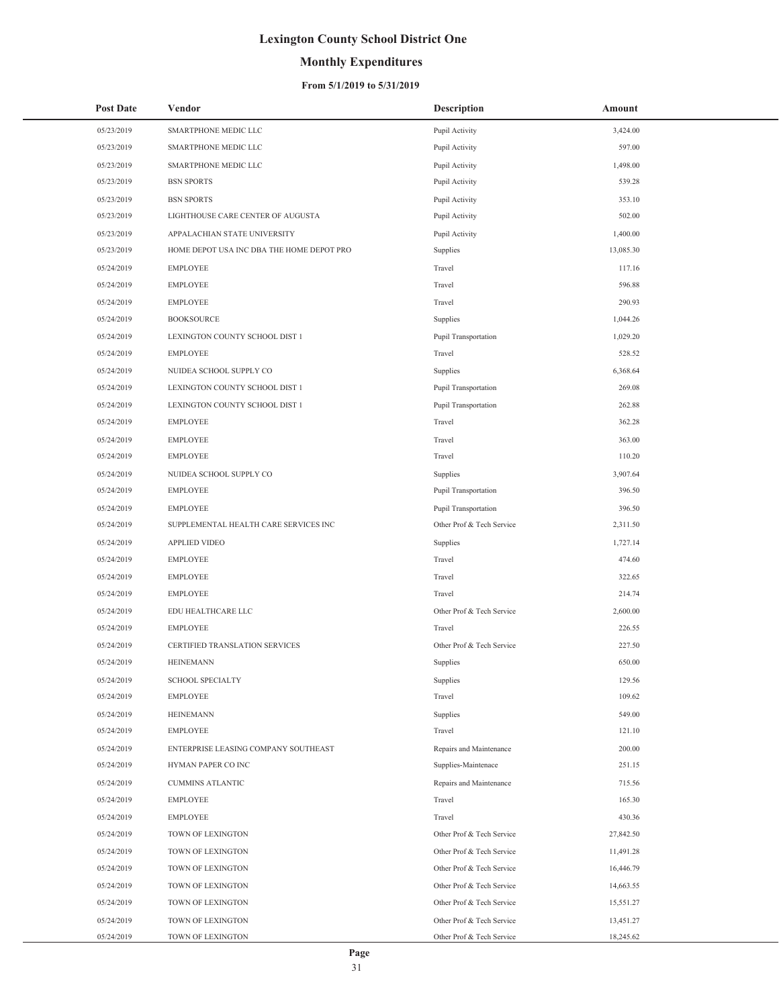## **Monthly Expenditures**

| <b>Post Date</b> | Vendor                                    | <b>Description</b>        | Amount    |
|------------------|-------------------------------------------|---------------------------|-----------|
| 05/23/2019       | SMARTPHONE MEDIC LLC                      | Pupil Activity            | 3,424.00  |
| 05/23/2019       | SMARTPHONE MEDIC LLC                      | Pupil Activity            | 597.00    |
| 05/23/2019       | SMARTPHONE MEDIC LLC                      | Pupil Activity            | 1,498.00  |
| 05/23/2019       | <b>BSN SPORTS</b>                         | Pupil Activity            | 539.28    |
| 05/23/2019       | <b>BSN SPORTS</b>                         | Pupil Activity            | 353.10    |
| 05/23/2019       | LIGHTHOUSE CARE CENTER OF AUGUSTA         | Pupil Activity            | 502.00    |
| 05/23/2019       | APPALACHIAN STATE UNIVERSITY              | Pupil Activity            | 1,400.00  |
| 05/23/2019       | HOME DEPOT USA INC DBA THE HOME DEPOT PRO | Supplies                  | 13,085.30 |
| 05/24/2019       | <b>EMPLOYEE</b>                           | Travel                    | 117.16    |
| 05/24/2019       | <b>EMPLOYEE</b>                           | Travel                    | 596.88    |
| 05/24/2019       | <b>EMPLOYEE</b>                           | Travel                    | 290.93    |
| 05/24/2019       | <b>BOOKSOURCE</b>                         | Supplies                  | 1,044.26  |
| 05/24/2019       | LEXINGTON COUNTY SCHOOL DIST 1            | Pupil Transportation      | 1,029.20  |
| 05/24/2019       | <b>EMPLOYEE</b>                           | Travel                    | 528.52    |
| 05/24/2019       | NUIDEA SCHOOL SUPPLY CO                   | Supplies                  | 6,368.64  |
| 05/24/2019       | LEXINGTON COUNTY SCHOOL DIST 1            | Pupil Transportation      | 269.08    |
| 05/24/2019       | LEXINGTON COUNTY SCHOOL DIST 1            | Pupil Transportation      | 262.88    |
| 05/24/2019       | <b>EMPLOYEE</b>                           | Travel                    | 362.28    |
| 05/24/2019       | <b>EMPLOYEE</b>                           | Travel                    | 363.00    |
| 05/24/2019       | <b>EMPLOYEE</b>                           | Travel                    | 110.20    |
| 05/24/2019       | NUIDEA SCHOOL SUPPLY CO                   | Supplies                  | 3,907.64  |
| 05/24/2019       | <b>EMPLOYEE</b>                           | Pupil Transportation      | 396.50    |
| 05/24/2019       | <b>EMPLOYEE</b>                           | Pupil Transportation      | 396.50    |
| 05/24/2019       | SUPPLEMENTAL HEALTH CARE SERVICES INC     | Other Prof & Tech Service | 2,311.50  |
| 05/24/2019       | APPLIED VIDEO                             | Supplies                  | 1,727.14  |
| 05/24/2019       | <b>EMPLOYEE</b>                           | Travel                    | 474.60    |
| 05/24/2019       | <b>EMPLOYEE</b>                           | Travel                    | 322.65    |
| 05/24/2019       | <b>EMPLOYEE</b>                           | Travel                    | 214.74    |
| 05/24/2019       | EDU HEALTHCARE LLC                        | Other Prof & Tech Service | 2,600.00  |
| 05/24/2019       | <b>EMPLOYEE</b>                           | Travel                    | 226.55    |
| 05/24/2019       | CERTIFIED TRANSLATION SERVICES            | Other Prof & Tech Service | 227.50    |
| 05/24/2019       | <b>HEINEMANN</b>                          | Supplies                  | 650.00    |
| 05/24/2019       | <b>SCHOOL SPECIALTY</b>                   | Supplies                  | 129.56    |
| 05/24/2019       | <b>EMPLOYEE</b>                           | Travel                    | 109.62    |
| 05/24/2019       | <b>HEINEMANN</b>                          | Supplies                  | 549.00    |
| 05/24/2019       | <b>EMPLOYEE</b>                           | Travel                    | 121.10    |
| 05/24/2019       | ENTERPRISE LEASING COMPANY SOUTHEAST      | Repairs and Maintenance   | 200.00    |
| 05/24/2019       | HYMAN PAPER CO INC                        | Supplies-Maintenace       | 251.15    |
| 05/24/2019       | <b>CUMMINS ATLANTIC</b>                   | Repairs and Maintenance   | 715.56    |
| 05/24/2019       | <b>EMPLOYEE</b>                           | Travel                    | 165.30    |
| 05/24/2019       | <b>EMPLOYEE</b>                           | Travel                    | 430.36    |
| 05/24/2019       | TOWN OF LEXINGTON                         | Other Prof & Tech Service | 27,842.50 |
| 05/24/2019       | TOWN OF LEXINGTON                         | Other Prof & Tech Service | 11,491.28 |
| 05/24/2019       | TOWN OF LEXINGTON                         | Other Prof & Tech Service | 16,446.79 |
| 05/24/2019       | TOWN OF LEXINGTON                         | Other Prof & Tech Service | 14,663.55 |
| 05/24/2019       | TOWN OF LEXINGTON                         | Other Prof & Tech Service | 15,551.27 |
| 05/24/2019       | TOWN OF LEXINGTON                         | Other Prof & Tech Service | 13,451.27 |
| 05/24/2019       | TOWN OF LEXINGTON                         | Other Prof & Tech Service | 18,245.62 |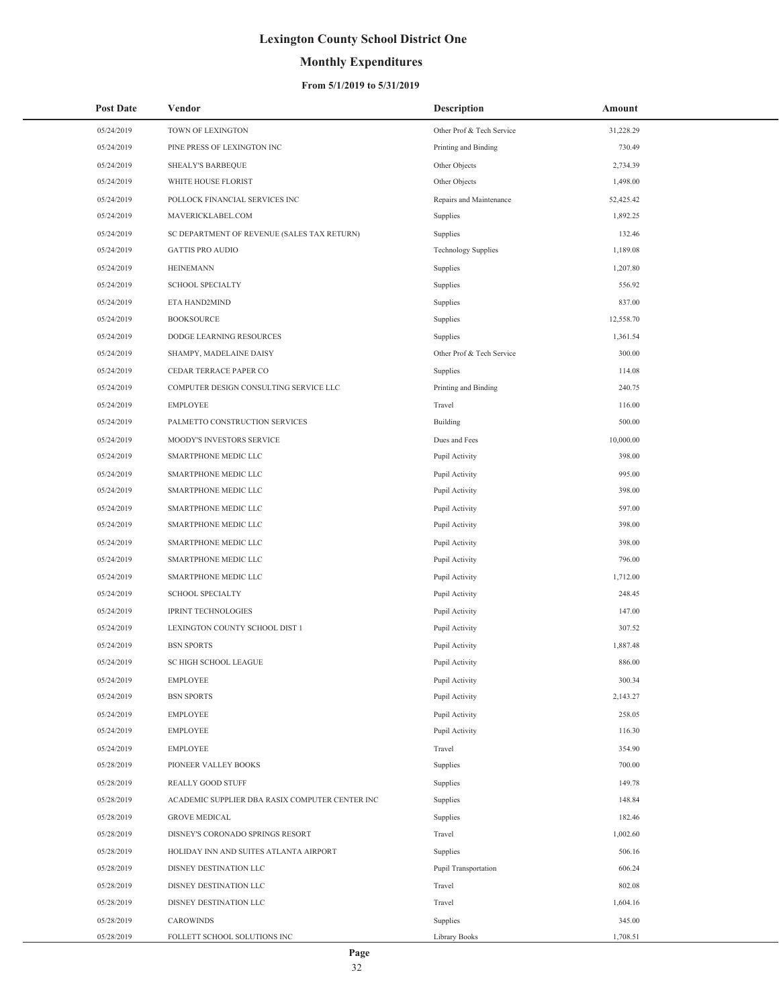## **Monthly Expenditures**

### **From 5/1/2019 to 5/31/2019**

| <b>Post Date</b> | Vendor                                          | <b>Description</b>         | Amount    |
|------------------|-------------------------------------------------|----------------------------|-----------|
| 05/24/2019       | TOWN OF LEXINGTON                               | Other Prof & Tech Service  | 31,228.29 |
| 05/24/2019       | PINE PRESS OF LEXINGTON INC                     | Printing and Binding       | 730.49    |
| 05/24/2019       | <b>SHEALY'S BARBEQUE</b>                        | Other Objects              | 2,734.39  |
| 05/24/2019       | WHITE HOUSE FLORIST                             | Other Objects              | 1,498.00  |
| 05/24/2019       | POLLOCK FINANCIAL SERVICES INC                  | Repairs and Maintenance    | 52,425.42 |
| 05/24/2019       | MAVERICKLABEL.COM                               | Supplies                   | 1,892.25  |
| 05/24/2019       | SC DEPARTMENT OF REVENUE (SALES TAX RETURN)     | Supplies                   | 132.46    |
| 05/24/2019       | <b>GATTIS PRO AUDIO</b>                         | <b>Technology Supplies</b> | 1,189.08  |
| 05/24/2019       | <b>HEINEMANN</b>                                | Supplies                   | 1,207.80  |
| 05/24/2019       | <b>SCHOOL SPECIALTY</b>                         | Supplies                   | 556.92    |
| 05/24/2019       | ETA HAND2MIND                                   | Supplies                   | 837.00    |
| 05/24/2019       | <b>BOOKSOURCE</b>                               | Supplies                   | 12,558.70 |
| 05/24/2019       | DODGE LEARNING RESOURCES                        | Supplies                   | 1,361.54  |
| 05/24/2019       | SHAMPY, MADELAINE DAISY                         | Other Prof & Tech Service  | 300.00    |
| 05/24/2019       | CEDAR TERRACE PAPER CO                          | Supplies                   | 114.08    |
| 05/24/2019       | COMPUTER DESIGN CONSULTING SERVICE LLC          | Printing and Binding       | 240.75    |
| 05/24/2019       | <b>EMPLOYEE</b>                                 | Travel                     | 116.00    |
| 05/24/2019       | PALMETTO CONSTRUCTION SERVICES                  | Building                   | 500.00    |
| 05/24/2019       | MOODY'S INVESTORS SERVICE                       | Dues and Fees              | 10,000.00 |
| 05/24/2019       | SMARTPHONE MEDIC LLC                            | Pupil Activity             | 398.00    |
| 05/24/2019       | SMARTPHONE MEDIC LLC                            | Pupil Activity             | 995.00    |
| 05/24/2019       | SMARTPHONE MEDIC LLC                            | Pupil Activity             | 398.00    |
| 05/24/2019       | SMARTPHONE MEDIC LLC                            | Pupil Activity             | 597.00    |
| 05/24/2019       | SMARTPHONE MEDIC LLC                            | Pupil Activity             | 398.00    |
| 05/24/2019       | SMARTPHONE MEDIC LLC                            | Pupil Activity             | 398.00    |
| 05/24/2019       | SMARTPHONE MEDIC LLC                            | Pupil Activity             | 796.00    |
| 05/24/2019       | SMARTPHONE MEDIC LLC                            | Pupil Activity             | 1,712.00  |
| 05/24/2019       | <b>SCHOOL SPECIALTY</b>                         | Pupil Activity             | 248.45    |
| 05/24/2019       | <b>IPRINT TECHNOLOGIES</b>                      | Pupil Activity             | 147.00    |
| 05/24/2019       | LEXINGTON COUNTY SCHOOL DIST 1                  | Pupil Activity             | 307.52    |
| 05/24/2019       | <b>BSN SPORTS</b>                               | Pupil Activity             | 1,887.48  |
| 05/24/2019       | SC HIGH SCHOOL LEAGUE                           | Pupil Activity             | 886.00    |
| 05/24/2019       | <b>EMPLOYEE</b>                                 | Pupil Activity             | 300.34    |
| 05/24/2019       | <b>BSN SPORTS</b>                               | Pupil Activity             | 2,143.27  |
| 05/24/2019       | <b>EMPLOYEE</b>                                 | Pupil Activity             | 258.05    |
| 05/24/2019       | <b>EMPLOYEE</b>                                 | Pupil Activity             | 116.30    |
| 05/24/2019       | <b>EMPLOYEE</b>                                 | Travel                     | 354.90    |
| 05/28/2019       | PIONEER VALLEY BOOKS                            | Supplies                   | 700.00    |
| 05/28/2019       | REALLY GOOD STUFF                               | Supplies                   | 149.78    |
| 05/28/2019       | ACADEMIC SUPPLIER DBA RASIX COMPUTER CENTER INC | Supplies                   | 148.84    |
| 05/28/2019       | <b>GROVE MEDICAL</b>                            | Supplies                   | 182.46    |
| 05/28/2019       | DISNEY'S CORONADO SPRINGS RESORT                | Travel                     | 1,002.60  |
| 05/28/2019       | HOLIDAY INN AND SUITES ATLANTA AIRPORT          | Supplies                   | 506.16    |
| 05/28/2019       | DISNEY DESTINATION LLC                          | Pupil Transportation       | 606.24    |
| 05/28/2019       | DISNEY DESTINATION LLC                          | Travel                     | 802.08    |
| 05/28/2019       | DISNEY DESTINATION LLC                          | Travel                     | 1,604.16  |
| 05/28/2019       | <b>CAROWINDS</b>                                | Supplies                   | 345.00    |
| 05/28/2019       | FOLLETT SCHOOL SOLUTIONS INC                    | Library Books              | 1,708.51  |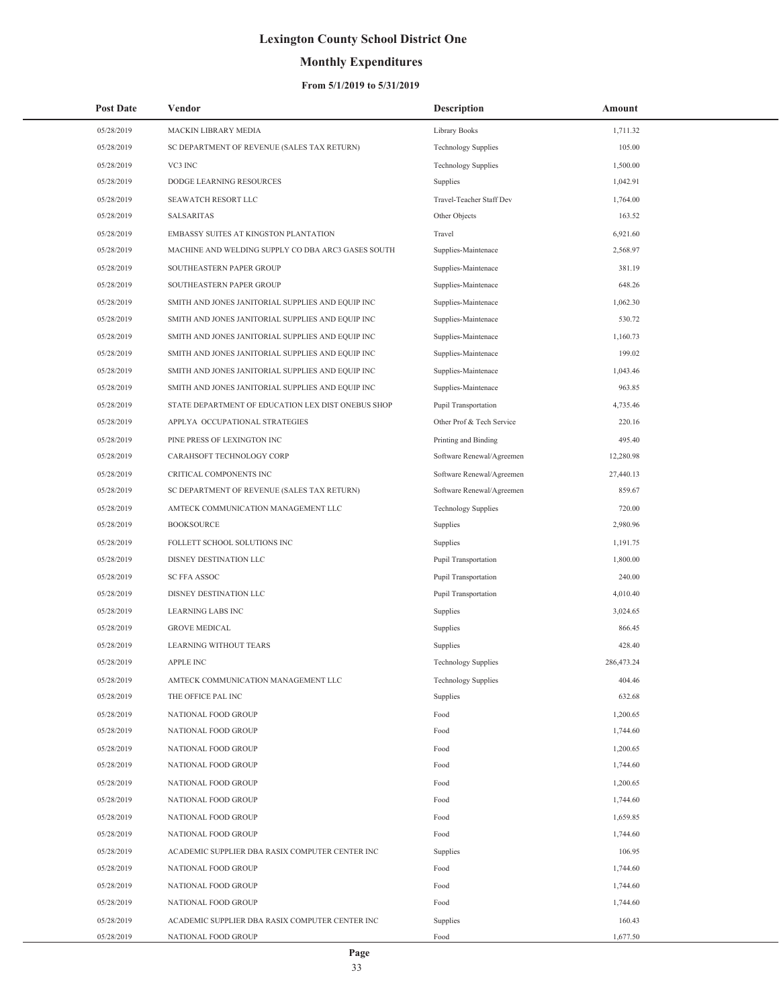## **Monthly Expenditures**

### **From 5/1/2019 to 5/31/2019**

| 05/28/2019<br>MACKIN LIBRARY MEDIA<br>Library Books<br>1,711.32<br>105.00<br>05/28/2019<br>SC DEPARTMENT OF REVENUE (SALES TAX RETURN)<br><b>Technology Supplies</b><br>05/28/2019<br>VC3 INC<br><b>Technology Supplies</b><br>1,500.00<br>DODGE LEARNING RESOURCES<br>1,042.91<br>05/28/2019<br>Supplies<br>05/28/2019<br>SEAWATCH RESORT LLC<br>Travel-Teacher Staff Dev<br>1,764.00<br>163.52<br>05/28/2019<br><b>SALSARITAS</b><br>Other Objects<br>05/28/2019<br>Travel<br>6.921.60<br>EMBASSY SUITES AT KINGSTON PLANTATION<br>MACHINE AND WELDING SUPPLY CO DBA ARC3 GASES SOUTH<br>2,568.97<br>05/28/2019<br>Supplies-Maintenace<br>05/28/2019<br>SOUTHEASTERN PAPER GROUP<br>381.19<br>Supplies-Maintenace<br>648.26<br>05/28/2019<br>SOUTHEASTERN PAPER GROUP<br>Supplies-Maintenace<br>05/28/2019<br>SMITH AND JONES JANITORIAL SUPPLIES AND EQUIP INC<br>Supplies-Maintenace<br>1,062.30<br>530.72<br>05/28/2019<br>SMITH AND JONES JANITORIAL SUPPLIES AND EQUIP INC<br>Supplies-Maintenace<br>1,160.73<br>05/28/2019<br>SMITH AND JONES JANITORIAL SUPPLIES AND EQUIP INC<br>Supplies-Maintenace<br>199.02<br>05/28/2019<br>SMITH AND JONES JANITORIAL SUPPLIES AND EQUIP INC<br>Supplies-Maintenace<br>05/28/2019<br>1,043.46<br>SMITH AND JONES JANITORIAL SUPPLIES AND EQUIP INC<br>Supplies-Maintenace<br>963.85<br>05/28/2019<br>SMITH AND JONES JANITORIAL SUPPLIES AND EQUIP INC<br>Supplies-Maintenace<br>05/28/2019<br>STATE DEPARTMENT OF EDUCATION LEX DIST ONEBUS SHOP<br>4,735.46<br>Pupil Transportation<br>220.16<br>05/28/2019<br>APPLYA OCCUPATIONAL STRATEGIES<br>Other Prof & Tech Service<br>05/28/2019<br>PINE PRESS OF LEXINGTON INC<br>495.40<br>Printing and Binding<br>CARAHSOFT TECHNOLOGY CORP<br>12,280.98<br>05/28/2019<br>Software Renewal/Agreemen<br>05/28/2019<br>CRITICAL COMPONENTS INC<br>27,440.13<br>Software Renewal/Agreemen<br>859.67<br>05/28/2019<br>SC DEPARTMENT OF REVENUE (SALES TAX RETURN)<br>Software Renewal/Agreemen<br>05/28/2019<br><b>Technology Supplies</b><br>720.00<br>AMTECK COMMUNICATION MANAGEMENT LLC<br>05/28/2019<br><b>BOOKSOURCE</b><br>2,980.96<br>Supplies<br>05/28/2019<br>FOLLETT SCHOOL SOLUTIONS INC<br>1,191.75<br>Supplies<br>1,800.00<br>05/28/2019<br>DISNEY DESTINATION LLC<br>Pupil Transportation<br>240.00<br>05/28/2019<br><b>SC FFA ASSOC</b><br>Pupil Transportation<br>05/28/2019<br>DISNEY DESTINATION LLC<br>4,010.40<br>Pupil Transportation<br>05/28/2019<br><b>LEARNING LABS INC</b><br>Supplies<br>3.024.65<br>866.45<br>05/28/2019<br><b>GROVE MEDICAL</b><br>Supplies<br>05/28/2019<br><b>LEARNING WITHOUT TEARS</b><br>Supplies<br>428.40<br>05/28/2019<br><b>APPLE INC</b><br><b>Technology Supplies</b><br>286,473.24<br>05/28/2019<br>404.46<br>AMTECK COMMUNICATION MANAGEMENT LLC<br><b>Technology Supplies</b><br>05/28/2019<br>Supplies<br>632.68<br>THE OFFICE PAL INC<br>05/28/2019<br>1,200.65<br>NATIONAL FOOD GROUP<br>Food<br>05/28/2019<br>NATIONAL FOOD GROUP<br>Food<br>1,744.60<br>05/28/2019<br>1,200.65<br>NATIONAL FOOD GROUP<br>Food<br>05/28/2019<br>NATIONAL FOOD GROUP<br>1,744.60<br>Food<br>05/28/2019<br>NATIONAL FOOD GROUP<br>1,200.65<br>Food<br>05/28/2019<br>NATIONAL FOOD GROUP<br>1,744.60<br>Food<br>05/28/2019<br>NATIONAL FOOD GROUP<br>1,659.85<br>Food<br>05/28/2019<br>NATIONAL FOOD GROUP<br>1,744.60<br>Food<br>05/28/2019<br>ACADEMIC SUPPLIER DBA RASIX COMPUTER CENTER INC<br>106.95<br>Supplies<br>05/28/2019<br>NATIONAL FOOD GROUP<br>1,744.60<br>Food<br>05/28/2019<br>1,744.60<br>NATIONAL FOOD GROUP<br>Food<br>05/28/2019<br>NATIONAL FOOD GROUP<br>1,744.60<br>Food<br>05/28/2019<br>160.43<br>ACADEMIC SUPPLIER DBA RASIX COMPUTER CENTER INC<br>Supplies<br>1,677.50<br>05/28/2019<br>NATIONAL FOOD GROUP<br>Food | <b>Post Date</b> | Vendor | <b>Description</b> | Amount |
|---------------------------------------------------------------------------------------------------------------------------------------------------------------------------------------------------------------------------------------------------------------------------------------------------------------------------------------------------------------------------------------------------------------------------------------------------------------------------------------------------------------------------------------------------------------------------------------------------------------------------------------------------------------------------------------------------------------------------------------------------------------------------------------------------------------------------------------------------------------------------------------------------------------------------------------------------------------------------------------------------------------------------------------------------------------------------------------------------------------------------------------------------------------------------------------------------------------------------------------------------------------------------------------------------------------------------------------------------------------------------------------------------------------------------------------------------------------------------------------------------------------------------------------------------------------------------------------------------------------------------------------------------------------------------------------------------------------------------------------------------------------------------------------------------------------------------------------------------------------------------------------------------------------------------------------------------------------------------------------------------------------------------------------------------------------------------------------------------------------------------------------------------------------------------------------------------------------------------------------------------------------------------------------------------------------------------------------------------------------------------------------------------------------------------------------------------------------------------------------------------------------------------------------------------------------------------------------------------------------------------------------------------------------------------------------------------------------------------------------------------------------------------------------------------------------------------------------------------------------------------------------------------------------------------------------------------------------------------------------------------------------------------------------------------------------------------------------------------------------------------------------------------------------------------------------------------------------------------------------------------------------------------------------------------------------------------------------------------------------------------------------------------------------------------------------------------------------------------------------------------------------------------------------------------------------------------------------------------------------------------------------------------------------------------------------------------------------------------------------------------------------------------------------|------------------|--------|--------------------|--------|
|                                                                                                                                                                                                                                                                                                                                                                                                                                                                                                                                                                                                                                                                                                                                                                                                                                                                                                                                                                                                                                                                                                                                                                                                                                                                                                                                                                                                                                                                                                                                                                                                                                                                                                                                                                                                                                                                                                                                                                                                                                                                                                                                                                                                                                                                                                                                                                                                                                                                                                                                                                                                                                                                                                                                                                                                                                                                                                                                                                                                                                                                                                                                                                                                                                                                                                                                                                                                                                                                                                                                                                                                                                                                                                                                                                                       |                  |        |                    |        |
|                                                                                                                                                                                                                                                                                                                                                                                                                                                                                                                                                                                                                                                                                                                                                                                                                                                                                                                                                                                                                                                                                                                                                                                                                                                                                                                                                                                                                                                                                                                                                                                                                                                                                                                                                                                                                                                                                                                                                                                                                                                                                                                                                                                                                                                                                                                                                                                                                                                                                                                                                                                                                                                                                                                                                                                                                                                                                                                                                                                                                                                                                                                                                                                                                                                                                                                                                                                                                                                                                                                                                                                                                                                                                                                                                                                       |                  |        |                    |        |
|                                                                                                                                                                                                                                                                                                                                                                                                                                                                                                                                                                                                                                                                                                                                                                                                                                                                                                                                                                                                                                                                                                                                                                                                                                                                                                                                                                                                                                                                                                                                                                                                                                                                                                                                                                                                                                                                                                                                                                                                                                                                                                                                                                                                                                                                                                                                                                                                                                                                                                                                                                                                                                                                                                                                                                                                                                                                                                                                                                                                                                                                                                                                                                                                                                                                                                                                                                                                                                                                                                                                                                                                                                                                                                                                                                                       |                  |        |                    |        |
|                                                                                                                                                                                                                                                                                                                                                                                                                                                                                                                                                                                                                                                                                                                                                                                                                                                                                                                                                                                                                                                                                                                                                                                                                                                                                                                                                                                                                                                                                                                                                                                                                                                                                                                                                                                                                                                                                                                                                                                                                                                                                                                                                                                                                                                                                                                                                                                                                                                                                                                                                                                                                                                                                                                                                                                                                                                                                                                                                                                                                                                                                                                                                                                                                                                                                                                                                                                                                                                                                                                                                                                                                                                                                                                                                                                       |                  |        |                    |        |
|                                                                                                                                                                                                                                                                                                                                                                                                                                                                                                                                                                                                                                                                                                                                                                                                                                                                                                                                                                                                                                                                                                                                                                                                                                                                                                                                                                                                                                                                                                                                                                                                                                                                                                                                                                                                                                                                                                                                                                                                                                                                                                                                                                                                                                                                                                                                                                                                                                                                                                                                                                                                                                                                                                                                                                                                                                                                                                                                                                                                                                                                                                                                                                                                                                                                                                                                                                                                                                                                                                                                                                                                                                                                                                                                                                                       |                  |        |                    |        |
|                                                                                                                                                                                                                                                                                                                                                                                                                                                                                                                                                                                                                                                                                                                                                                                                                                                                                                                                                                                                                                                                                                                                                                                                                                                                                                                                                                                                                                                                                                                                                                                                                                                                                                                                                                                                                                                                                                                                                                                                                                                                                                                                                                                                                                                                                                                                                                                                                                                                                                                                                                                                                                                                                                                                                                                                                                                                                                                                                                                                                                                                                                                                                                                                                                                                                                                                                                                                                                                                                                                                                                                                                                                                                                                                                                                       |                  |        |                    |        |
|                                                                                                                                                                                                                                                                                                                                                                                                                                                                                                                                                                                                                                                                                                                                                                                                                                                                                                                                                                                                                                                                                                                                                                                                                                                                                                                                                                                                                                                                                                                                                                                                                                                                                                                                                                                                                                                                                                                                                                                                                                                                                                                                                                                                                                                                                                                                                                                                                                                                                                                                                                                                                                                                                                                                                                                                                                                                                                                                                                                                                                                                                                                                                                                                                                                                                                                                                                                                                                                                                                                                                                                                                                                                                                                                                                                       |                  |        |                    |        |
|                                                                                                                                                                                                                                                                                                                                                                                                                                                                                                                                                                                                                                                                                                                                                                                                                                                                                                                                                                                                                                                                                                                                                                                                                                                                                                                                                                                                                                                                                                                                                                                                                                                                                                                                                                                                                                                                                                                                                                                                                                                                                                                                                                                                                                                                                                                                                                                                                                                                                                                                                                                                                                                                                                                                                                                                                                                                                                                                                                                                                                                                                                                                                                                                                                                                                                                                                                                                                                                                                                                                                                                                                                                                                                                                                                                       |                  |        |                    |        |
|                                                                                                                                                                                                                                                                                                                                                                                                                                                                                                                                                                                                                                                                                                                                                                                                                                                                                                                                                                                                                                                                                                                                                                                                                                                                                                                                                                                                                                                                                                                                                                                                                                                                                                                                                                                                                                                                                                                                                                                                                                                                                                                                                                                                                                                                                                                                                                                                                                                                                                                                                                                                                                                                                                                                                                                                                                                                                                                                                                                                                                                                                                                                                                                                                                                                                                                                                                                                                                                                                                                                                                                                                                                                                                                                                                                       |                  |        |                    |        |
|                                                                                                                                                                                                                                                                                                                                                                                                                                                                                                                                                                                                                                                                                                                                                                                                                                                                                                                                                                                                                                                                                                                                                                                                                                                                                                                                                                                                                                                                                                                                                                                                                                                                                                                                                                                                                                                                                                                                                                                                                                                                                                                                                                                                                                                                                                                                                                                                                                                                                                                                                                                                                                                                                                                                                                                                                                                                                                                                                                                                                                                                                                                                                                                                                                                                                                                                                                                                                                                                                                                                                                                                                                                                                                                                                                                       |                  |        |                    |        |
|                                                                                                                                                                                                                                                                                                                                                                                                                                                                                                                                                                                                                                                                                                                                                                                                                                                                                                                                                                                                                                                                                                                                                                                                                                                                                                                                                                                                                                                                                                                                                                                                                                                                                                                                                                                                                                                                                                                                                                                                                                                                                                                                                                                                                                                                                                                                                                                                                                                                                                                                                                                                                                                                                                                                                                                                                                                                                                                                                                                                                                                                                                                                                                                                                                                                                                                                                                                                                                                                                                                                                                                                                                                                                                                                                                                       |                  |        |                    |        |
|                                                                                                                                                                                                                                                                                                                                                                                                                                                                                                                                                                                                                                                                                                                                                                                                                                                                                                                                                                                                                                                                                                                                                                                                                                                                                                                                                                                                                                                                                                                                                                                                                                                                                                                                                                                                                                                                                                                                                                                                                                                                                                                                                                                                                                                                                                                                                                                                                                                                                                                                                                                                                                                                                                                                                                                                                                                                                                                                                                                                                                                                                                                                                                                                                                                                                                                                                                                                                                                                                                                                                                                                                                                                                                                                                                                       |                  |        |                    |        |
|                                                                                                                                                                                                                                                                                                                                                                                                                                                                                                                                                                                                                                                                                                                                                                                                                                                                                                                                                                                                                                                                                                                                                                                                                                                                                                                                                                                                                                                                                                                                                                                                                                                                                                                                                                                                                                                                                                                                                                                                                                                                                                                                                                                                                                                                                                                                                                                                                                                                                                                                                                                                                                                                                                                                                                                                                                                                                                                                                                                                                                                                                                                                                                                                                                                                                                                                                                                                                                                                                                                                                                                                                                                                                                                                                                                       |                  |        |                    |        |
|                                                                                                                                                                                                                                                                                                                                                                                                                                                                                                                                                                                                                                                                                                                                                                                                                                                                                                                                                                                                                                                                                                                                                                                                                                                                                                                                                                                                                                                                                                                                                                                                                                                                                                                                                                                                                                                                                                                                                                                                                                                                                                                                                                                                                                                                                                                                                                                                                                                                                                                                                                                                                                                                                                                                                                                                                                                                                                                                                                                                                                                                                                                                                                                                                                                                                                                                                                                                                                                                                                                                                                                                                                                                                                                                                                                       |                  |        |                    |        |
|                                                                                                                                                                                                                                                                                                                                                                                                                                                                                                                                                                                                                                                                                                                                                                                                                                                                                                                                                                                                                                                                                                                                                                                                                                                                                                                                                                                                                                                                                                                                                                                                                                                                                                                                                                                                                                                                                                                                                                                                                                                                                                                                                                                                                                                                                                                                                                                                                                                                                                                                                                                                                                                                                                                                                                                                                                                                                                                                                                                                                                                                                                                                                                                                                                                                                                                                                                                                                                                                                                                                                                                                                                                                                                                                                                                       |                  |        |                    |        |
|                                                                                                                                                                                                                                                                                                                                                                                                                                                                                                                                                                                                                                                                                                                                                                                                                                                                                                                                                                                                                                                                                                                                                                                                                                                                                                                                                                                                                                                                                                                                                                                                                                                                                                                                                                                                                                                                                                                                                                                                                                                                                                                                                                                                                                                                                                                                                                                                                                                                                                                                                                                                                                                                                                                                                                                                                                                                                                                                                                                                                                                                                                                                                                                                                                                                                                                                                                                                                                                                                                                                                                                                                                                                                                                                                                                       |                  |        |                    |        |
|                                                                                                                                                                                                                                                                                                                                                                                                                                                                                                                                                                                                                                                                                                                                                                                                                                                                                                                                                                                                                                                                                                                                                                                                                                                                                                                                                                                                                                                                                                                                                                                                                                                                                                                                                                                                                                                                                                                                                                                                                                                                                                                                                                                                                                                                                                                                                                                                                                                                                                                                                                                                                                                                                                                                                                                                                                                                                                                                                                                                                                                                                                                                                                                                                                                                                                                                                                                                                                                                                                                                                                                                                                                                                                                                                                                       |                  |        |                    |        |
|                                                                                                                                                                                                                                                                                                                                                                                                                                                                                                                                                                                                                                                                                                                                                                                                                                                                                                                                                                                                                                                                                                                                                                                                                                                                                                                                                                                                                                                                                                                                                                                                                                                                                                                                                                                                                                                                                                                                                                                                                                                                                                                                                                                                                                                                                                                                                                                                                                                                                                                                                                                                                                                                                                                                                                                                                                                                                                                                                                                                                                                                                                                                                                                                                                                                                                                                                                                                                                                                                                                                                                                                                                                                                                                                                                                       |                  |        |                    |        |
|                                                                                                                                                                                                                                                                                                                                                                                                                                                                                                                                                                                                                                                                                                                                                                                                                                                                                                                                                                                                                                                                                                                                                                                                                                                                                                                                                                                                                                                                                                                                                                                                                                                                                                                                                                                                                                                                                                                                                                                                                                                                                                                                                                                                                                                                                                                                                                                                                                                                                                                                                                                                                                                                                                                                                                                                                                                                                                                                                                                                                                                                                                                                                                                                                                                                                                                                                                                                                                                                                                                                                                                                                                                                                                                                                                                       |                  |        |                    |        |
|                                                                                                                                                                                                                                                                                                                                                                                                                                                                                                                                                                                                                                                                                                                                                                                                                                                                                                                                                                                                                                                                                                                                                                                                                                                                                                                                                                                                                                                                                                                                                                                                                                                                                                                                                                                                                                                                                                                                                                                                                                                                                                                                                                                                                                                                                                                                                                                                                                                                                                                                                                                                                                                                                                                                                                                                                                                                                                                                                                                                                                                                                                                                                                                                                                                                                                                                                                                                                                                                                                                                                                                                                                                                                                                                                                                       |                  |        |                    |        |
|                                                                                                                                                                                                                                                                                                                                                                                                                                                                                                                                                                                                                                                                                                                                                                                                                                                                                                                                                                                                                                                                                                                                                                                                                                                                                                                                                                                                                                                                                                                                                                                                                                                                                                                                                                                                                                                                                                                                                                                                                                                                                                                                                                                                                                                                                                                                                                                                                                                                                                                                                                                                                                                                                                                                                                                                                                                                                                                                                                                                                                                                                                                                                                                                                                                                                                                                                                                                                                                                                                                                                                                                                                                                                                                                                                                       |                  |        |                    |        |
|                                                                                                                                                                                                                                                                                                                                                                                                                                                                                                                                                                                                                                                                                                                                                                                                                                                                                                                                                                                                                                                                                                                                                                                                                                                                                                                                                                                                                                                                                                                                                                                                                                                                                                                                                                                                                                                                                                                                                                                                                                                                                                                                                                                                                                                                                                                                                                                                                                                                                                                                                                                                                                                                                                                                                                                                                                                                                                                                                                                                                                                                                                                                                                                                                                                                                                                                                                                                                                                                                                                                                                                                                                                                                                                                                                                       |                  |        |                    |        |
|                                                                                                                                                                                                                                                                                                                                                                                                                                                                                                                                                                                                                                                                                                                                                                                                                                                                                                                                                                                                                                                                                                                                                                                                                                                                                                                                                                                                                                                                                                                                                                                                                                                                                                                                                                                                                                                                                                                                                                                                                                                                                                                                                                                                                                                                                                                                                                                                                                                                                                                                                                                                                                                                                                                                                                                                                                                                                                                                                                                                                                                                                                                                                                                                                                                                                                                                                                                                                                                                                                                                                                                                                                                                                                                                                                                       |                  |        |                    |        |
|                                                                                                                                                                                                                                                                                                                                                                                                                                                                                                                                                                                                                                                                                                                                                                                                                                                                                                                                                                                                                                                                                                                                                                                                                                                                                                                                                                                                                                                                                                                                                                                                                                                                                                                                                                                                                                                                                                                                                                                                                                                                                                                                                                                                                                                                                                                                                                                                                                                                                                                                                                                                                                                                                                                                                                                                                                                                                                                                                                                                                                                                                                                                                                                                                                                                                                                                                                                                                                                                                                                                                                                                                                                                                                                                                                                       |                  |        |                    |        |
|                                                                                                                                                                                                                                                                                                                                                                                                                                                                                                                                                                                                                                                                                                                                                                                                                                                                                                                                                                                                                                                                                                                                                                                                                                                                                                                                                                                                                                                                                                                                                                                                                                                                                                                                                                                                                                                                                                                                                                                                                                                                                                                                                                                                                                                                                                                                                                                                                                                                                                                                                                                                                                                                                                                                                                                                                                                                                                                                                                                                                                                                                                                                                                                                                                                                                                                                                                                                                                                                                                                                                                                                                                                                                                                                                                                       |                  |        |                    |        |
|                                                                                                                                                                                                                                                                                                                                                                                                                                                                                                                                                                                                                                                                                                                                                                                                                                                                                                                                                                                                                                                                                                                                                                                                                                                                                                                                                                                                                                                                                                                                                                                                                                                                                                                                                                                                                                                                                                                                                                                                                                                                                                                                                                                                                                                                                                                                                                                                                                                                                                                                                                                                                                                                                                                                                                                                                                                                                                                                                                                                                                                                                                                                                                                                                                                                                                                                                                                                                                                                                                                                                                                                                                                                                                                                                                                       |                  |        |                    |        |
|                                                                                                                                                                                                                                                                                                                                                                                                                                                                                                                                                                                                                                                                                                                                                                                                                                                                                                                                                                                                                                                                                                                                                                                                                                                                                                                                                                                                                                                                                                                                                                                                                                                                                                                                                                                                                                                                                                                                                                                                                                                                                                                                                                                                                                                                                                                                                                                                                                                                                                                                                                                                                                                                                                                                                                                                                                                                                                                                                                                                                                                                                                                                                                                                                                                                                                                                                                                                                                                                                                                                                                                                                                                                                                                                                                                       |                  |        |                    |        |
|                                                                                                                                                                                                                                                                                                                                                                                                                                                                                                                                                                                                                                                                                                                                                                                                                                                                                                                                                                                                                                                                                                                                                                                                                                                                                                                                                                                                                                                                                                                                                                                                                                                                                                                                                                                                                                                                                                                                                                                                                                                                                                                                                                                                                                                                                                                                                                                                                                                                                                                                                                                                                                                                                                                                                                                                                                                                                                                                                                                                                                                                                                                                                                                                                                                                                                                                                                                                                                                                                                                                                                                                                                                                                                                                                                                       |                  |        |                    |        |
|                                                                                                                                                                                                                                                                                                                                                                                                                                                                                                                                                                                                                                                                                                                                                                                                                                                                                                                                                                                                                                                                                                                                                                                                                                                                                                                                                                                                                                                                                                                                                                                                                                                                                                                                                                                                                                                                                                                                                                                                                                                                                                                                                                                                                                                                                                                                                                                                                                                                                                                                                                                                                                                                                                                                                                                                                                                                                                                                                                                                                                                                                                                                                                                                                                                                                                                                                                                                                                                                                                                                                                                                                                                                                                                                                                                       |                  |        |                    |        |
|                                                                                                                                                                                                                                                                                                                                                                                                                                                                                                                                                                                                                                                                                                                                                                                                                                                                                                                                                                                                                                                                                                                                                                                                                                                                                                                                                                                                                                                                                                                                                                                                                                                                                                                                                                                                                                                                                                                                                                                                                                                                                                                                                                                                                                                                                                                                                                                                                                                                                                                                                                                                                                                                                                                                                                                                                                                                                                                                                                                                                                                                                                                                                                                                                                                                                                                                                                                                                                                                                                                                                                                                                                                                                                                                                                                       |                  |        |                    |        |
|                                                                                                                                                                                                                                                                                                                                                                                                                                                                                                                                                                                                                                                                                                                                                                                                                                                                                                                                                                                                                                                                                                                                                                                                                                                                                                                                                                                                                                                                                                                                                                                                                                                                                                                                                                                                                                                                                                                                                                                                                                                                                                                                                                                                                                                                                                                                                                                                                                                                                                                                                                                                                                                                                                                                                                                                                                                                                                                                                                                                                                                                                                                                                                                                                                                                                                                                                                                                                                                                                                                                                                                                                                                                                                                                                                                       |                  |        |                    |        |
|                                                                                                                                                                                                                                                                                                                                                                                                                                                                                                                                                                                                                                                                                                                                                                                                                                                                                                                                                                                                                                                                                                                                                                                                                                                                                                                                                                                                                                                                                                                                                                                                                                                                                                                                                                                                                                                                                                                                                                                                                                                                                                                                                                                                                                                                                                                                                                                                                                                                                                                                                                                                                                                                                                                                                                                                                                                                                                                                                                                                                                                                                                                                                                                                                                                                                                                                                                                                                                                                                                                                                                                                                                                                                                                                                                                       |                  |        |                    |        |
|                                                                                                                                                                                                                                                                                                                                                                                                                                                                                                                                                                                                                                                                                                                                                                                                                                                                                                                                                                                                                                                                                                                                                                                                                                                                                                                                                                                                                                                                                                                                                                                                                                                                                                                                                                                                                                                                                                                                                                                                                                                                                                                                                                                                                                                                                                                                                                                                                                                                                                                                                                                                                                                                                                                                                                                                                                                                                                                                                                                                                                                                                                                                                                                                                                                                                                                                                                                                                                                                                                                                                                                                                                                                                                                                                                                       |                  |        |                    |        |
|                                                                                                                                                                                                                                                                                                                                                                                                                                                                                                                                                                                                                                                                                                                                                                                                                                                                                                                                                                                                                                                                                                                                                                                                                                                                                                                                                                                                                                                                                                                                                                                                                                                                                                                                                                                                                                                                                                                                                                                                                                                                                                                                                                                                                                                                                                                                                                                                                                                                                                                                                                                                                                                                                                                                                                                                                                                                                                                                                                                                                                                                                                                                                                                                                                                                                                                                                                                                                                                                                                                                                                                                                                                                                                                                                                                       |                  |        |                    |        |
|                                                                                                                                                                                                                                                                                                                                                                                                                                                                                                                                                                                                                                                                                                                                                                                                                                                                                                                                                                                                                                                                                                                                                                                                                                                                                                                                                                                                                                                                                                                                                                                                                                                                                                                                                                                                                                                                                                                                                                                                                                                                                                                                                                                                                                                                                                                                                                                                                                                                                                                                                                                                                                                                                                                                                                                                                                                                                                                                                                                                                                                                                                                                                                                                                                                                                                                                                                                                                                                                                                                                                                                                                                                                                                                                                                                       |                  |        |                    |        |
|                                                                                                                                                                                                                                                                                                                                                                                                                                                                                                                                                                                                                                                                                                                                                                                                                                                                                                                                                                                                                                                                                                                                                                                                                                                                                                                                                                                                                                                                                                                                                                                                                                                                                                                                                                                                                                                                                                                                                                                                                                                                                                                                                                                                                                                                                                                                                                                                                                                                                                                                                                                                                                                                                                                                                                                                                                                                                                                                                                                                                                                                                                                                                                                                                                                                                                                                                                                                                                                                                                                                                                                                                                                                                                                                                                                       |                  |        |                    |        |
|                                                                                                                                                                                                                                                                                                                                                                                                                                                                                                                                                                                                                                                                                                                                                                                                                                                                                                                                                                                                                                                                                                                                                                                                                                                                                                                                                                                                                                                                                                                                                                                                                                                                                                                                                                                                                                                                                                                                                                                                                                                                                                                                                                                                                                                                                                                                                                                                                                                                                                                                                                                                                                                                                                                                                                                                                                                                                                                                                                                                                                                                                                                                                                                                                                                                                                                                                                                                                                                                                                                                                                                                                                                                                                                                                                                       |                  |        |                    |        |
|                                                                                                                                                                                                                                                                                                                                                                                                                                                                                                                                                                                                                                                                                                                                                                                                                                                                                                                                                                                                                                                                                                                                                                                                                                                                                                                                                                                                                                                                                                                                                                                                                                                                                                                                                                                                                                                                                                                                                                                                                                                                                                                                                                                                                                                                                                                                                                                                                                                                                                                                                                                                                                                                                                                                                                                                                                                                                                                                                                                                                                                                                                                                                                                                                                                                                                                                                                                                                                                                                                                                                                                                                                                                                                                                                                                       |                  |        |                    |        |
|                                                                                                                                                                                                                                                                                                                                                                                                                                                                                                                                                                                                                                                                                                                                                                                                                                                                                                                                                                                                                                                                                                                                                                                                                                                                                                                                                                                                                                                                                                                                                                                                                                                                                                                                                                                                                                                                                                                                                                                                                                                                                                                                                                                                                                                                                                                                                                                                                                                                                                                                                                                                                                                                                                                                                                                                                                                                                                                                                                                                                                                                                                                                                                                                                                                                                                                                                                                                                                                                                                                                                                                                                                                                                                                                                                                       |                  |        |                    |        |
|                                                                                                                                                                                                                                                                                                                                                                                                                                                                                                                                                                                                                                                                                                                                                                                                                                                                                                                                                                                                                                                                                                                                                                                                                                                                                                                                                                                                                                                                                                                                                                                                                                                                                                                                                                                                                                                                                                                                                                                                                                                                                                                                                                                                                                                                                                                                                                                                                                                                                                                                                                                                                                                                                                                                                                                                                                                                                                                                                                                                                                                                                                                                                                                                                                                                                                                                                                                                                                                                                                                                                                                                                                                                                                                                                                                       |                  |        |                    |        |
|                                                                                                                                                                                                                                                                                                                                                                                                                                                                                                                                                                                                                                                                                                                                                                                                                                                                                                                                                                                                                                                                                                                                                                                                                                                                                                                                                                                                                                                                                                                                                                                                                                                                                                                                                                                                                                                                                                                                                                                                                                                                                                                                                                                                                                                                                                                                                                                                                                                                                                                                                                                                                                                                                                                                                                                                                                                                                                                                                                                                                                                                                                                                                                                                                                                                                                                                                                                                                                                                                                                                                                                                                                                                                                                                                                                       |                  |        |                    |        |
|                                                                                                                                                                                                                                                                                                                                                                                                                                                                                                                                                                                                                                                                                                                                                                                                                                                                                                                                                                                                                                                                                                                                                                                                                                                                                                                                                                                                                                                                                                                                                                                                                                                                                                                                                                                                                                                                                                                                                                                                                                                                                                                                                                                                                                                                                                                                                                                                                                                                                                                                                                                                                                                                                                                                                                                                                                                                                                                                                                                                                                                                                                                                                                                                                                                                                                                                                                                                                                                                                                                                                                                                                                                                                                                                                                                       |                  |        |                    |        |
|                                                                                                                                                                                                                                                                                                                                                                                                                                                                                                                                                                                                                                                                                                                                                                                                                                                                                                                                                                                                                                                                                                                                                                                                                                                                                                                                                                                                                                                                                                                                                                                                                                                                                                                                                                                                                                                                                                                                                                                                                                                                                                                                                                                                                                                                                                                                                                                                                                                                                                                                                                                                                                                                                                                                                                                                                                                                                                                                                                                                                                                                                                                                                                                                                                                                                                                                                                                                                                                                                                                                                                                                                                                                                                                                                                                       |                  |        |                    |        |
|                                                                                                                                                                                                                                                                                                                                                                                                                                                                                                                                                                                                                                                                                                                                                                                                                                                                                                                                                                                                                                                                                                                                                                                                                                                                                                                                                                                                                                                                                                                                                                                                                                                                                                                                                                                                                                                                                                                                                                                                                                                                                                                                                                                                                                                                                                                                                                                                                                                                                                                                                                                                                                                                                                                                                                                                                                                                                                                                                                                                                                                                                                                                                                                                                                                                                                                                                                                                                                                                                                                                                                                                                                                                                                                                                                                       |                  |        |                    |        |
|                                                                                                                                                                                                                                                                                                                                                                                                                                                                                                                                                                                                                                                                                                                                                                                                                                                                                                                                                                                                                                                                                                                                                                                                                                                                                                                                                                                                                                                                                                                                                                                                                                                                                                                                                                                                                                                                                                                                                                                                                                                                                                                                                                                                                                                                                                                                                                                                                                                                                                                                                                                                                                                                                                                                                                                                                                                                                                                                                                                                                                                                                                                                                                                                                                                                                                                                                                                                                                                                                                                                                                                                                                                                                                                                                                                       |                  |        |                    |        |
|                                                                                                                                                                                                                                                                                                                                                                                                                                                                                                                                                                                                                                                                                                                                                                                                                                                                                                                                                                                                                                                                                                                                                                                                                                                                                                                                                                                                                                                                                                                                                                                                                                                                                                                                                                                                                                                                                                                                                                                                                                                                                                                                                                                                                                                                                                                                                                                                                                                                                                                                                                                                                                                                                                                                                                                                                                                                                                                                                                                                                                                                                                                                                                                                                                                                                                                                                                                                                                                                                                                                                                                                                                                                                                                                                                                       |                  |        |                    |        |
|                                                                                                                                                                                                                                                                                                                                                                                                                                                                                                                                                                                                                                                                                                                                                                                                                                                                                                                                                                                                                                                                                                                                                                                                                                                                                                                                                                                                                                                                                                                                                                                                                                                                                                                                                                                                                                                                                                                                                                                                                                                                                                                                                                                                                                                                                                                                                                                                                                                                                                                                                                                                                                                                                                                                                                                                                                                                                                                                                                                                                                                                                                                                                                                                                                                                                                                                                                                                                                                                                                                                                                                                                                                                                                                                                                                       |                  |        |                    |        |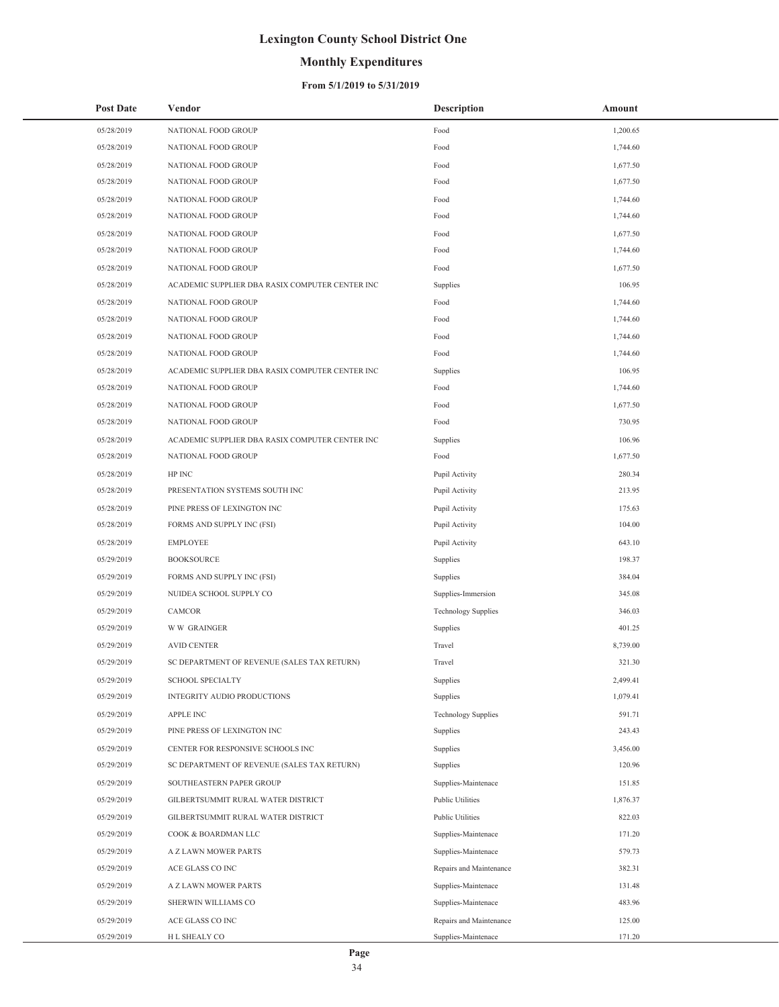## **Monthly Expenditures**

| <b>Post Date</b> | Vendor                                          | <b>Description</b>         | Amount   |
|------------------|-------------------------------------------------|----------------------------|----------|
| 05/28/2019       | NATIONAL FOOD GROUP                             | Food                       | 1,200.65 |
| 05/28/2019       | NATIONAL FOOD GROUP                             | Food                       | 1,744.60 |
| 05/28/2019       | NATIONAL FOOD GROUP                             | Food                       | 1,677.50 |
| 05/28/2019       | NATIONAL FOOD GROUP                             | Food                       | 1,677.50 |
| 05/28/2019       | NATIONAL FOOD GROUP                             | Food                       | 1,744.60 |
| 05/28/2019       | NATIONAL FOOD GROUP                             | Food                       | 1,744.60 |
| 05/28/2019       | NATIONAL FOOD GROUP                             | Food                       | 1,677.50 |
| 05/28/2019       | NATIONAL FOOD GROUP                             | Food                       | 1,744.60 |
| 05/28/2019       | NATIONAL FOOD GROUP                             | Food                       | 1,677.50 |
| 05/28/2019       | ACADEMIC SUPPLIER DBA RASIX COMPUTER CENTER INC | Supplies                   | 106.95   |
| 05/28/2019       | NATIONAL FOOD GROUP                             | Food                       | 1,744.60 |
| 05/28/2019       | NATIONAL FOOD GROUP                             | Food                       | 1,744.60 |
| 05/28/2019       | NATIONAL FOOD GROUP                             | Food                       | 1,744.60 |
| 05/28/2019       | NATIONAL FOOD GROUP                             | Food                       | 1,744.60 |
| 05/28/2019       | ACADEMIC SUPPLIER DBA RASIX COMPUTER CENTER INC | Supplies                   | 106.95   |
| 05/28/2019       | NATIONAL FOOD GROUP                             | Food                       | 1,744.60 |
| 05/28/2019       | NATIONAL FOOD GROUP                             | Food                       | 1,677.50 |
| 05/28/2019       | NATIONAL FOOD GROUP                             | Food                       | 730.95   |
| 05/28/2019       | ACADEMIC SUPPLIER DBA RASIX COMPUTER CENTER INC | Supplies                   | 106.96   |
| 05/28/2019       | NATIONAL FOOD GROUP                             | Food                       | 1,677.50 |
| 05/28/2019       | HP INC                                          | Pupil Activity             | 280.34   |
| 05/28/2019       | PRESENTATION SYSTEMS SOUTH INC                  | Pupil Activity             | 213.95   |
| 05/28/2019       | PINE PRESS OF LEXINGTON INC                     | Pupil Activity             | 175.63   |
| 05/28/2019       | FORMS AND SUPPLY INC (FSI)                      | Pupil Activity             | 104.00   |
| 05/28/2019       | <b>EMPLOYEE</b>                                 | Pupil Activity             | 643.10   |
| 05/29/2019       | <b>BOOKSOURCE</b>                               | Supplies                   | 198.37   |
| 05/29/2019       | FORMS AND SUPPLY INC (FSI)                      | Supplies                   | 384.04   |
| 05/29/2019       | NUIDEA SCHOOL SUPPLY CO                         | Supplies-Immersion         | 345.08   |
| 05/29/2019       | <b>CAMCOR</b>                                   | <b>Technology Supplies</b> | 346.03   |
| 05/29/2019       | <b>WW GRAINGER</b>                              | Supplies                   | 401.25   |
| 05/29/2019       | <b>AVID CENTER</b>                              | Travel                     | 8,739.00 |
| 05/29/2019       | SC DEPARTMENT OF REVENUE (SALES TAX RETURN)     | Travel                     | 321.30   |
| 05/29/2019       | <b>SCHOOL SPECIALTY</b>                         | Supplies                   | 2,499.41 |
| 05/29/2019       | INTEGRITY AUDIO PRODUCTIONS                     | Supplies                   | 1,079.41 |
| 05/29/2019       | <b>APPLE INC</b>                                | <b>Technology Supplies</b> | 591.71   |
| 05/29/2019       | PINE PRESS OF LEXINGTON INC                     | Supplies                   | 243.43   |
| 05/29/2019       | CENTER FOR RESPONSIVE SCHOOLS INC               | Supplies                   | 3,456.00 |
| 05/29/2019       | SC DEPARTMENT OF REVENUE (SALES TAX RETURN)     | Supplies                   | 120.96   |
| 05/29/2019       | SOUTHEASTERN PAPER GROUP                        | Supplies-Maintenace        | 151.85   |
| 05/29/2019       | GILBERTSUMMIT RURAL WATER DISTRICT              | Public Utilities           | 1,876.37 |
| 05/29/2019       | GILBERTSUMMIT RURAL WATER DISTRICT              | Public Utilities           | 822.03   |
| 05/29/2019       | COOK & BOARDMAN LLC                             | Supplies-Maintenace        | 171.20   |
| 05/29/2019       | A Z LAWN MOWER PARTS                            | Supplies-Maintenace        | 579.73   |
| 05/29/2019       | ACE GLASS CO INC                                | Repairs and Maintenance    | 382.31   |
| 05/29/2019       | A Z LAWN MOWER PARTS                            | Supplies-Maintenace        | 131.48   |
| 05/29/2019       | SHERWIN WILLIAMS CO                             | Supplies-Maintenace        | 483.96   |
| 05/29/2019       | ACE GLASS CO INC                                | Repairs and Maintenance    | 125.00   |
| 05/29/2019       | H L SHEALY CO                                   | Supplies-Maintenace        | 171.20   |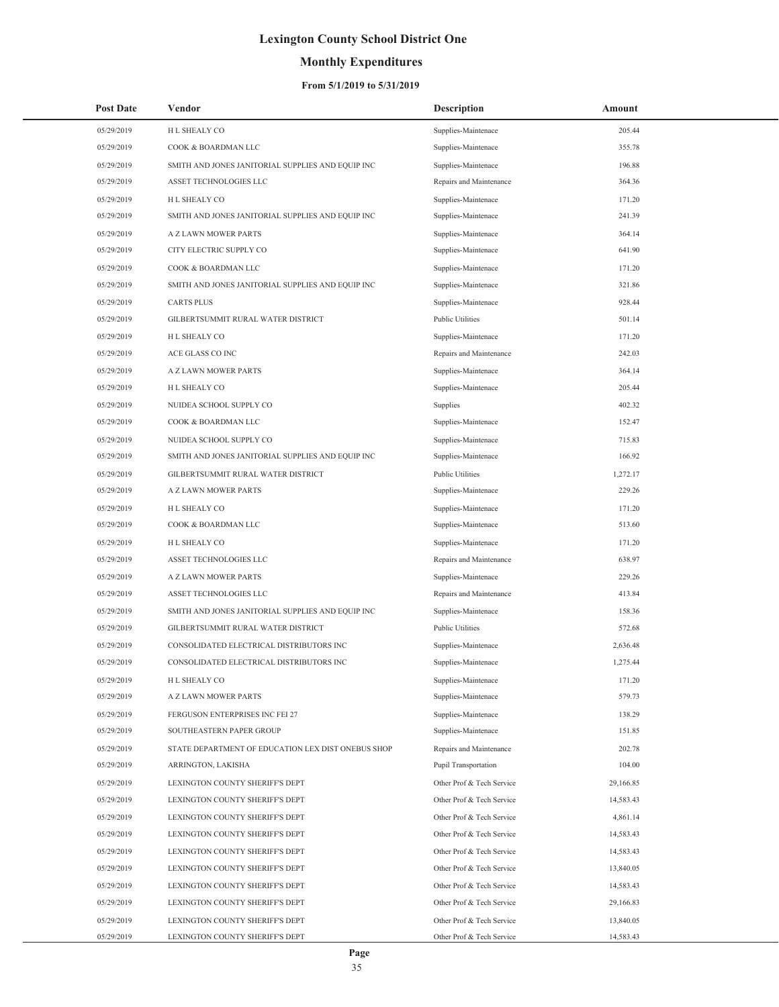## **Monthly Expenditures**

| <b>Post Date</b> | Vendor                                             | <b>Description</b>        | Amount    |
|------------------|----------------------------------------------------|---------------------------|-----------|
| 05/29/2019       | H L SHEALY CO                                      | Supplies-Maintenace       | 205.44    |
| 05/29/2019       | COOK & BOARDMAN LLC                                | Supplies-Maintenace       | 355.78    |
| 05/29/2019       | SMITH AND JONES JANITORIAL SUPPLIES AND EQUIP INC  | Supplies-Maintenace       | 196.88    |
| 05/29/2019       | ASSET TECHNOLOGIES LLC                             | Repairs and Maintenance   | 364.36    |
| 05/29/2019       | H L SHEALY CO                                      | Supplies-Maintenace       | 171.20    |
| 05/29/2019       | SMITH AND JONES JANITORIAL SUPPLIES AND EQUIP INC  | Supplies-Maintenace       | 241.39    |
| 05/29/2019       | A Z LAWN MOWER PARTS                               | Supplies-Maintenace       | 364.14    |
| 05/29/2019       | CITY ELECTRIC SUPPLY CO                            | Supplies-Maintenace       | 641.90    |
| 05/29/2019       | COOK & BOARDMAN LLC                                | Supplies-Maintenace       | 171.20    |
| 05/29/2019       | SMITH AND JONES JANITORIAL SUPPLIES AND EQUIP INC  | Supplies-Maintenace       | 321.86    |
| 05/29/2019       | <b>CARTS PLUS</b>                                  | Supplies-Maintenace       | 928.44    |
| 05/29/2019       | GILBERTSUMMIT RURAL WATER DISTRICT                 | <b>Public Utilities</b>   | 501.14    |
| 05/29/2019       | H L SHEALY CO                                      | Supplies-Maintenace       | 171.20    |
| 05/29/2019       | ACE GLASS CO INC                                   | Repairs and Maintenance   | 242.03    |
| 05/29/2019       | A Z LAWN MOWER PARTS                               | Supplies-Maintenace       | 364.14    |
| 05/29/2019       | H L SHEALY CO                                      | Supplies-Maintenace       | 205.44    |
| 05/29/2019       | NUIDEA SCHOOL SUPPLY CO                            | Supplies                  | 402.32    |
| 05/29/2019       | COOK & BOARDMAN LLC                                | Supplies-Maintenace       | 152.47    |
| 05/29/2019       | NUIDEA SCHOOL SUPPLY CO                            | Supplies-Maintenace       | 715.83    |
| 05/29/2019       | SMITH AND JONES JANITORIAL SUPPLIES AND EQUIP INC  | Supplies-Maintenace       | 166.92    |
| 05/29/2019       | GILBERTSUMMIT RURAL WATER DISTRICT                 | <b>Public Utilities</b>   | 1,272.17  |
| 05/29/2019       | A Z LAWN MOWER PARTS                               | Supplies-Maintenace       | 229.26    |
| 05/29/2019       | H L SHEALY CO                                      | Supplies-Maintenace       | 171.20    |
| 05/29/2019       | COOK & BOARDMAN LLC                                | Supplies-Maintenace       | 513.60    |
| 05/29/2019       | H L SHEALY CO                                      | Supplies-Maintenace       | 171.20    |
| 05/29/2019       | ASSET TECHNOLOGIES LLC                             | Repairs and Maintenance   | 638.97    |
| 05/29/2019       | A Z LAWN MOWER PARTS                               | Supplies-Maintenace       | 229.26    |
| 05/29/2019       | ASSET TECHNOLOGIES LLC                             | Repairs and Maintenance   | 413.84    |
| 05/29/2019       | SMITH AND JONES JANITORIAL SUPPLIES AND EQUIP INC  | Supplies-Maintenace       | 158.36    |
| 05/29/2019       | GILBERTSUMMIT RURAL WATER DISTRICT                 | <b>Public Utilities</b>   | 572.68    |
| 05/29/2019       | CONSOLIDATED ELECTRICAL DISTRIBUTORS INC           | Supplies-Maintenace       | 2,636.48  |
| 05/29/2019       | CONSOLIDATED ELECTRICAL DISTRIBUTORS INC           | Supplies-Maintenace       | 1,275.44  |
| 05/29/2019       | H L SHEALY CO                                      | Supplies-Maintenace       | 171.20    |
| 05/29/2019       | A Z LAWN MOWER PARTS                               | Supplies-Maintenace       | 579.73    |
| 05/29/2019       | FERGUSON ENTERPRISES INC FEI 27                    | Supplies-Maintenace       | 138.29    |
| 05/29/2019       | SOUTHEASTERN PAPER GROUP                           | Supplies-Maintenace       | 151.85    |
| 05/29/2019       | STATE DEPARTMENT OF EDUCATION LEX DIST ONEBUS SHOP | Repairs and Maintenance   | 202.78    |
| 05/29/2019       | ARRINGTON, LAKISHA                                 | Pupil Transportation      | 104.00    |
| 05/29/2019       | LEXINGTON COUNTY SHERIFF'S DEPT                    | Other Prof & Tech Service | 29,166.85 |
| 05/29/2019       | LEXINGTON COUNTY SHERIFF'S DEPT                    | Other Prof & Tech Service | 14,583.43 |
| 05/29/2019       | LEXINGTON COUNTY SHERIFF'S DEPT                    | Other Prof & Tech Service | 4,861.14  |
| 05/29/2019       | LEXINGTON COUNTY SHERIFF'S DEPT                    | Other Prof & Tech Service | 14,583.43 |
| 05/29/2019       | LEXINGTON COUNTY SHERIFF'S DEPT                    | Other Prof & Tech Service | 14,583.43 |
| 05/29/2019       | LEXINGTON COUNTY SHERIFF'S DEPT                    | Other Prof & Tech Service | 13,840.05 |
| 05/29/2019       | LEXINGTON COUNTY SHERIFF'S DEPT                    | Other Prof & Tech Service | 14,583.43 |
| 05/29/2019       | LEXINGTON COUNTY SHERIFF'S DEPT                    | Other Prof & Tech Service | 29,166.83 |
| 05/29/2019       | LEXINGTON COUNTY SHERIFF'S DEPT                    | Other Prof & Tech Service | 13,840.05 |
| 05/29/2019       | LEXINGTON COUNTY SHERIFF'S DEPT                    | Other Prof & Tech Service | 14,583.43 |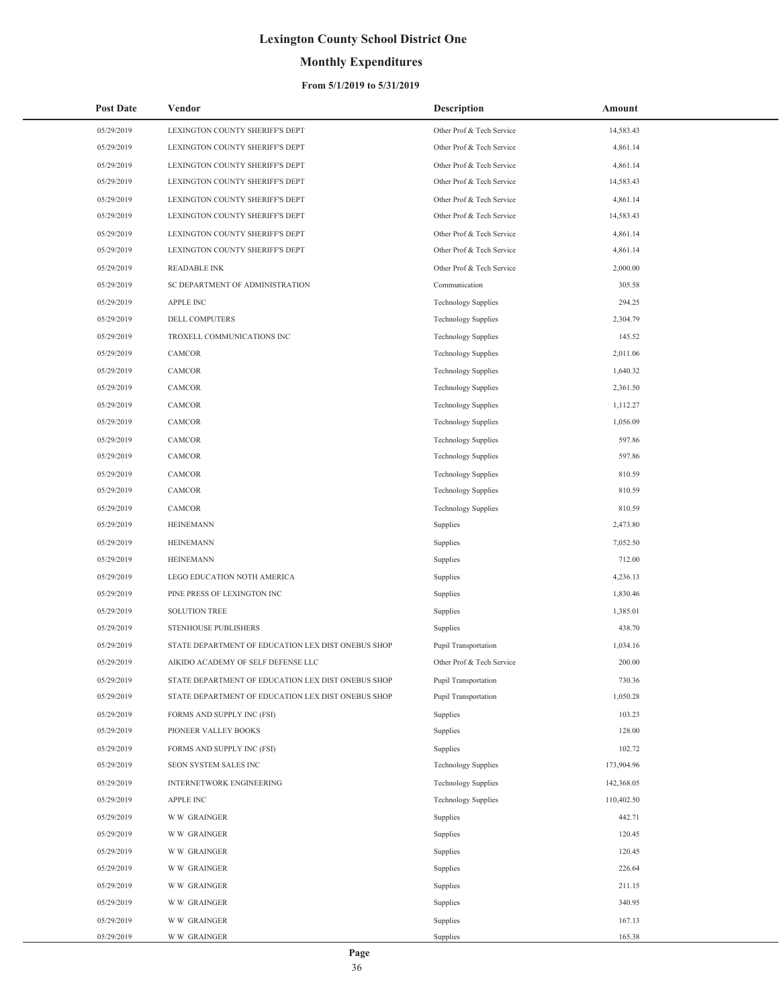## **Monthly Expenditures**

### **From 5/1/2019 to 5/31/2019**

| <b>Post Date</b> | Vendor                                             | <b>Description</b>         | Amount     |
|------------------|----------------------------------------------------|----------------------------|------------|
| 05/29/2019       | LEXINGTON COUNTY SHERIFF'S DEPT                    | Other Prof & Tech Service  | 14,583.43  |
| 05/29/2019       | LEXINGTON COUNTY SHERIFF'S DEPT                    | Other Prof & Tech Service  | 4,861.14   |
| 05/29/2019       | LEXINGTON COUNTY SHERIFF'S DEPT                    | Other Prof & Tech Service  | 4,861.14   |
| 05/29/2019       | LEXINGTON COUNTY SHERIFF'S DEPT                    | Other Prof & Tech Service  | 14,583.43  |
| 05/29/2019       | LEXINGTON COUNTY SHERIFF'S DEPT                    | Other Prof & Tech Service  | 4,861.14   |
| 05/29/2019       | LEXINGTON COUNTY SHERIFF'S DEPT                    | Other Prof & Tech Service  | 14,583.43  |
| 05/29/2019       | LEXINGTON COUNTY SHERIFF'S DEPT                    | Other Prof & Tech Service  | 4,861.14   |
| 05/29/2019       | LEXINGTON COUNTY SHERIFF'S DEPT                    | Other Prof & Tech Service  | 4,861.14   |
| 05/29/2019       | <b>READABLE INK</b>                                | Other Prof & Tech Service  | 2,000.00   |
| 05/29/2019       | SC DEPARTMENT OF ADMINISTRATION                    | Communication              | 305.58     |
| 05/29/2019       | APPLE INC                                          | <b>Technology Supplies</b> | 294.25     |
| 05/29/2019       | DELL COMPUTERS                                     | <b>Technology Supplies</b> | 2,304.79   |
| 05/29/2019       | TROXELL COMMUNICATIONS INC                         | <b>Technology Supplies</b> | 145.52     |
| 05/29/2019       | <b>CAMCOR</b>                                      | <b>Technology Supplies</b> | 2,011.06   |
| 05/29/2019       | CAMCOR                                             | <b>Technology Supplies</b> | 1,640.32   |
| 05/29/2019       | CAMCOR                                             | <b>Technology Supplies</b> | 2,361.50   |
| 05/29/2019       | <b>CAMCOR</b>                                      | <b>Technology Supplies</b> | 1,112.27   |
| 05/29/2019       | CAMCOR                                             | <b>Technology Supplies</b> | 1,056.09   |
| 05/29/2019       | CAMCOR                                             | <b>Technology Supplies</b> | 597.86     |
| 05/29/2019       | CAMCOR                                             | <b>Technology Supplies</b> | 597.86     |
| 05/29/2019       | CAMCOR                                             | <b>Technology Supplies</b> | 810.59     |
| 05/29/2019       | CAMCOR                                             | <b>Technology Supplies</b> | 810.59     |
| 05/29/2019       | CAMCOR                                             | <b>Technology Supplies</b> | 810.59     |
| 05/29/2019       | <b>HEINEMANN</b>                                   | Supplies                   | 2,473.80   |
| 05/29/2019       | <b>HEINEMANN</b>                                   | Supplies                   | 7,052.50   |
| 05/29/2019       | <b>HEINEMANN</b>                                   | Supplies                   | 712.00     |
| 05/29/2019       | LEGO EDUCATION NOTH AMERICA                        | Supplies                   | 4,236.13   |
| 05/29/2019       | PINE PRESS OF LEXINGTON INC                        | Supplies                   | 1,830.46   |
| 05/29/2019       | <b>SOLUTION TREE</b>                               | Supplies                   | 1,385.01   |
| 05/29/2019       | STENHOUSE PUBLISHERS                               | Supplies                   | 438.70     |
| 05/29/2019       | STATE DEPARTMENT OF EDUCATION LEX DIST ONEBUS SHOP | Pupil Transportation       | 1,034.16   |
| 05/29/2019       | AIKIDO ACADEMY OF SELF DEFENSE LLC                 | Other Prof & Tech Service  | 200.00     |
| 05/29/2019       | STATE DEPARTMENT OF EDUCATION LEX DIST ONEBUS SHOP | Pupil Transportation       | 730.36     |
| 05/29/2019       | STATE DEPARTMENT OF EDUCATION LEX DIST ONEBUS SHOP | Pupil Transportation       | 1,050.28   |
| 05/29/2019       | FORMS AND SUPPLY INC (FSI)                         | Supplies                   | 103.23     |
| 05/29/2019       | PIONEER VALLEY BOOKS                               | Supplies                   | 128.00     |
| 05/29/2019       | FORMS AND SUPPLY INC (FSI)                         | Supplies                   | 102.72     |
| 05/29/2019       | SEON SYSTEM SALES INC                              | <b>Technology Supplies</b> | 173,904.96 |
| 05/29/2019       | INTERNETWORK ENGINEERING                           | <b>Technology Supplies</b> | 142,368.05 |
| 05/29/2019       | APPLE INC                                          | <b>Technology Supplies</b> | 110,402.50 |
| 05/29/2019       | <b>WW GRAINGER</b>                                 | Supplies                   | 442.71     |
| 05/29/2019       | <b>WW GRAINGER</b>                                 | Supplies                   | 120.45     |
| 05/29/2019       | <b>WW GRAINGER</b>                                 | Supplies                   | 120.45     |
| 05/29/2019       | <b>WW GRAINGER</b>                                 | Supplies                   | 226.64     |
| 05/29/2019       | <b>WW GRAINGER</b>                                 | Supplies                   | 211.15     |
| 05/29/2019       | <b>WW GRAINGER</b>                                 | Supplies                   | 340.95     |
| 05/29/2019       | <b>WW GRAINGER</b>                                 | Supplies                   | 167.13     |
| 05/29/2019       | <b>WW GRAINGER</b>                                 | Supplies                   | 165.38     |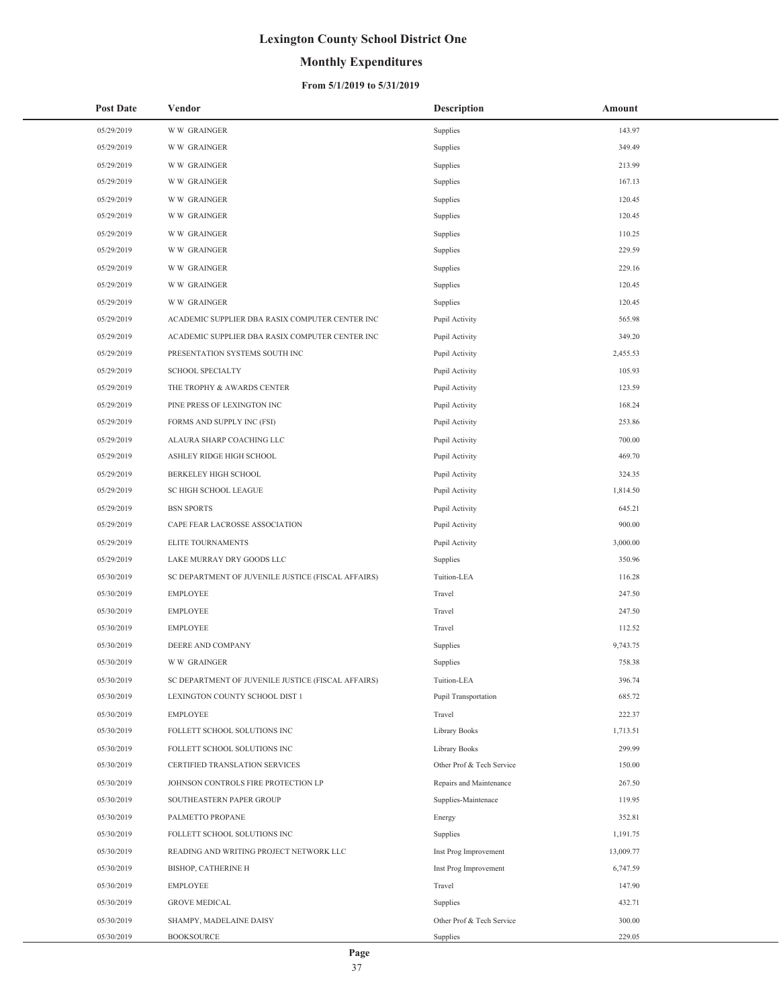## **Monthly Expenditures**

### **From 5/1/2019 to 5/31/2019**

| <b>Post Date</b> | Vendor                                             | <b>Description</b>        | Amount    |
|------------------|----------------------------------------------------|---------------------------|-----------|
| 05/29/2019       | <b>WW GRAINGER</b>                                 | Supplies                  | 143.97    |
| 05/29/2019       | <b>WW GRAINGER</b>                                 | Supplies                  | 349.49    |
| 05/29/2019       | <b>WW GRAINGER</b>                                 | Supplies                  | 213.99    |
| 05/29/2019       | <b>WW GRAINGER</b>                                 | Supplies                  | 167.13    |
| 05/29/2019       | <b>WW GRAINGER</b>                                 | Supplies                  | 120.45    |
| 05/29/2019       | <b>WW GRAINGER</b>                                 | Supplies                  | 120.45    |
| 05/29/2019       | <b>WW GRAINGER</b>                                 | Supplies                  | 110.25    |
| 05/29/2019       | <b>WW GRAINGER</b>                                 | Supplies                  | 229.59    |
| 05/29/2019       | <b>WW GRAINGER</b>                                 | Supplies                  | 229.16    |
| 05/29/2019       | <b>WW GRAINGER</b>                                 | Supplies                  | 120.45    |
| 05/29/2019       | <b>WW GRAINGER</b>                                 | Supplies                  | 120.45    |
| 05/29/2019       | ACADEMIC SUPPLIER DBA RASIX COMPUTER CENTER INC    | Pupil Activity            | 565.98    |
| 05/29/2019       | ACADEMIC SUPPLIER DBA RASIX COMPUTER CENTER INC    | Pupil Activity            | 349.20    |
| 05/29/2019       | PRESENTATION SYSTEMS SOUTH INC                     | Pupil Activity            | 2,455.53  |
| 05/29/2019       | <b>SCHOOL SPECIALTY</b>                            | Pupil Activity            | 105.93    |
| 05/29/2019       | THE TROPHY & AWARDS CENTER                         | Pupil Activity            | 123.59    |
| 05/29/2019       | PINE PRESS OF LEXINGTON INC                        | Pupil Activity            | 168.24    |
| 05/29/2019       | FORMS AND SUPPLY INC (FSI)                         | Pupil Activity            | 253.86    |
| 05/29/2019       | ALAURA SHARP COACHING LLC                          | Pupil Activity            | 700.00    |
| 05/29/2019       | ASHLEY RIDGE HIGH SCHOOL                           | Pupil Activity            | 469.70    |
| 05/29/2019       | <b>BERKELEY HIGH SCHOOL</b>                        | Pupil Activity            | 324.35    |
| 05/29/2019       | SC HIGH SCHOOL LEAGUE                              | Pupil Activity            | 1,814.50  |
| 05/29/2019       | <b>BSN SPORTS</b>                                  | Pupil Activity            | 645.21    |
| 05/29/2019       | CAPE FEAR LACROSSE ASSOCIATION                     | Pupil Activity            | 900.00    |
| 05/29/2019       | ELITE TOURNAMENTS                                  | Pupil Activity            | 3,000.00  |
| 05/29/2019       | LAKE MURRAY DRY GOODS LLC                          | Supplies                  | 350.96    |
| 05/30/2019       | SC DEPARTMENT OF JUVENILE JUSTICE (FISCAL AFFAIRS) | Tuition-LEA               | 116.28    |
| 05/30/2019       | <b>EMPLOYEE</b>                                    | Travel                    | 247.50    |
| 05/30/2019       | <b>EMPLOYEE</b>                                    | Travel                    | 247.50    |
| 05/30/2019       | <b>EMPLOYEE</b>                                    | Travel                    | 112.52    |
| 05/30/2019       | DEERE AND COMPANY                                  | Supplies                  | 9,743.75  |
| 05/30/2019       | <b>WW GRAINGER</b>                                 | Supplies                  | 758.38    |
| 05/30/2019       | SC DEPARTMENT OF JUVENILE JUSTICE (FISCAL AFFAIRS) | Tuition-LEA               | 396.74    |
| 05/30/2019       | LEXINGTON COUNTY SCHOOL DIST 1                     | Pupil Transportation      | 685.72    |
| 05/30/2019       | <b>EMPLOYEE</b>                                    | Travel                    | 222.37    |
| 05/30/2019       | FOLLETT SCHOOL SOLUTIONS INC                       | Library Books             | 1,713.51  |
| 05/30/2019       | FOLLETT SCHOOL SOLUTIONS INC                       | Library Books             | 299.99    |
| 05/30/2019       | CERTIFIED TRANSLATION SERVICES                     | Other Prof & Tech Service | 150.00    |
| 05/30/2019       | JOHNSON CONTROLS FIRE PROTECTION LP                | Repairs and Maintenance   | 267.50    |
| 05/30/2019       | SOUTHEASTERN PAPER GROUP                           | Supplies-Maintenace       | 119.95    |
| 05/30/2019       | PALMETTO PROPANE                                   | Energy                    | 352.81    |
| 05/30/2019       | FOLLETT SCHOOL SOLUTIONS INC                       | Supplies                  | 1,191.75  |
| 05/30/2019       | READING AND WRITING PROJECT NETWORK LLC            | Inst Prog Improvement     | 13,009.77 |
| 05/30/2019       | BISHOP, CATHERINE H                                | Inst Prog Improvement     | 6,747.59  |
| 05/30/2019       | <b>EMPLOYEE</b>                                    | Travel                    | 147.90    |
| 05/30/2019       | <b>GROVE MEDICAL</b>                               | Supplies                  | 432.71    |
| 05/30/2019       | SHAMPY, MADELAINE DAISY                            | Other Prof & Tech Service | 300.00    |
| 05/30/2019       | <b>BOOKSOURCE</b>                                  | Supplies                  | 229.05    |

 $\overline{a}$